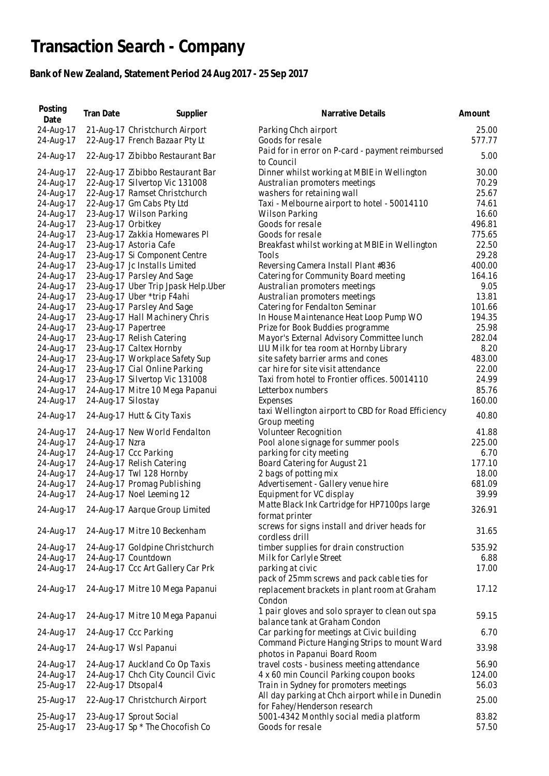## **Transaction Search - Company**

## **Bank of New Zealand, Statement Period 24 Aug 2017 - 25 Sep 2017**

| Posting<br>Date        | Tran Date          | Supplier                                                   | Narrative Details                                                                           | Amount         |
|------------------------|--------------------|------------------------------------------------------------|---------------------------------------------------------------------------------------------|----------------|
| 24-Aug-17              |                    | 21-Aug-17 Christchurch Airport                             | Parking Chch airport                                                                        | 25.00          |
| 24-Aug-17              |                    | 22-Aug-17 French Bazaar Pty Lt                             | Goods for resale                                                                            | 577.77         |
| 24-Aug-17              |                    | 22-Aug-17 Zibibbo Restaurant Bar                           | Paid for in error on P-card - payment reimbursed<br>to Council                              | 5.00           |
| 24-Aug-17              |                    | 22-Aug-17 Zibibbo Restaurant Bar                           | Dinner whilst working at MBIE in Wellington                                                 | 30.00          |
| 24-Aug-17              |                    | 22-Aug-17 Silvertop Vic 131008                             | Australian promoters meetings                                                               | 70.29          |
| 24-Aug-17              |                    | 22-Aug-17 Ramset Christchurch                              | washers for retaining wall                                                                  | 25.67          |
| 24-Aug-17              |                    | 22-Aug-17 Gm Cabs Pty Ltd                                  | Taxi - Melbourne airport to hotel - 50014110                                                | 74.61          |
| 24-Aug-17              |                    | 23-Aug-17 Wilson Parking                                   | Wilson Parking                                                                              | 16.60          |
| 24-Aug-17              | 23-Aug-17 Orbitkey |                                                            | Goods for resale                                                                            | 496.81         |
| 24-Aug-17              |                    | 23-Aug-17 Zakkia Homewares PI                              | Goods for resale                                                                            | 775.65         |
| 24-Aug-17              |                    | 23-Aug-17 Astoria Cafe                                     | Breakfast whilst working at MBIE in Wellington                                              | 22.50          |
| 24-Aug-17              |                    | 23-Aug-17 Si Component Centre                              | Tools                                                                                       | 29.28          |
| 24-Aug-17              |                    | 23-Aug-17 Jc Installs Limited                              | Reversing Camera Install Plant #836                                                         | 400.00         |
| 24-Aug-17              |                    | 23-Aug-17 Parsley And Sage                                 | Catering for Community Board meeting                                                        | 164.16         |
| 24-Aug-17              |                    | 23-Aug-17 Uber Trip Jpask Help.Uber                        | Australian promoters meetings                                                               | 9.05           |
| 24-Aug-17              |                    | 23-Aug-17 Uber *trip F4ahi                                 | Australian promoters meetings                                                               | 13.81          |
| 24-Aug-17              |                    | 23-Aug-17 Parsley And Sage                                 | Catering for Fendalton Seminar                                                              | 101.66         |
| 24-Aug-17              |                    | 23-Aug-17 Hall Machinery Chris                             | In House Maintenance Heat Loop Pump WO                                                      | 194.35         |
| 24-Aug-17              |                    | 23-Aug-17 Papertree                                        | Prize for Book Buddies programme                                                            | 25.98          |
| 24-Aug-17              |                    | 23-Aug-17 Relish Catering                                  | Mayor's External Advisory Committee lunch                                                   | 282.04         |
| 24-Aug-17              |                    | 23-Aug-17 Caltex Hornby                                    | LIU Milk for tea room at Hornby Library                                                     | 8.20           |
| 24-Aug-17              |                    | 23-Aug-17 Workplace Safety Sup                             | site safety barrier arms and cones                                                          | 483.00         |
| 24-Aug-17              |                    | 23-Aug-17 Cial Online Parking                              | car hire for site visit attendance                                                          | 22.00          |
| 24-Aug-17              |                    | 23-Aug-17 Silvertop Vic 131008                             | Taxi from hotel to Frontier offices. 50014110                                               | 24.99          |
| 24-Aug-17              |                    | 24-Aug-17 Mitre 10 Mega Papanui                            | Letterbox numbers                                                                           | 85.76          |
| 24-Aug-17              | 24-Aug-17 Silostay |                                                            | Expenses                                                                                    | 160.00         |
|                        |                    |                                                            | taxi Wellington airport to CBD for Road Efficiency                                          |                |
| 24-Aug-17              |                    | 24-Aug-17 Hutt & City Taxis                                | Group meeting                                                                               | 40.80          |
| 24-Aug-17              |                    | 24-Aug-17 New World Fendalton                              | Volunteer Recognition                                                                       | 41.88          |
| 24-Aug-17              | 24-Aug-17 Nzra     |                                                            | Pool alone signage for summer pools                                                         | 225.00         |
| 24-Aug-17              |                    | 24-Aug-17 Ccc Parking                                      | parking for city meeting                                                                    | 6.70           |
| 24-Aug-17              |                    | 24-Aug-17 Relish Catering                                  | Board Catering for August 21                                                                | 177.10         |
| 24-Aug-17              |                    | 24-Aug-17 Twl 128 Hornby                                   | 2 bags of potting mix                                                                       | 18.00          |
| 24-Aug-17              |                    | 24-Aug-17 Promag Publishing                                | Advertisement - Gallery venue hire                                                          | 681.09         |
| 24-Aug-17              |                    | 24-Aug-17 Noel Leeming 12                                  | Equipment for VC display                                                                    | 39.99          |
|                        |                    |                                                            | Matte Black Ink Cartridge for HP7100ps large                                                |                |
| 24-Aug-17              |                    | 24-Aug-17 Aarque Group Limited                             | format printer                                                                              | 326.91         |
| 24-Aug-17              |                    | 24-Aug-17 Mitre 10 Beckenham                               | screws for signs install and driver heads for                                               | 31.65          |
|                        |                    |                                                            | cordless drill                                                                              |                |
| 24-Aug-17              |                    | 24-Aug-17 Goldpine Christchurch                            | timber supplies for drain construction                                                      | 535.92         |
| 24-Aug-17              |                    | 24-Aug-17 Countdown                                        | Milk for Carlyle Street                                                                     | 6.88           |
| 24-Aug-17              |                    | 24-Aug-17 Ccc Art Gallery Car Prk                          | parking at civic                                                                            | 17.00          |
| 24-Aug-17              |                    | 24-Aug-17 Mitre 10 Mega Papanui                            | pack of 25mm screws and pack cable ties for<br>replacement brackets in plant room at Graham | 17.12          |
| 24-Aug-17              |                    | 24-Aug-17 Mitre 10 Mega Papanui                            | Condon<br>1 pair gloves and solo sprayer to clean out spa                                   | 59.15          |
|                        |                    |                                                            | balance tank at Graham Condon                                                               |                |
| 24-Aug-17              |                    | 24-Aug-17 Ccc Parking                                      | Car parking for meetings at Civic building                                                  | 6.70           |
| 24-Aug-17              |                    | 24-Aug-17 Wsl Papanui                                      | Command Picture Hanging Strips to mount Ward<br>photos in Papanui Board Room                | 33.98          |
| 24-Aug-17              |                    | 24-Aug-17 Auckland Co Op Taxis                             | travel costs - business meeting attendance                                                  | 56.90          |
| 24-Aug-17              |                    | 24-Aug-17 Chch City Council Civic                          | 4 x 60 min Council Parking coupon books                                                     | 124.00         |
| 25-Aug-17              | 22-Aug-17 Dtsopal4 |                                                            | Train in Sydney for promoters meetings                                                      | 56.03          |
|                        |                    |                                                            | All day parking at Chch airport while in Dunedin                                            |                |
| 25-Aug-17              |                    | 22-Aug-17 Christchurch Airport                             | for Fahey/Henderson research                                                                | 25.00          |
| 25-Aug-17<br>25-Aug-17 |                    | 23-Aug-17 Sprout Social<br>23-Aug-17 Sp * The Chocofish Co | 5001-4342 Monthly social media platform<br>Goods for resale                                 | 83.82<br>57.50 |
|                        |                    |                                                            |                                                                                             |                |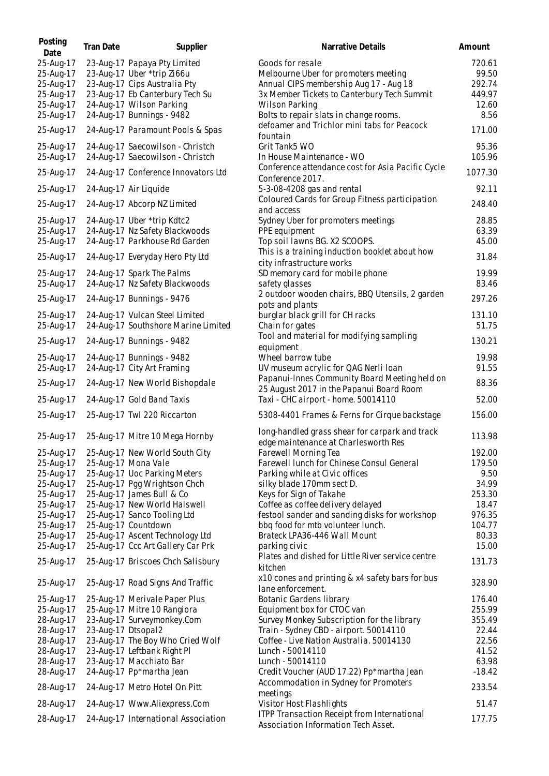| Posting<br>Date | <b>Tran Date</b>   | Supplier                            | Narrative Details                                                                      | Amount   |
|-----------------|--------------------|-------------------------------------|----------------------------------------------------------------------------------------|----------|
| 25-Aug-17       |                    | 23-Aug-17 Papaya Pty Limited        | Goods for resale                                                                       | 720.61   |
| 25-Aug-17       |                    | 23-Aug-17 Uber *trip Zi66u          | Melbourne Uber for promoters meeting                                                   | 99.50    |
| 25-Aug-17       |                    | 23-Aug-17 Cips Australia Pty        | Annual CIPS membership Aug 17 - Aug 18                                                 | 292.74   |
| 25-Aug-17       |                    | 23-Aug-17 Eb Canterbury Tech Su     | 3x Member Tickets to Canterbury Tech Summit                                            | 449.97   |
| 25-Aug-17       |                    | 24-Aug-17 Wilson Parking            | <b>Wilson Parking</b>                                                                  | 12.60    |
| 25-Aug-17       |                    | 24-Aug-17 Bunnings - 9482           | Bolts to repair slats in change rooms.                                                 | 8.56     |
| 25-Aug-17       |                    | 24-Aug-17 Paramount Pools & Spas    | defoamer and Trichlor mini tabs for Peacock<br>fountain                                | 171.00   |
| 25-Aug-17       |                    | 24-Aug-17 Saecowilson - Christch    | Grit Tank5 WO                                                                          | 95.36    |
| 25-Aug-17       |                    | 24-Aug-17 Saecowilson - Christch    | In House Maintenance - WO                                                              | 105.96   |
| 25-Aug-17       |                    | 24-Aug-17 Conference Innovators Ltd | Conference attendance cost for Asia Pacific Cycle<br>Conference 2017.                  | 1077.30  |
| 25-Aug-17       |                    | 24-Aug-17 Air Liquide               | 5-3-08-4208 gas and rental                                                             | 92.11    |
| 25-Aug-17       |                    | 24-Aug-17 Abcorp NZ Limited         | Coloured Cards for Group Fitness participation<br>and access                           | 248.40   |
| 25-Aug-17       |                    | 24-Aug-17 Uber *trip Kdtc2          | Sydney Uber for promoters meetings                                                     | 28.85    |
| 25-Aug-17       |                    | 24-Aug-17 Nz Safety Blackwoods      | PPE equipment                                                                          | 63.39    |
| 25-Aug-17       |                    | 24-Aug-17 Parkhouse Rd Garden       | Top soil lawns BG. X2 SCOOPS.                                                          | 45.00    |
|                 |                    |                                     | This is a training induction booklet about how                                         |          |
| 25-Aug-17       |                    | 24-Aug-17 Everyday Hero Pty Ltd     | city infrastructure works                                                              | 31.84    |
| 25-Aug-17       |                    | 24-Aug-17 Spark The Palms           | SD memory card for mobile phone                                                        | 19.99    |
| 25-Aug-17       |                    | 24-Aug-17 Nz Safety Blackwoods      | safety glasses                                                                         | 83.46    |
| 25-Aug-17       |                    | 24-Aug-17 Bunnings - 9476           | 2 outdoor wooden chairs, BBQ Utensils, 2 garden                                        | 297.26   |
|                 |                    |                                     | pots and plants                                                                        |          |
| 25-Aug-17       |                    | 24-Aug-17 Vulcan Steel Limited      | burglar black grill for CH racks                                                       | 131.10   |
| 25-Aug-17       |                    | 24-Aug-17 Southshore Marine Limited | Chain for gates                                                                        | 51.75    |
| 25-Aug-17       |                    | 24-Aug-17 Bunnings - 9482           | Tool and material for modifying sampling<br>equipment                                  | 130.21   |
| 25-Aug-17       |                    | 24-Aug-17 Bunnings - 9482           | Wheel barrow tube                                                                      | 19.98    |
| 25-Aug-17       |                    | 24-Aug-17 City Art Framing          | UV museum acrylic for QAG Nerli Ioan                                                   | 91.55    |
| 25-Aug-17       |                    | 24-Aug-17 New World Bishopdale      | Papanui-Innes Community Board Meeting held on                                          | 88.36    |
|                 |                    |                                     | 25 August 2017 in the Papanui Board Room                                               |          |
| 25-Aug-17       |                    | 24-Aug-17 Gold Band Taxis           | Taxi - CHC airport - home. 50014110                                                    | 52.00    |
| 25-Aug-17       |                    | 25-Aug-17 Twl 220 Riccarton         | 5308-4401 Frames & Ferns for Cirque backstage                                          | 156.00   |
| 25-Aug-17       |                    | 25-Aug-17 Mitre 10 Mega Hornby      | long-handled grass shear for carpark and track<br>edge maintenance at Charlesworth Res | 113.98   |
| 25-Aug-17       |                    | 25-Aug-17 New World South City      | Farewell Morning Tea                                                                   | 192.00   |
| 25-Aug-17       |                    | 25-Aug-17 Mona Vale                 | Farewell lunch for Chinese Consul General                                              | 179.50   |
| 25-Aug-17       |                    | 25-Aug-17 Uoc Parking Meters        | Parking while at Civic offices                                                         | 9.50     |
| 25-Aug-17       |                    | 25-Aug-17 Pgg Wrightson Chch        | silky blade 170mm sect D.                                                              | 34.99    |
| 25-Aug-17       |                    | 25-Aug-17 James Bull & Co           | Keys for Sign of Takahe                                                                | 253.30   |
| 25-Aug-17       |                    | 25-Aug-17 New World Halswell        | Coffee as coffee delivery delayed                                                      | 18.47    |
| 25-Aug-17       |                    | 25-Aug-17 Sanco Tooling Ltd         | festool sander and sanding disks for workshop                                          | 976.35   |
| 25-Aug-17       |                    | 25-Aug-17 Countdown                 | bbq food for mtb volunteer lunch.                                                      | 104.77   |
| 25-Aug-17       |                    | 25-Aug-17 Ascent Technology Ltd     | Brateck LPA36-446 Wall Mount                                                           | 80.33    |
| 25-Aug-17       |                    | 25-Aug-17 Ccc Art Gallery Car Prk   | parking civic                                                                          | 15.00    |
| 25-Aug-17       |                    | 25-Aug-17 Briscoes Chch Salisbury   | Plates and dished for Little River service centre<br>kitchen                           | 131.73   |
| 25-Aug-17       |                    | 25-Aug-17 Road Signs And Traffic    | x10 cones and printing & x4 safety bars for bus<br>lane enforcement.                   | 328.90   |
| 25-Aug-17       |                    | 25-Aug-17 Merivale Paper Plus       | Botanic Gardens library                                                                | 176.40   |
| 25-Aug-17       |                    | 25-Aug-17 Mitre 10 Rangiora         | Equipment box for CTOC van                                                             | 255.99   |
| 28-Aug-17       |                    | 23-Aug-17 Surveymonkey.Com          | Survey Monkey Subscription for the library                                             | 355.49   |
| 28-Aug-17       | 23-Aug-17 Dtsopal2 |                                     | Train - Sydney CBD - airport. 50014110                                                 | 22.44    |
| 28-Aug-17       |                    | 23-Aug-17 The Boy Who Cried Wolf    | Coffee - Live Nation Australia. 50014130                                               | 22.56    |
| 28-Aug-17       |                    | 23-Aug-17 Leftbank Right Pl         | Lunch - 50014110                                                                       | 41.52    |
| 28-Aug-17       |                    | 23-Aug-17 Macchiato Bar             | Lunch - 50014110                                                                       | 63.98    |
| 28-Aug-17       |                    | 24-Aug-17 Pp*martha Jean            | Credit Voucher (AUD 17.22) Pp*martha Jean                                              | $-18.42$ |
| 28-Aug-17       |                    | 24-Aug-17 Metro Hotel On Pitt       | Accommodation in Sydney for Promoters<br>meetings                                      | 233.54   |
| 28-Aug-17       |                    | 24-Aug-17 Www.Aliexpress.Com        | Visitor Host Flashlights                                                               | 51.47    |
| 28-Aug-17       |                    | 24-Aug-17 International Association | ITPP Transaction Receipt from International                                            | 177.75   |
|                 |                    |                                     | Association Information Tech Asset.                                                    |          |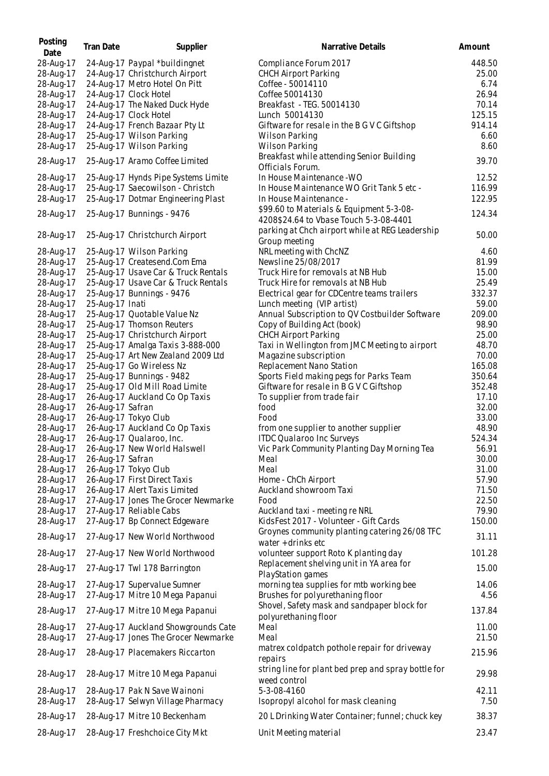| Posting<br>Date        | <b>Tran Date</b> | Supplier                                                          | Narrative Details                                                                  | Amount           |
|------------------------|------------------|-------------------------------------------------------------------|------------------------------------------------------------------------------------|------------------|
| 28-Aug-17              |                  | 24-Aug-17 Paypal *buildingnet                                     | Compliance Forum 2017                                                              | 448.50           |
| 28-Aug-17              |                  | 24-Aug-17 Christchurch Airport                                    | <b>CHCH Airport Parking</b>                                                        | 25.00            |
| 28-Aug-17              |                  | 24-Aug-17 Metro Hotel On Pitt                                     | Coffee - 50014110                                                                  | 6.74             |
| 28-Aug-17              |                  | 24-Aug-17 Clock Hotel                                             | Coffee 50014130                                                                    | 26.94            |
| 28-Aug-17              |                  | 24-Aug-17 The Naked Duck Hyde                                     | Breakfast - TEG. 50014130                                                          | 70.14            |
| 28-Aug-17              |                  | 24-Aug-17 Clock Hotel                                             | Lunch 50014130                                                                     | 125.15           |
| 28-Aug-17              |                  | 24-Aug-17 French Bazaar Pty Lt                                    | Giftware for resale in the B G V C Giftshop                                        | 914.14           |
| 28-Aug-17              |                  | 25-Aug-17 Wilson Parking                                          | <b>Wilson Parking</b>                                                              | 6.60             |
| 28-Aug-17              |                  | 25-Aug-17 Wilson Parking                                          | Wilson Parking                                                                     | 8.60             |
| 28-Aug-17              |                  | 25-Aug-17 Aramo Coffee Limited                                    | Breakfast while attending Senior Building<br>Officials Forum.                      | 39.70            |
| 28-Aug-17              |                  | 25-Aug-17 Hynds Pipe Systems Limite                               | In House Maintenance - WO                                                          | 12.52            |
| 28-Aug-17              |                  | 25-Aug-17 Saecowilson - Christch                                  | In House Maintenance WO Grit Tank 5 etc -                                          | 116.99           |
| 28-Aug-17              |                  | 25-Aug-17 Dotmar Engineering Plast                                | In House Maintenance -                                                             | 122.95           |
| 28-Aug-17              |                  | 25-Aug-17 Bunnings - 9476                                         | \$99.60 to Materials & Equipment 5-3-08-<br>4208\$24.64 to Vbase Touch 5-3-08-4401 | 124.34           |
| 28-Aug-17              |                  | 25-Aug-17 Christchurch Airport                                    | parking at Chch airport while at REG Leadership<br>Group meeting                   | 50.00            |
| 28-Aug-17              |                  | 25-Aug-17 Wilson Parking                                          | NRL meeting with ChcNZ                                                             | 4.60             |
| 28-Aug-17              |                  | 25-Aug-17 Createsend.Com Ema                                      | Newsline 25/08/2017                                                                | 81.99            |
| 28-Aug-17              |                  | 25-Aug-17 Usave Car & Truck Rentals                               | Truck Hire for removals at NB Hub                                                  | 15.00            |
| 28-Aug-17              |                  | 25-Aug-17 Usave Car & Truck Rentals                               | Truck Hire for removals at NB Hub                                                  | 25.49            |
| 28-Aug-17              |                  | 25-Aug-17 Bunnings - 9476                                         | Electrical gear for CDCentre teams trailers                                        | 332.37           |
| 28-Aug-17              | 25-Aug-17 Inati  |                                                                   | Lunch meeting (VIP artist)                                                         | 59.00            |
| 28-Aug-17              |                  | 25-Aug-17 Quotable Value Nz                                       | Annual Subscription to QV Costbuilder Software                                     | 209.00           |
| 28-Aug-17              |                  | 25-Aug-17 Thomson Reuters                                         | Copy of Building Act (book)                                                        | 98.90            |
| 28-Aug-17              |                  | 25-Aug-17 Christchurch Airport                                    | <b>CHCH Airport Parking</b>                                                        | 25.00            |
| 28-Aug-17              |                  | 25-Aug-17 Amalga Taxis 3-888-000                                  | Taxi in Wellington from JMC Meeting to airport                                     | 48.70            |
| 28-Aug-17              |                  | 25-Aug-17 Art New Zealand 2009 Ltd                                | Magazine subscription                                                              | 70.00            |
| 28-Aug-17              |                  | 25-Aug-17 Go Wireless Nz                                          | Replacement Nano Station                                                           | 165.08           |
| 28-Aug-17              |                  | 25-Aug-17 Bunnings - 9482                                         | Sports Field making pegs for Parks Team<br>Giftware for resale in B G V C Giftshop | 350.64<br>352.48 |
| 28-Aug-17<br>28-Aug-17 |                  | 25-Aug-17 Old Mill Road Limite<br>26-Aug-17 Auckland Co Op Taxis  | To supplier from trade fair                                                        | 17.10            |
| 28-Aug-17              | 26-Aug-17 Safran |                                                                   | food                                                                               | 32.00            |
| 28-Aug-17              |                  | 26-Aug-17 Tokyo Club                                              | Food                                                                               | 33.00            |
| 28-Aug-17              |                  | 26-Aug-17 Auckland Co Op Taxis                                    | from one supplier to another supplier                                              | 48.90            |
| 28-Aug-17              |                  | 26-Aug-17 Qualaroo, Inc.                                          | <b>ITDC Qualaroo Inc Surveys</b>                                                   | 524.34           |
| 28-Aug-17              |                  | 26-Aug-17 New World Halswell                                      | Vic Park Community Planting Day Morning Tea                                        | 56.91            |
| 28-Aug-17              | 26-Aug-17 Safran |                                                                   | Meal                                                                               | 30.00            |
| 28-Aug-17              |                  | 26-Aug-17 Tokyo Club                                              | Meal                                                                               | 31.00            |
| 28-Aug-17              |                  | 26-Aug-17 First Direct Taxis                                      | Home - ChCh Airport                                                                | 57.90            |
| 28-Aug-17              |                  | 26-Aug-17 Alert Taxis Limited                                     | Auckland showroom Taxi                                                             | 71.50            |
| 28-Aug-17              |                  | 27-Aug-17 Jones The Grocer Newmarke                               | Food                                                                               | 22.50            |
| 28-Aug-17              |                  | 27-Aug-17 Reliable Cabs                                           | Auckland taxi - meeting re NRL                                                     | 79.90            |
| 28-Aug-17              |                  | 27-Aug-17 Bp Connect Edgeware                                     | KidsFest 2017 - Volunteer - Gift Cards                                             | 150.00           |
| 28-Aug-17              |                  | 27-Aug-17 New World Northwood                                     | Groynes community planting catering 26/08 TFC<br>water + drinks etc                | 31.11            |
| 28-Aug-17              |                  | 27-Aug-17 New World Northwood                                     | volunteer support Roto K planting day<br>Replacement shelving unit in YA area for  | 101.28           |
| 28-Aug-17<br>28-Aug-17 |                  | 27-Aug-17 Twl 178 Barrington<br>27-Aug-17 Supervalue Sumner       | PlayStation games<br>morning tea supplies for mtb working bee                      | 15.00<br>14.06   |
| 28-Aug-17              |                  | 27-Aug-17 Mitre 10 Mega Papanui                                   | Brushes for polyurethaning floor                                                   | 4.56             |
| 28-Aug-17              |                  | 27-Aug-17 Mitre 10 Mega Papanui                                   | Shovel, Safety mask and sandpaper block for                                        | 137.84           |
| 28-Aug-17              |                  | 27-Aug-17 Auckland Showgrounds Cate                               | polyurethaning floor<br>Meal                                                       | 11.00            |
| 28-Aug-17              |                  | 27-Aug-17 Jones The Grocer Newmarke                               | Meal                                                                               | 21.50            |
|                        |                  |                                                                   | matrex coldpatch pothole repair for driveway                                       |                  |
| 28-Aug-17              |                  | 28-Aug-17 Placemakers Riccarton                                   | repairs                                                                            | 215.96           |
| 28-Aug-17              |                  | 28-Aug-17 Mitre 10 Mega Papanui                                   | string line for plant bed prep and spray bottle for<br>weed control                | 29.98            |
| 28-Aug-17<br>28-Aug-17 |                  | 28-Aug-17 Pak N Save Wainoni<br>28-Aug-17 Selwyn Village Pharmacy | 5-3-08-4160<br>Isopropyl alcohol for mask cleaning                                 | 42.11<br>7.50    |
| 28-Aug-17              |                  | 28-Aug-17 Mitre 10 Beckenham                                      | 20 L Drinking Water Container; funnel; chuck key                                   | 38.37            |
| 28-Aug-17              |                  | 28-Aug-17 Freshchoice City Mkt                                    | Unit Meeting material                                                              | 23.47            |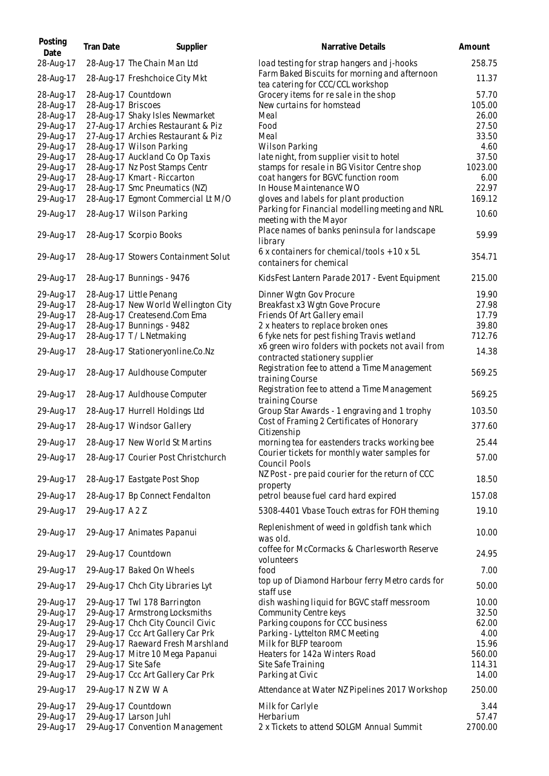| Posting<br>Date                                                                         | <b>Tran Date</b>    | Supplier                                                                                                                                                                                                         | Narrative Details                                                                                                                                                                                                           | Amount                                                       |
|-----------------------------------------------------------------------------------------|---------------------|------------------------------------------------------------------------------------------------------------------------------------------------------------------------------------------------------------------|-----------------------------------------------------------------------------------------------------------------------------------------------------------------------------------------------------------------------------|--------------------------------------------------------------|
| 28-Aug-17                                                                               |                     | 28-Aug-17 The Chain Man Ltd                                                                                                                                                                                      | load testing for strap hangers and j-hooks                                                                                                                                                                                  | 258.75                                                       |
| 28-Aug-17                                                                               |                     | 28-Aug-17 Freshchoice City Mkt                                                                                                                                                                                   | Farm Baked Biscuits for morning and afternoon                                                                                                                                                                               | 11.37                                                        |
| 28-Aug-17<br>28-Aug-17<br>28-Aug-17                                                     | 28-Aug-17 Briscoes  | 28-Aug-17 Countdown<br>28-Aug-17 Shaky Isles Newmarket                                                                                                                                                           | tea catering for CCC/CCL workshop<br>Grocery items for re sale in the shop<br>New curtains for homstead<br>Meal                                                                                                             | 57.70<br>105.00<br>26.00                                     |
| 29-Aug-17<br>29-Aug-17<br>29-Aug-17                                                     |                     | 27-Aug-17 Archies Restaurant & Piz<br>27-Aug-17 Archies Restaurant & Piz<br>28-Aug-17 Wilson Parking                                                                                                             | Food<br>Meal<br><b>Wilson Parking</b>                                                                                                                                                                                       | 27.50<br>33.50<br>4.60                                       |
| 29-Aug-17<br>29-Aug-17<br>29-Aug-17                                                     |                     | 28-Aug-17 Auckland Co Op Taxis<br>28-Aug-17 Nz Post Stamps Centr<br>28-Aug-17 Kmart - Riccarton                                                                                                                  | late night, from supplier visit to hotel<br>stamps for resale in BG Visitor Centre shop<br>coat hangers for BGVC function room                                                                                              | 37.50<br>1023.00<br>6.00                                     |
| 29-Aug-17<br>29-Aug-17                                                                  |                     | 28-Aug-17 Smc Pneumatics (NZ)<br>28-Aug-17 Egmont Commercial Lt M/O                                                                                                                                              | In House Maintenance WO<br>gloves and labels for plant production<br>Parking for Financial modelling meeting and NRL                                                                                                        | 22.97<br>169.12                                              |
| 29-Aug-17                                                                               |                     | 28-Aug-17 Wilson Parking                                                                                                                                                                                         | meeting with the Mayor<br>Place names of banks peninsula for landscape                                                                                                                                                      | 10.60                                                        |
| 29-Aug-17                                                                               |                     | 28-Aug-17 Scorpio Books                                                                                                                                                                                          | library<br>6 x containers for chemical/tools + 10 x 5L                                                                                                                                                                      | 59.99                                                        |
| 29-Aug-17                                                                               |                     | 28-Aug-17 Stowers Containment Solut                                                                                                                                                                              | containers for chemical                                                                                                                                                                                                     | 354.71                                                       |
| 29-Aug-17                                                                               |                     | 28-Aug-17 Bunnings - 9476                                                                                                                                                                                        | KidsFest Lantern Parade 2017 - Event Equipment                                                                                                                                                                              | 215.00                                                       |
| 29-Aug-17<br>29-Aug-17<br>29-Aug-17<br>29-Aug-17                                        |                     | 28-Aug-17 Little Penang<br>28-Aug-17 New World Wellington City<br>28-Aug-17 Createsend.Com Ema<br>28-Aug-17 Bunnings - 9482                                                                                      | Dinner Wgtn Gov Procure<br>Breakfast x3 Wgtn Gove Procure<br>Friends Of Art Gallery email<br>2 x heaters to replace broken ones                                                                                             | 19.90<br>27.98<br>17.79<br>39.80                             |
| 29-Aug-17<br>29-Aug-17                                                                  |                     | 28-Aug-17 T/L Netmaking<br>28-Aug-17 Stationeryonline.Co.Nz                                                                                                                                                      | 6 fyke nets for pest fishing Travis wetland<br>x6 green wiro folders with pockets not avail from                                                                                                                            | 712.76<br>14.38                                              |
| 29-Aug-17                                                                               |                     | 28-Aug-17 Auldhouse Computer                                                                                                                                                                                     | contracted stationery supplier<br>Registration fee to attend a Time Management<br>training Course                                                                                                                           | 569.25                                                       |
| 29-Aug-17                                                                               |                     | 28-Aug-17 Auldhouse Computer                                                                                                                                                                                     | Registration fee to attend a Time Management<br>training Course                                                                                                                                                             | 569.25                                                       |
| 29-Aug-17                                                                               |                     | 28-Aug-17 Hurrell Holdings Ltd                                                                                                                                                                                   | Group Star Awards - 1 engraving and 1 trophy                                                                                                                                                                                | 103.50                                                       |
| 29-Aug-17                                                                               |                     | 28-Aug-17 Windsor Gallery                                                                                                                                                                                        | Cost of Framing 2 Certificates of Honorary<br>Citizenship                                                                                                                                                                   | 377.60                                                       |
| 29-Aug-17                                                                               |                     | 28-Aug-17 New World St Martins                                                                                                                                                                                   | morning tea for eastenders tracks working bee                                                                                                                                                                               | 25.44                                                        |
| 29-Aug-17                                                                               |                     | 28-Aug-17 Courier Post Christchurch                                                                                                                                                                              | Courier tickets for monthly water samples for<br>Council Pools                                                                                                                                                              | 57.00                                                        |
| 29-Aug-17                                                                               |                     | 28-Aug-17 Eastgate Post Shop                                                                                                                                                                                     | NZ Post - pre paid courier for the return of CCC<br>property                                                                                                                                                                | 18.50                                                        |
| 29-Aug-17                                                                               |                     | 28-Aug-17 Bp Connect Fendalton                                                                                                                                                                                   | petrol beause fuel card hard expired                                                                                                                                                                                        | 157.08                                                       |
| 29-Aug-17                                                                               | 29-Aug-17 A 2 Z     |                                                                                                                                                                                                                  | 5308-4401 Vbase Touch extras for FOH theming                                                                                                                                                                                | 19.10                                                        |
| 29-Aug-17                                                                               |                     | 29-Aug-17 Animates Papanui                                                                                                                                                                                       | Replenishment of weed in goldfish tank which<br>was old.                                                                                                                                                                    | 10.00                                                        |
| 29-Aug-17                                                                               |                     | 29-Aug-17 Countdown                                                                                                                                                                                              | coffee for McCormacks & Charlesworth Reserve<br>volunteers                                                                                                                                                                  | 24.95                                                        |
| 29-Aug-17                                                                               |                     | 29-Aug-17 Baked On Wheels                                                                                                                                                                                        | food                                                                                                                                                                                                                        | 7.00                                                         |
| 29-Aug-17                                                                               |                     | 29-Aug-17 Chch City Libraries Lyt                                                                                                                                                                                | top up of Diamond Harbour ferry Metro cards for<br>staff use                                                                                                                                                                | 50.00                                                        |
| 29-Aug-17<br>29-Aug-17<br>29-Aug-17<br>29-Aug-17<br>29-Aug-17<br>29-Aug-17<br>29-Aug-17 | 29-Aug-17 Site Safe | 29-Aug-17 Twl 178 Barrington<br>29-Aug-17 Armstrong Locksmiths<br>29-Aug-17 Chch City Council Civic<br>29-Aug-17 Ccc Art Gallery Car Prk<br>29-Aug-17 Raeward Fresh Marshland<br>29-Aug-17 Mitre 10 Mega Papanui | dish washing liquid for BGVC staff messroom<br>Community Centre keys<br>Parking coupons for CCC business<br>Parking - Lyttelton RMC Meeting<br>Milk for BLFP tearoom<br>Heaters for 142a Winters Road<br>Site Safe Training | 10.00<br>32.50<br>62.00<br>4.00<br>15.96<br>560.00<br>114.31 |
| 29-Aug-17                                                                               |                     | 29-Aug-17 Ccc Art Gallery Car Prk                                                                                                                                                                                | Parking at Civic                                                                                                                                                                                                            | 14.00                                                        |
| 29-Aug-17                                                                               |                     | 29-Aug-17 N Z W W A                                                                                                                                                                                              | Attendance at Water NZ Pipelines 2017 Workshop                                                                                                                                                                              | 250.00                                                       |
| 29-Aug-17<br>29-Aug-17<br>29-Aug-17                                                     |                     | 29-Aug-17 Countdown<br>29-Aug-17 Larson Juhl<br>29-Aug-17 Convention Management                                                                                                                                  | Milk for Carlyle<br>Herbarium<br>2 x Tickets to attend SOLGM Annual Summit                                                                                                                                                  | 3.44<br>57.47<br>2700.00                                     |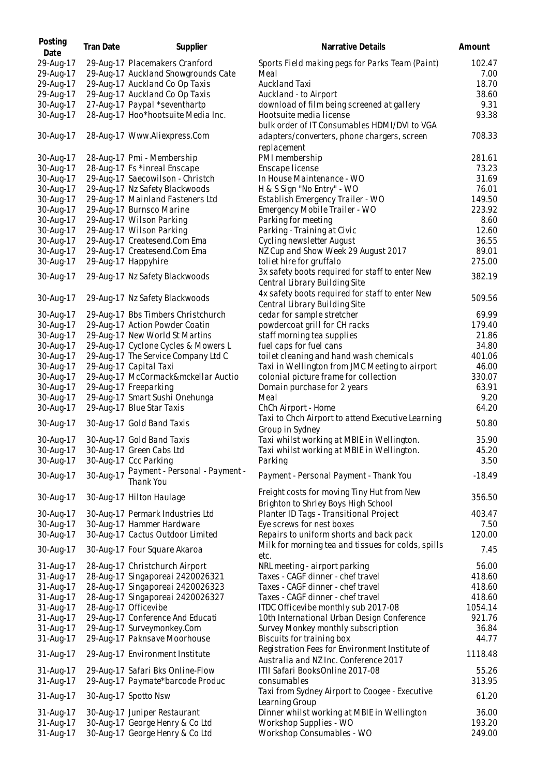| Posting<br>Date | <b>Tran Date</b> | Supplier                            | Narrative Details                                                                | Amount   |
|-----------------|------------------|-------------------------------------|----------------------------------------------------------------------------------|----------|
| 29-Aug-17       |                  | 29-Aug-17 Placemakers Cranford      | Sports Field making pegs for Parks Team (Paint)                                  | 102.47   |
| 29-Aug-17       |                  | 29-Aug-17 Auckland Showgrounds Cate | Meal                                                                             | 7.00     |
| 29-Aug-17       |                  | 29-Aug-17 Auckland Co Op Taxis      | Auckland Taxi                                                                    | 18.70    |
| 29-Aug-17       |                  | 29-Aug-17 Auckland Co Op Taxis      | Auckland - to Airport                                                            | 38.60    |
| 30-Aug-17       |                  | 27-Aug-17 Paypal *seventhartp       | download of film being screened at gallery                                       | 9.31     |
| 30-Aug-17       |                  | 28-Aug-17 Hoo*hootsuite Media Inc.  | Hootsuite media license                                                          | 93.38    |
|                 |                  |                                     | bulk order of IT Consumables HDMI/DVI to VGA                                     |          |
| 30-Aug-17       |                  | 28-Aug-17 Www.Aliexpress.Com        | adapters/converters, phone chargers, screen<br>replacement                       | 708.33   |
| 30-Aug-17       |                  | 28-Aug-17 Pmi - Membership          | PMI membership                                                                   | 281.61   |
| 30-Aug-17       |                  | 28-Aug-17 Fs *inreal Enscape        | Enscape license                                                                  | 73.23    |
| 30-Aug-17       |                  | 29-Aug-17 Saecowilson - Christch    | In House Maintenance - WO                                                        | 31.69    |
| 30-Aug-17       |                  | 29-Aug-17 Nz Safety Blackwoods      | H & S Sign "No Entry" - WO                                                       | 76.01    |
| 30-Aug-17       |                  | 29-Aug-17 Mainland Fasteners Ltd    | Establish Emergency Trailer - WO                                                 | 149.50   |
| 30-Aug-17       |                  | 29-Aug-17 Burnsco Marine            | Emergency Mobile Trailer - WO                                                    | 223.92   |
| 30-Aug-17       |                  | 29-Aug-17 Wilson Parking            | Parking for meeting                                                              | 8.60     |
| 30-Aug-17       |                  | 29-Aug-17 Wilson Parking            | Parking - Training at Civic                                                      | 12.60    |
| 30-Aug-17       |                  | 29-Aug-17 Createsend.Com Ema        | Cycling newsletter August                                                        | 36.55    |
| 30-Aug-17       |                  | 29-Aug-17 Createsend.Com Ema        | NZ Cup and Show Week 29 August 2017                                              | 89.01    |
| 30-Aug-17       |                  | 29-Aug-17 Happyhire                 | toliet hire for gruffalo                                                         | 275.00   |
|                 |                  |                                     | 3x safety boots required for staff to enter New                                  |          |
| 30-Aug-17       |                  | 29-Aug-17 Nz Safety Blackwoods      | Central Library Building Site                                                    | 382.19   |
| 30-Aug-17       |                  | 29-Aug-17 Nz Safety Blackwoods      | 4x safety boots required for staff to enter New<br>Central Library Building Site | 509.56   |
| 30-Aug-17       |                  | 29-Aug-17 Bbs Timbers Christchurch  | cedar for sample stretcher                                                       | 69.99    |
| 30-Aug-17       |                  | 29-Aug-17 Action Powder Coatin      | powdercoat grill for CH racks                                                    | 179.40   |
| 30-Aug-17       |                  | 29-Aug-17 New World St Martins      | staff morning tea supplies                                                       | 21.86    |
| 30-Aug-17       |                  | 29-Aug-17 Cyclone Cycles & Mowers L | fuel caps for fuel cans                                                          | 34.80    |
| 30-Aug-17       |                  | 29-Aug-17 The Service Company Ltd C | toilet cleaning and hand wash chemicals                                          | 401.06   |
| 30-Aug-17       |                  | 29-Aug-17 Capital Taxi              | Taxi in Wellington from JMC Meeting to airport                                   | 46.00    |
| 30-Aug-17       |                  | 29-Aug-17 McCormack&mckellar Auctio | colonial picture frame for collection                                            | 330.07   |
| 30-Aug-17       |                  | 29-Aug-17 Freeparking               | Domain purchase for 2 years                                                      | 63.91    |
| 30-Aug-17       |                  | 29-Aug-17 Smart Sushi Onehunga      | Meal                                                                             | 9.20     |
| 30-Aug-17       |                  | 29-Aug-17 Blue Star Taxis           | ChCh Airport - Home                                                              | 64.20    |
|                 |                  |                                     | Taxi to Chch Airport to attend Executive Learning                                |          |
| 30-Aug-17       |                  | 30-Aug-17 Gold Band Taxis           | Group in Sydney                                                                  | 50.80    |
| 30-Aug-17       |                  | 30-Aug-17 Gold Band Taxis           | Taxi whilst working at MBIE in Wellington.                                       | 35.90    |
| 30-Aug-17       |                  | 30-Aug-17 Green Cabs Ltd            | Taxi whilst working at MBIE in Wellington.                                       | 45.20    |
| 30-Aug-17       |                  | 30-Aug-17 Ccc Parking               | Parking                                                                          | 3.50     |
|                 |                  | Payment - Personal - Payment -      |                                                                                  |          |
| 30-Aug-17       | 30-Aug-17        | Thank You                           | Payment - Personal Payment - Thank You                                           | $-18.49$ |
| 30-Aug-17       |                  | 30-Aug-17 Hilton Haulage            | Freight costs for moving Tiny Hut from New                                       | 356.50   |
|                 |                  |                                     | Brighton to Shrley Boys High School                                              |          |
| 30-Aug-17       |                  | 30-Aug-17 Permark Industries Ltd    | Planter ID Tags - Transitional Project                                           | 403.47   |
| 30-Aug-17       |                  | 30-Aug-17 Hammer Hardware           | Eye screws for nest boxes                                                        | 7.50     |
| 30-Aug-17       |                  | 30-Aug-17 Cactus Outdoor Limited    | Repairs to uniform shorts and back pack                                          | 120.00   |
| 30-Aug-17       |                  | 30-Aug-17 Four Square Akaroa        | Milk for morning tea and tissues for colds, spills<br>etc.                       | 7.45     |
| 31-Aug-17       |                  | 28-Aug-17 Christchurch Airport      | NRL meeting - airport parking                                                    | 56.00    |
| 31-Aug-17       |                  | 28-Aug-17 Singaporeai 2420026321    | Taxes - CAGF dinner - chef travel                                                | 418.60   |
| 31-Aug-17       |                  | 28-Aug-17 Singaporeai 2420026323    | Taxes - CAGF dinner - chef travel                                                | 418.60   |
| 31-Aug-17       |                  | 28-Aug-17 Singaporeai 2420026327    | Taxes - CAGF dinner - chef travel                                                | 418.60   |
| 31-Aug-17       |                  | 28-Aug-17 Officevibe                | ITDC Officevibe monthly sub 2017-08                                              | 1054.14  |
| 31-Aug-17       |                  | 29-Aug-17 Conference And Educati    | 10th International Urban Design Conference                                       | 921.76   |
| 31-Aug-17       |                  | 29-Aug-17 Surveymonkey.Com          | Survey Monkey monthly subscription                                               | 36.84    |
| 31-Aug-17       |                  | 29-Aug-17 Paknsave Moorhouse        | Biscuits for training box<br>Registration Fees for Environment Institute of      | 44.77    |
| 31-Aug-17       |                  | 29-Aug-17 Environment Institute     | Australia and NZ Inc. Conference 2017                                            | 1118.48  |
| 31-Aug-17       |                  | 29-Aug-17 Safari Bks Online-Flow    | ITII Safari BooksOnline 2017-08                                                  | 55.26    |
| 31-Aug-17       |                  | 29-Aug-17 Paymate*barcode Produc    | consumables                                                                      | 313.95   |
| 31-Aug-17       |                  | 30-Aug-17 Spotto Nsw                | Taxi from Sydney Airport to Coogee - Executive<br>Learning Group                 | 61.20    |
| 31-Aug-17       |                  | 30-Aug-17 Juniper Restaurant        | Dinner whilst working at MBIE in Wellington                                      | 36.00    |
| 31-Aug-17       |                  | 30-Aug-17 George Henry & Co Ltd     | Workshop Supplies - WO                                                           | 193.20   |
| 31-Aug-17       |                  | 30-Aug-17 George Henry & Co Ltd     | Workshop Consumables - WO                                                        | 249.00   |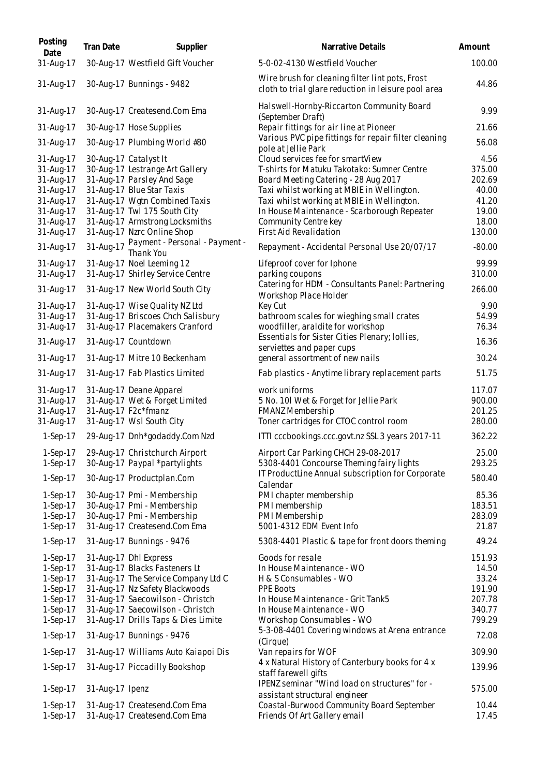| Posting<br>Date          | <b>Tran Date</b> | Supplier                                                           | Narrative Details                                                                                      | Amount           |
|--------------------------|------------------|--------------------------------------------------------------------|--------------------------------------------------------------------------------------------------------|------------------|
| 31-Aug-17                |                  | 30-Aug-17 Westfield Gift Voucher                                   | 5-0-02-4130 Westfield Voucher                                                                          | 100.00           |
| 31-Aug-17                |                  | 30-Aug-17 Bunnings - 9482                                          | Wire brush for cleaning filter lint pots, Frost<br>cloth to trial glare reduction in leisure pool area | 44.86            |
| 31-Aug-17                |                  | 30-Aug-17 Createsend.Com Ema                                       | Halswell-Hornby-Riccarton Community Board<br>(September Draft)                                         | 9.99             |
| 31-Aug-17                |                  | 30-Aug-17 Hose Supplies                                            | Repair fittings for air line at Pioneer                                                                | 21.66            |
| 31-Aug-17                |                  | 30-Aug-17 Plumbing World #80                                       | Various PVC pipe fittings for repair filter cleaning<br>pole at Jellie Park                            | 56.08            |
| 31-Aug-17                |                  | 30-Aug-17 Catalyst It                                              | Cloud services fee for smartView                                                                       | 4.56             |
| 31-Aug-17<br>31-Aug-17   |                  | 30-Aug-17 Lestrange Art Gallery<br>31-Aug-17 Parsley And Sage      | T-shirts for Matuku Takotako: Sumner Centre<br>Board Meeting Catering - 28 Aug 2017                    | 375.00<br>202.69 |
| 31-Aug-17                |                  | 31-Aug-17 Blue Star Taxis                                          | Taxi whilst working at MBIE in Wellington.                                                             | 40.00            |
| 31-Aug-17                |                  | 31-Aug-17 Wgtn Combined Taxis                                      | Taxi whilst working at MBIE in Wellington.                                                             | 41.20            |
| 31-Aug-17                |                  | 31-Aug-17 Twl 175 South City                                       | In House Maintenance - Scarborough Repeater                                                            | 19.00            |
| 31-Aug-17                |                  | 31-Aug-17 Armstrong Locksmiths                                     | Community Centre key                                                                                   | 18.00            |
| 31-Aug-17                |                  | 31-Aug-17 Nzrc Online Shop                                         | First Aid Revalidation                                                                                 | 130.00           |
| 31-Aug-17                | 31-Aug-17        | Payment - Personal - Payment -<br>Thank You                        | Repayment - Accidental Personal Use 20/07/17                                                           | $-80.00$         |
| 31-Aug-17                |                  | 31-Aug-17 Noel Leeming 12                                          | Lifeproof cover for Iphone                                                                             | 99.99            |
| 31-Aug-17                |                  | 31-Aug-17 Shirley Service Centre                                   | parking coupons                                                                                        | 310.00           |
| 31-Aug-17                |                  | 31-Aug-17 New World South City                                     | Catering for HDM - Consultants Panel: Partnering<br>Workshop Place Holder                              | 266.00           |
| 31-Aug-17                |                  | 31-Aug-17 Wise Quality NZ Ltd<br>31-Aug-17 Briscoes Chch Salisbury | Key Cut                                                                                                | 9.90<br>54.99    |
| 31-Aug-17<br>31-Aug-17   |                  | 31-Aug-17 Placemakers Cranford                                     | bathroom scales for wieghing small crates<br>woodfiller, araldite for workshop                         | 76.34            |
| 31-Aug-17                |                  | 31-Aug-17 Countdown                                                | Essentials for Sister Cities Plenary; Iollies,<br>serviettes and paper cups                            | 16.36            |
| 31-Aug-17                |                  | 31-Aug-17 Mitre 10 Beckenham                                       | general assortment of new nails                                                                        | 30.24            |
| 31-Aug-17                |                  | 31-Aug-17 Fab Plastics Limited                                     | Fab plastics - Anytime library replacement parts                                                       | 51.75            |
| 31-Aug-17                |                  | 31-Aug-17 Deane Apparel                                            | work uniforms                                                                                          | 117.07           |
| 31-Aug-17                |                  | 31-Aug-17 Wet & Forget Limited                                     | 5 No. 101 Wet & Forget for Jellie Park                                                                 | 900.00           |
| 31-Aug-17                |                  | 31-Aug-17 F2c*fmanz                                                | FMANZ Membership                                                                                       | 201.25           |
| 31-Aug-17                |                  | 31-Aug-17 Wsl South City                                           | Toner cartridges for CTOC control room                                                                 | 280.00           |
| $1-Sep-17$               |                  | 29-Aug-17 Dnh*godaddy.Com Nzd                                      | ITTI cccbookings.ccc.govt.nz SSL 3 years 2017-11                                                       | 362.22           |
| $1-Sep-17$               |                  | 29-Aug-17 Christchurch Airport                                     | Airport Car Parking CHCH 29-08-2017                                                                    | 25.00            |
| $1-Sep-17$               |                  | 30-Aug-17 Paypal *partylights                                      | 5308-4401 Concourse Theming fairy lights                                                               | 293.25           |
| $1-Sep-17$               |                  | 30-Aug-17 Productplan.Com                                          | IT ProductLine Annual subscription for Corporate<br>Calendar                                           | 580.40           |
| $1-Sep-17$<br>$1-Sep-17$ |                  | 30-Aug-17 Pmi - Membership<br>30-Aug-17 Pmi - Membership           | PMI chapter membership<br>PMI membership                                                               | 85.36            |
| $1-Sep-17$               |                  | 30-Aug-17 Pmi - Membership                                         | PMI Membership                                                                                         | 183.51<br>283.09 |
| $1-Sep-17$               |                  | 31-Aug-17 Createsend.Com Ema                                       | 5001-4312 EDM Event Info                                                                               | 21.87            |
| $1-Sep-17$               |                  | 31-Aug-17 Bunnings - 9476                                          | 5308-4401 Plastic & tape for front doors theming                                                       | 49.24            |
| $1-Sep-17$               |                  | 31-Aug-17 Dhl Express                                              | Goods for resale                                                                                       | 151.93           |
| $1-Sep-17$               |                  | 31-Aug-17 Blacks Fasteners Lt                                      | In House Maintenance - WO                                                                              | 14.50            |
| $1-Sep-17$               |                  | 31-Aug-17 The Service Company Ltd C                                | H & S Consumables - WO                                                                                 | 33.24            |
| $1-Sep-17$               |                  | 31-Aug-17 Nz Safety Blackwoods                                     | <b>PPE Boots</b>                                                                                       | 191.90           |
| $1-Sep-17$               |                  | 31-Aug-17 Saecowilson - Christch                                   | In House Maintenance - Grit Tank5                                                                      | 207.78           |
| $1-Sep-17$               |                  | 31-Aug-17 Saecowilson - Christch                                   | In House Maintenance - WO                                                                              | 340.77<br>799.29 |
| $1-Sep-17$<br>$1-Sep-17$ |                  | 31-Aug-17 Drills Taps & Dies Limite<br>31-Aug-17 Bunnings - 9476   | Workshop Consumables - WO<br>5-3-08-4401 Covering windows at Arena entrance                            | 72.08            |
| $1-Sep-17$               |                  | 31-Aug-17 Williams Auto Kaiapoi Dis                                | (Cirque)<br>Van repairs for WOF                                                                        | 309.90           |
|                          |                  |                                                                    | 4 x Natural History of Canterbury books for 4 x                                                        |                  |
| $1-Sep-17$               |                  | 31-Aug-17 Piccadilly Bookshop                                      | staff farewell gifts<br>IPENZ seminar "Wind load on structures" for -                                  | 139.96           |
| $1-Sep-17$               | 31-Aug-17 Ipenz  |                                                                    | assistant structural engineer                                                                          | 575.00           |
| $1-Sep-17$<br>1-Sep-17   |                  | 31-Aug-17 Createsend.Com Ema<br>31-Aug-17 Createsend.Com Ema       | Coastal-Burwood Community Board September<br>Friends Of Art Gallery email                              | 10.44<br>17.45   |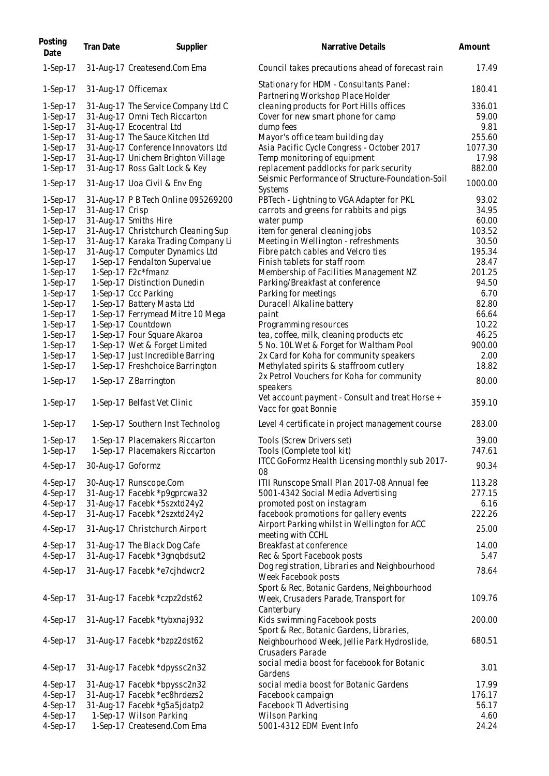| Posting<br>Date | <b>Tran Date</b>  | Supplier                            | Narrative Details                                                                    | Amount  |
|-----------------|-------------------|-------------------------------------|--------------------------------------------------------------------------------------|---------|
| 1-Sep-17        |                   | 31-Aug-17 Createsend.Com Ema        | Council takes precautions ahead of forecast rain                                     | 17.49   |
| $1-Sep-17$      |                   | 31-Aug-17 Officemax                 | Stationary for HDM - Consultants Panel:<br>Partnering Workshop Place Holder          | 180.41  |
| $1-Sep-17$      |                   | 31-Aug-17 The Service Company Ltd C | cleaning products for Port Hills offices                                             | 336.01  |
| $1-Sep-17$      |                   | 31-Aug-17 Omni Tech Riccarton       | Cover for new smart phone for camp                                                   | 59.00   |
| 1-Sep-17        |                   | 31-Aug-17 Ecocentral Ltd            | dump fees                                                                            | 9.81    |
| 1-Sep-17        |                   | 31-Aug-17 The Sauce Kitchen Ltd     | Mayor's office team building day                                                     | 255.60  |
| 1-Sep-17        |                   | 31-Aug-17 Conference Innovators Ltd | Asia Pacific Cycle Congress - October 2017                                           | 1077.30 |
| $1-Sep-17$      |                   | 31-Aug-17 Unichem Brighton Village  | Temp monitoring of equipment                                                         | 17.98   |
| $1-Sep-17$      |                   | 31-Aug-17 Ross Galt Lock & Key      | replacement paddlocks for park security                                              | 882.00  |
| 1-Sep-17        |                   | 31-Aug-17 Uoa Civil & Env Eng       | Seismic Performance of Structure-Foundation-Soil                                     | 1000.00 |
| $1-Sep-17$      |                   | 31-Aug-17 P B Tech Online 095269200 | <b>Systems</b><br>PBTech - Lightning to VGA Adapter for PKL                          | 93.02   |
| $1-Sep-17$      | 31-Aug-17 Crisp   |                                     | carrots and greens for rabbits and pigs                                              | 34.95   |
| 1-Sep-17        |                   | 31-Aug-17 Smiths Hire               | water pump                                                                           | 60.00   |
| $1-Sep-17$      |                   | 31-Aug-17 Christchurch Cleaning Sup | item for general cleaning jobs                                                       | 103.52  |
| $1-Sep-17$      |                   |                                     |                                                                                      | 30.50   |
|                 |                   | 31-Aug-17 Karaka Trading Company Li | Meeting in Wellington - refreshments                                                 |         |
| 1-Sep-17        |                   | 31-Aug-17 Computer Dynamics Ltd     | Fibre patch cables and Velcro ties                                                   | 195.34  |
| 1-Sep-17        |                   | 1-Sep-17 Fendalton Supervalue       | Finish tablets for staff room                                                        | 28.47   |
| 1-Sep-17        |                   | 1-Sep-17 F2c*fmanz                  | Membership of Facilities Management NZ                                               | 201.25  |
| 1-Sep-17        |                   | 1-Sep-17 Distinction Dunedin        | Parking/Breakfast at conference                                                      | 94.50   |
| $1-Sep-17$      |                   | 1-Sep-17 Ccc Parking                | Parking for meetings                                                                 | 6.70    |
| 1-Sep-17        |                   | 1-Sep-17 Battery Masta Ltd          | Duracell Alkaline battery                                                            | 82.80   |
| 1-Sep-17        |                   | 1-Sep-17 Ferrymead Mitre 10 Mega    | paint                                                                                | 66.64   |
| 1-Sep-17        |                   | 1-Sep-17 Countdown                  | Programming resources                                                                | 10.22   |
| 1-Sep-17        |                   | 1-Sep-17 Four Square Akaroa         | tea, coffee, milk, cleaning products etc                                             | 46.25   |
| 1-Sep-17        |                   | 1-Sep-17 Wet & Forget Limited       | 5 No. 10L Wet & Forget for Waltham Pool                                              | 900.00  |
| 1-Sep-17        |                   | 1-Sep-17 Just Incredible Barring    | 2x Card for Koha for community speakers                                              | 2.00    |
| 1-Sep-17        |                   | 1-Sep-17 Freshchoice Barrington     | Methylated spirits & staffroom cutlery                                               | 18.82   |
| $1-Sep-17$      |                   | 1-Sep-17 Z Barrington               | 2x Petrol Vouchers for Koha for community<br>speakers                                | 80.00   |
| $1-Sep-17$      |                   | 1-Sep-17 Belfast Vet Clinic         | Vet account payment - Consult and treat Horse +<br>Vacc for goat Bonnie              | 359.10  |
| 1-Sep-17        |                   | 1-Sep-17 Southern Inst Technolog    | Level 4 certificate in project management course                                     | 283.00  |
| $1-Sep-17$      |                   | 1-Sep-17 Placemakers Riccarton      | Tools (Screw Drivers set)                                                            | 39.00   |
| 1-Sep-17        |                   | 1-Sep-17 Placemakers Riccarton      | Tools (Complete tool kit)                                                            | 747.61  |
|                 |                   |                                     | ITCC GoFormz Health Licensing monthly sub 2017-                                      |         |
| $4-Sep-17$      | 30-Aug-17 Goformz |                                     | 08                                                                                   | 90.34   |
| 4-Sep-17        |                   | 30-Aug-17 Runscope.Com              | ITII Runscope Small Plan 2017-08 Annual fee                                          | 113.28  |
| 4-Sep-17        |                   | 31-Aug-17 Facebk *p9gprcwa32        | 5001-4342 Social Media Advertising                                                   | 277.15  |
| 4-Sep-17        |                   | 31-Aug-17 Facebk *5szxtd24y2        | promoted post on instagram                                                           | 6.16    |
| 4-Sep-17        |                   | 31-Aug-17 Facebk *2szxtd24y2        | facebook promotions for gallery events                                               | 222.26  |
| $4-Sep-17$      |                   | 31-Aug-17 Christchurch Airport      | Airport Parking whilst in Wellington for ACC<br>meeting with CCHL                    | 25.00   |
| $4-Sep-17$      |                   | 31-Aug-17 The Black Dog Cafe        | Breakfast at conference                                                              | 14.00   |
| 4-Sep-17        |                   | 31-Aug-17 Facebk *3gngbdsut2        | Rec & Sport Facebook posts                                                           | 5.47    |
| 4-Sep-17        |                   | 31-Aug-17 Facebk *e7cjhdwcr2        | Dog registration, Libraries and Neighbourhood<br>Week Facebook posts                 | 78.64   |
| 4-Sep-17        |                   | 31-Aug-17 Facebk *czpz2dst62        | Sport & Rec, Botanic Gardens, Neighbourhood<br>Week, Crusaders Parade, Transport for | 109.76  |
| 4-Sep-17        |                   | 31-Aug-17 Facebk *tybxnaj932        | Canterbury<br>Kids swimming Facebook posts                                           | 200.00  |
|                 |                   |                                     | Sport & Rec, Botanic Gardens, Libraries,                                             |         |
| 4-Sep-17        |                   | 31-Aug-17 Facebk *bzpz2dst62        | Neighbourhood Week, Jellie Park Hydroslide,<br>Crusaders Parade                      | 680.51  |
| 4-Sep-17        |                   | 31-Aug-17 Facebk *dpyssc2n32        | social media boost for facebook for Botanic<br>Gardens                               | 3.01    |
| 4-Sep-17        |                   | 31-Aug-17 Facebk *bpyssc2n32        | social media boost for Botanic Gardens                                               | 17.99   |
| 4-Sep-17        |                   | 31-Aug-17 Facebk *ec8hrdezs2        | Facebook campaign                                                                    | 176.17  |
| 4-Sep-17        |                   | 31-Aug-17 Facebk *g5a5jdatp2        | Facebook TI Advertising                                                              | 56.17   |
| 4-Sep-17        |                   | 1-Sep-17 Wilson Parking             | Wilson Parking                                                                       | 4.60    |
| 4-Sep-17        |                   | 1-Sep-17 Createsend.Com Ema         | 5001-4312 EDM Event Info                                                             | 24.24   |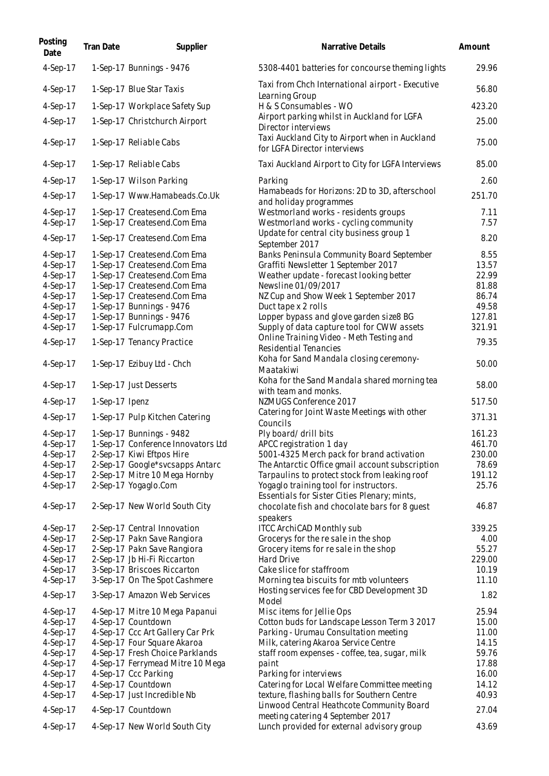| Posting<br>Date          | <b>Tran Date</b> | Supplier                                             | Narrative Details                                                                      | Amount          |
|--------------------------|------------------|------------------------------------------------------|----------------------------------------------------------------------------------------|-----------------|
| 4-Sep-17                 |                  | 1-Sep-17 Bunnings - 9476                             | 5308-4401 batteries for concourse theming lights                                       | 29.96           |
| 4-Sep-17                 |                  | 1-Sep-17 Blue Star Taxis                             | Taxi from Chch International airport - Executive<br>Learning Group                     | 56.80           |
| 4-Sep-17                 |                  | 1-Sep-17 Workplace Safety Sup                        | H & S Consumables - WO                                                                 | 423.20          |
| 4-Sep-17                 |                  | 1-Sep-17 Christchurch Airport                        | Airport parking whilst in Auckland for LGFA<br>Director interviews                     | 25.00           |
| 4-Sep-17                 |                  | 1-Sep-17 Reliable Cabs                               | Taxi Auckland City to Airport when in Auckland<br>for LGFA Director interviews         | 75.00           |
| 4-Sep-17                 |                  | 1-Sep-17 Reliable Cabs                               | Taxi Auckland Airport to City for LGFA Interviews                                      | 85.00           |
| 4-Sep-17                 |                  | 1-Sep-17 Wilson Parking                              | Parking                                                                                | 2.60            |
| 4-Sep-17                 |                  | 1-Sep-17 Www.Hamabeads.Co.Uk                         | Hamabeads for Horizons: 2D to 3D, afterschool<br>and holiday programmes                | 251.70          |
| $4-Sep-17$               |                  | 1-Sep-17 Createsend.Com Ema                          | Westmorland works - residents groups                                                   | 7.11            |
| 4-Sep-17                 |                  | 1-Sep-17 Createsend.Com Ema                          | Westmorland works - cycling community                                                  | 7.57            |
| 4-Sep-17                 |                  | 1-Sep-17 Createsend.Com Ema                          | Update for central city business group 1<br>September 2017                             | 8.20            |
| 4-Sep-17                 |                  | 1-Sep-17 Createsend.Com Ema                          | Banks Peninsula Community Board September                                              | 8.55            |
| $4-Sep-17$               |                  | 1-Sep-17 Createsend.Com Ema                          | Graffiti Newsletter 1 September 2017                                                   | 13.57           |
| 4-Sep-17                 |                  | 1-Sep-17 Createsend.Com Ema                          | Weather update - forecast looking better                                               | 22.99           |
| 4-Sep-17                 |                  | 1-Sep-17 Createsend.Com Ema                          | Newsline 01/09/2017                                                                    | 81.88           |
| $4-Sep-17$               |                  | 1-Sep-17 Createsend.Com Ema                          | NZ Cup and Show Week 1 September 2017                                                  | 86.74           |
| 4-Sep-17                 |                  | 1-Sep-17 Bunnings - 9476                             | Duct tape x 2 rolls                                                                    | 49.58           |
| 4-Sep-17                 |                  | 1-Sep-17 Bunnings - 9476                             | Lopper bypass and glove garden size8 BG                                                | 127.81          |
| $4-Sep-17$<br>$4-Sep-17$ |                  | 1-Sep-17 Fulcrumapp.Com<br>1-Sep-17 Tenancy Practice | Supply of data capture tool for CWW assets<br>Online Training Video - Meth Testing and | 321.91<br>79.35 |
| 4-Sep-17                 |                  | 1-Sep-17 Ezibuy Ltd - Chch                           | Residential Tenancies<br>Koha for Sand Mandala closing ceremony-                       | 50.00           |
|                          |                  |                                                      | Maatakiwi<br>Koha for the Sand Mandala shared morning tea                              |                 |
| 4-Sep-17<br>4-Sep-17     | 1-Sep-17 Ipenz   | 1-Sep-17 Just Desserts                               | with team and monks.<br>NZMUGS Conference 2017                                         | 58.00<br>517.50 |
|                          |                  |                                                      | Catering for Joint Waste Meetings with other                                           |                 |
| 4-Sep-17                 |                  | 1-Sep-17 Pulp Kitchen Catering                       | Councils                                                                               | 371.31          |
| $4-Sep-17$               |                  | 1-Sep-17 Bunnings - 9482                             | Ply board/ drill bits                                                                  | 161.23          |
| 4-Sep-17                 |                  | 1-Sep-17 Conference Innovators Ltd                   | APCC registration 1 day                                                                | 461.70          |
| 4-Sep-17                 |                  | 2-Sep-17 Kiwi Eftpos Hire                            | 5001-4325 Merch pack for brand activation                                              | 230.00          |
| 4-Sep-17                 |                  | 2-Sep-17 Google*svcsapps Antarc                      | The Antarctic Office gmail account subscription                                        | 78.69           |
| 4-Sep-17                 |                  | 2-Sep-17 Mitre 10 Mega Hornby                        | Tarpaulins to protect stock from leaking roof                                          | 191.12          |
| 4-Sep-17                 |                  | 2-Sep-17 Yogaglo.Com                                 | Yogaglo training tool for instructors.<br>Essentials for Sister Cities Plenary; mints, | 25.76           |
| 4-Sep-17                 |                  | 2-Sep-17 New World South City                        | chocolate fish and chocolate bars for 8 guest<br>speakers                              | 46.87           |
| $4-Sep-17$               |                  | 2-Sep-17 Central Innovation                          | <b>ITCC ArchiCAD Monthly sub</b>                                                       | 339.25          |
| $4-Sep-17$               |                  | 2-Sep-17 Pakn Save Rangiora                          | Grocerys for the resale in the shop                                                    | 4.00            |
| 4-Sep-17                 |                  | 2-Sep-17 Pakn Save Rangiora                          | Grocery items for resale in the shop                                                   | 55.27           |
| 4-Sep-17                 |                  | 2-Sep-17 Jb Hi-Fi Riccarton                          | Hard Drive                                                                             | 229.00          |
| 4-Sep-17                 |                  | 3-Sep-17 Briscoes Riccarton                          | Cake slice for staffroom                                                               | 10.19           |
| 4-Sep-17                 |                  | 3-Sep-17 On The Spot Cashmere                        | Morning tea biscuits for mtb volunteers                                                | 11.10           |
| 4-Sep-17                 |                  | 3-Sep-17 Amazon Web Services                         | Hosting services fee for CBD Development 3D<br>Model                                   | 1.82            |
| 4-Sep-17                 |                  | 4-Sep-17 Mitre 10 Mega Papanui                       | Misc items for Jellie Ops                                                              | 25.94           |
| $4-Sep-17$               |                  | 4-Sep-17 Countdown                                   | Cotton buds for Landscape Lesson Term 3 2017                                           | 15.00           |
| 4-Sep-17                 |                  | 4-Sep-17 Ccc Art Gallery Car Prk                     | Parking - Urumau Consultation meeting                                                  | 11.00           |
| 4-Sep-17                 |                  | 4-Sep-17 Four Square Akaroa                          | Milk, catering Akaroa Service Centre                                                   | 14.15           |
| 4-Sep-17                 |                  | 4-Sep-17 Fresh Choice Parklands                      | staff room expenses - coffee, tea, sugar, milk                                         | 59.76           |
| 4-Sep-17                 |                  | 4-Sep-17 Ferrymead Mitre 10 Mega                     | paint                                                                                  | 17.88           |
| 4-Sep-17                 |                  | 4-Sep-17 Ccc Parking                                 | Parking for interviews                                                                 | 16.00           |
| 4-Sep-17                 |                  | 4-Sep-17 Countdown                                   | Catering for Local Welfare Committee meeting                                           | 14.12           |
| 4-Sep-17                 |                  | 4-Sep-17 Just Incredible Nb                          | texture, flashing balls for Southern Centre                                            | 40.93           |
|                          |                  |                                                      | Linwood Central Heathcote Community Board                                              | 27.04           |
| 4-Sep-17<br>4-Sep-17     |                  | 4-Sep-17 Countdown<br>4-Sep-17 New World South City  | meeting catering 4 September 2017<br>Lunch provided for external advisory group        | 43.69           |
|                          |                  |                                                      |                                                                                        |                 |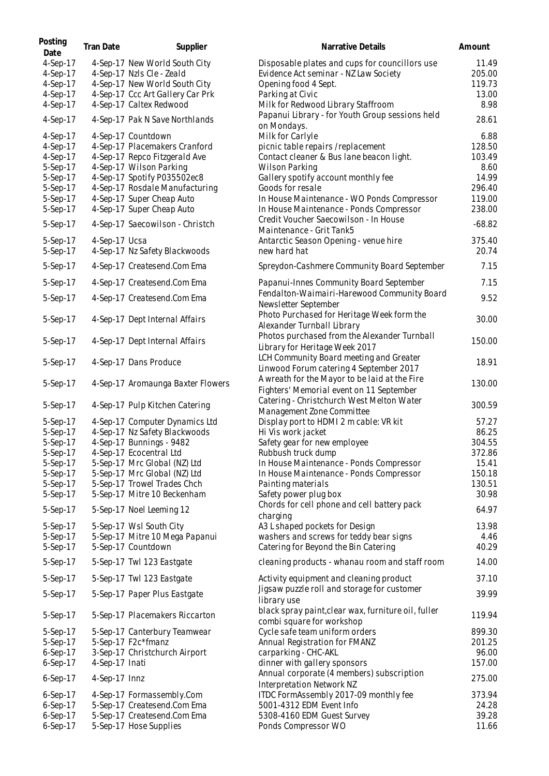| Posting<br>Date | <b>Tran Date</b> | Supplier                          | Narrative Details                                                                         | Amount   |
|-----------------|------------------|-----------------------------------|-------------------------------------------------------------------------------------------|----------|
| $4-Sep-17$      |                  | 4-Sep-17 New World South City     | Disposable plates and cups for councillors use                                            | 11.49    |
| 4-Sep-17        |                  | 4-Sep-17 Nzls Cle - Zeald         | Evidence Act seminar - NZ Law Society                                                     | 205.00   |
| 4-Sep-17        |                  | 4-Sep-17 New World South City     | Opening food 4 Sept.                                                                      | 119.73   |
| 4-Sep-17        |                  | 4-Sep-17 Ccc Art Gallery Car Prk  | Parking at Civic                                                                          | 13.00    |
| 4-Sep-17        |                  | 4-Sep-17 Caltex Redwood           | Milk for Redwood Library Staffroom                                                        | 8.98     |
| 4-Sep-17        |                  | 4-Sep-17 Pak N Save Northlands    | Papanui Library - for Youth Group sessions held<br>on Mondays.                            | 28.61    |
| 4-Sep-17        |                  | 4-Sep-17 Countdown                | Milk for Carlyle                                                                          | 6.88     |
| $4-Sep-17$      |                  | 4-Sep-17 Placemakers Cranford     | picnic table repairs /replacement                                                         | 128.50   |
| 4-Sep-17        |                  | 4-Sep-17 Repco Fitzgerald Ave     | Contact cleaner & Bus lane beacon light.                                                  | 103.49   |
| 5-Sep-17        |                  | 4-Sep-17 Wilson Parking           | Wilson Parking                                                                            | 8.60     |
| 5-Sep-17        |                  | 4-Sep-17 Spotify P035502ec8       | Gallery spotify account monthly fee                                                       | 14.99    |
| 5-Sep-17        |                  | 4-Sep-17 Rosdale Manufacturing    | Goods for resale                                                                          | 296.40   |
| 5-Sep-17        |                  | 4-Sep-17 Super Cheap Auto         | In House Maintenance - WO Ponds Compressor                                                | 119.00   |
| 5-Sep-17        |                  | 4-Sep-17 Super Cheap Auto         | In House Maintenance - Ponds Compressor                                                   | 238.00   |
| 5-Sep-17        |                  | 4-Sep-17 Saecowilson - Christch   | Credit Voucher Saecowilson - In House<br>Maintenance - Grit Tank5                         | $-68.82$ |
| 5-Sep-17        | 4-Sep-17 Ucsa    |                                   | Antarctic Season Opening - venue hire                                                     | 375.40   |
| 5-Sep-17        |                  | 4-Sep-17 Nz Safety Blackwoods     | new hard hat                                                                              | 20.74    |
| 5-Sep-17        |                  | 4-Sep-17 Createsend.Com Ema       | Spreydon-Cashmere Community Board September                                               | 7.15     |
| 5-Sep-17        |                  | 4-Sep-17 Createsend.Com Ema       | Papanui-Innes Community Board September                                                   | 7.15     |
| 5-Sep-17        |                  | 4-Sep-17 Createsend.Com Ema       | Fendalton-Waimairi-Harewood Community Board<br>Newsletter September                       | 9.52     |
| 5-Sep-17        |                  | 4-Sep-17 Dept Internal Affairs    | Photo Purchased for Heritage Week form the<br>Alexander Turnball Library                  | 30.00    |
| 5-Sep-17        |                  | 4-Sep-17 Dept Internal Affairs    | Photos purchased from the Alexander Turnball<br>Library for Heritage Week 2017            | 150.00   |
| 5-Sep-17        |                  | 4-Sep-17 Dans Produce             | LCH Community Board meeting and Greater<br>Linwood Forum catering 4 September 2017        | 18.91    |
| 5-Sep-17        |                  | 4-Sep-17 Aromaunga Baxter Flowers | A wreath for the Mayor to be laid at the Fire<br>Fighters' Memorial event on 11 September | 130.00   |
| 5-Sep-17        |                  | 4-Sep-17 Pulp Kitchen Catering    | Catering - Christchurch West Melton Water<br>Management Zone Committee                    | 300.59   |
| 5-Sep-17        |                  | 4-Sep-17 Computer Dynamics Ltd    | Display port to HDMI 2 m cable: VR kit                                                    | 57.27    |
| 5-Sep-17        |                  | 4-Sep-17 Nz Safety Blackwoods     | Hi Vis work jacket                                                                        | 86.25    |
| 5-Sep-17        |                  | 4-Sep-17 Bunnings - 9482          | Safety gear for new employee                                                              | 304.55   |
| 5-Sep-17        |                  | 4-Sep-17 Ecocentral Ltd           | Rubbush truck dump                                                                        | 372.86   |
| 5-Sep-17        |                  | 5-Sep-17 Mrc Global (NZ) Ltd      | In House Maintenance - Ponds Compressor                                                   | 15.41    |
| 5-Sep-17        |                  | 5-Sep-17 Mrc Global (NZ) Ltd      | In House Maintenance - Ponds Compressor                                                   | 150.18   |
| 5-Sep-17        |                  | 5-Sep-17 Trowel Trades Chch       | Painting materials                                                                        | 130.51   |
| 5-Sep-17        |                  | 5-Sep-17 Mitre 10 Beckenham       | Safety power plug box                                                                     | 30.98    |
| 5-Sep-17        |                  | 5-Sep-17 Noel Leeming 12          | Chords for cell phone and cell battery pack                                               | 64.97    |
|                 |                  |                                   | charging                                                                                  |          |
| 5-Sep-17        |                  | 5-Sep-17 Wsl South City           | A3 L shaped pockets for Design                                                            | 13.98    |
| 5-Sep-17        |                  | 5-Sep-17 Mitre 10 Mega Papanui    | washers and screws for teddy bear signs                                                   | 4.46     |
| 5-Sep-17        |                  | 5-Sep-17 Countdown                | Catering for Beyond the Bin Catering                                                      | 40.29    |
| 5-Sep-17        |                  | 5-Sep-17 Twl 123 Eastgate         | cleaning products - whanau room and staff room                                            | 14.00    |
| 5-Sep-17        |                  | 5-Sep-17 Twl 123 Eastgate         | Activity equipment and cleaning product                                                   | 37.10    |
| 5-Sep-17        |                  | 5-Sep-17 Paper Plus Eastgate      | Jigsaw puzzle roll and storage for customer<br>library use                                | 39.99    |
| 5-Sep-17        |                  | 5-Sep-17 Placemakers Riccarton    | black spray paint, clear wax, furniture oil, fuller<br>combi square for workshop          | 119.94   |
| 5-Sep-17        |                  | 5-Sep-17 Canterbury Teamwear      | Cycle safe team uniform orders                                                            | 899.30   |
| 5-Sep-17        |                  | 5-Sep-17 F2c*fmanz                | Annual Registration for FMANZ                                                             | 201.25   |
| $6-Sep-17$      |                  | 3-Sep-17 Christchurch Airport     | carparking - CHC-AKL                                                                      | 96.00    |
| $6-Sep-17$      | 4-Sep-17 Inati   |                                   | dinner with gallery sponsors                                                              | 157.00   |
| $6-Sep-17$      | 4-Sep-17 Innz    |                                   | Annual corporate (4 members) subscription<br><b>Interpretation Network NZ</b>             | 275.00   |
| $6-Sep-17$      |                  | 4-Sep-17 Formassembly.Com         | ITDC FormAssembly 2017-09 monthly fee                                                     | 373.94   |
| $6-Sep-17$      |                  | 5-Sep-17 Createsend.Com Ema       | 5001-4312 EDM Event Info                                                                  | 24.28    |
| $6-Sep-17$      |                  | 5-Sep-17 Createsend.Com Ema       | 5308-4160 EDM Guest Survey                                                                | 39.28    |
| $6-Sep-17$      |                  | 5-Sep-17 Hose Supplies            | Ponds Compressor WO                                                                       | 11.66    |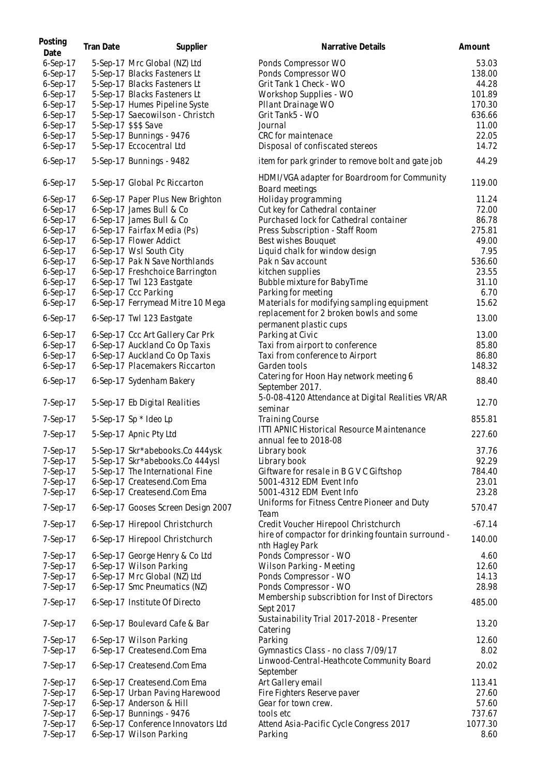| Posting<br>Date | <b>Tran Date</b> | Supplier                           | Narrative Details                                                                                 | Amount   |
|-----------------|------------------|------------------------------------|---------------------------------------------------------------------------------------------------|----------|
| $6-Sep-17$      |                  | 5-Sep-17 Mrc Global (NZ) Ltd       | Ponds Compressor WO                                                                               | 53.03    |
| $6-Sep-17$      |                  | 5-Sep-17 Blacks Fasteners Lt       | Ponds Compressor WO                                                                               | 138.00   |
| $6-Sep-17$      |                  | 5-Sep-17 Blacks Fasteners Lt       | Grit Tank 1 Check - WO                                                                            | 44.28    |
| $6-Sep-17$      |                  | 5-Sep-17 Blacks Fasteners Lt       | Workshop Supplies - WO                                                                            | 101.89   |
| $6-Sep-17$      |                  | 5-Sep-17 Humes Pipeline Syste      | Pllant Drainage WO                                                                                | 170.30   |
| $6-Sep-17$      |                  | 5-Sep-17 Saecowilson - Christch    | Grit Tank5 - WO                                                                                   | 636.66   |
|                 |                  |                                    |                                                                                                   |          |
| $6-Sep-17$      |                  | 5-Sep-17 \$\$\$ Save               | Journal                                                                                           | 11.00    |
| $6-Sep-17$      |                  | 5-Sep-17 Bunnings - 9476           | CRC for maintenace                                                                                | 22.05    |
| $6-Sep-17$      |                  | 5-Sep-17 Eccocentral Ltd           | Disposal of confiscated stereos                                                                   | 14.72    |
| 6-Sep-17        |                  | 5-Sep-17 Bunnings - 9482           | item for park grinder to remove bolt and gate job<br>HDMI/VGA adapter for Boardroom for Community | 44.29    |
| 6-Sep-17        |                  | 5-Sep-17 Global Pc Riccarton       | Board meetings                                                                                    | 119.00   |
| $6-Sep-17$      |                  | 6-Sep-17 Paper Plus New Brighton   | Holiday programming                                                                               | 11.24    |
| $6-Sep-17$      |                  | 6-Sep-17 James Bull & Co           | Cut key for Cathedral container                                                                   | 72.00    |
| $6-Sep-17$      |                  | 6-Sep-17 James Bull & Co           | Purchased lock for Cathedral container                                                            | 86.78    |
| $6-Sep-17$      |                  | 6-Sep-17 Fairfax Media (Ps)        | Press Subscription - Staff Room                                                                   | 275.81   |
| $6-Sep-17$      |                  | 6-Sep-17 Flower Addict             | Best wishes Bouquet                                                                               | 49.00    |
| $6-Sep-17$      |                  | 6-Sep-17 Wsl South City            | Liquid chalk for window design                                                                    | 7.95     |
| $6-Sep-17$      |                  | 6-Sep-17 Pak N Save Northlands     | Pak n Sav account                                                                                 | 536.60   |
| $6-Sep-17$      |                  | 6-Sep-17 Freshchoice Barrington    | kitchen supplies                                                                                  | 23.55    |
| $6-Sep-17$      |                  | 6-Sep-17 Twl 123 Eastgate          | Bubble mixture for BabyTime                                                                       | 31.10    |
| $6-Sep-17$      |                  | 6-Sep-17 Ccc Parking               | Parking for meeting                                                                               | 6.70     |
| $6-Sep-17$      |                  | 6-Sep-17 Ferrymead Mitre 10 Mega   | Materials for modifying sampling equipment                                                        | 15.62    |
|                 |                  |                                    | replacement for 2 broken bowls and some                                                           | 13.00    |
| 6-Sep-17        |                  | 6-Sep-17 Twl 123 Eastgate          | permanent plastic cups                                                                            |          |
| 6-Sep-17        |                  | 6-Sep-17 Ccc Art Gallery Car Prk   | Parking at Civic                                                                                  | 13.00    |
| $6-Sep-17$      |                  | 6-Sep-17 Auckland Co Op Taxis      | Taxi from airport to conference                                                                   | 85.80    |
| $6-Sep-17$      |                  | 6-Sep-17 Auckland Co Op Taxis      | Taxi from conference to Airport                                                                   | 86.80    |
| $6-Sep-17$      |                  | 6-Sep-17 Placemakers Riccarton     | Garden tools                                                                                      | 148.32   |
| $6-Sep-17$      |                  | 6-Sep-17 Sydenham Bakery           | Catering for Hoon Hay network meeting 6                                                           | 88.40    |
|                 |                  |                                    | September 2017.                                                                                   |          |
| 7-Sep-17        |                  | 5-Sep-17 Eb Digital Realities      | 5-0-08-4120 Attendance at Digital Realities VR/AR<br>seminar                                      | 12.70    |
| 7-Sep-17        |                  | 5-Sep-17 Sp * Ideo Lp              | <b>Training Course</b>                                                                            | 855.81   |
| 7-Sep-17        |                  | 5-Sep-17 Apnic Pty Ltd             | ITTI APNIC Historical Resource Maintenance                                                        | 227.60   |
|                 |                  |                                    | annual fee to 2018-08                                                                             |          |
| 7-Sep-17        |                  | 5-Sep-17 Skr*abebooks.Co 444ysk    | Library book                                                                                      | 37.76    |
| 7-Sep-17        |                  | 5-Sep-17 Skr*abebooks.Co 444ysl    | Library book                                                                                      | 92.29    |
| 7-Sep-17        |                  | 5-Sep-17 The International Fine    | Giftware for resale in B G V C Giftshop                                                           | 784.40   |
| 7-Sep-17        |                  | 6-Sep-17 Createsend.Com Ema        | 5001-4312 EDM Event Info                                                                          | 23.01    |
| 7-Sep-17        |                  | 6-Sep-17 Createsend.Com Ema        | 5001-4312 EDM Event Info                                                                          | 23.28    |
| 7-Sep-17        |                  | 6-Sep-17 Gooses Screen Design 2007 | Uniforms for Fitness Centre Pioneer and Duty<br>Team                                              | 570.47   |
| $7-Sep-17$      |                  | 6-Sep-17 Hirepool Christchurch     | Credit Voucher Hirepool Christchurch                                                              | $-67.14$ |
| 7-Sep-17        |                  | 6-Sep-17 Hirepool Christchurch     | hire of compactor for drinking fountain surround -<br>nth Hagley Park                             | 140.00   |
| $7-Sep-17$      |                  | 6-Sep-17 George Henry & Co Ltd     | Ponds Compressor - WO                                                                             | 4.60     |
| 7-Sep-17        |                  | 6-Sep-17 Wilson Parking            | Wilson Parking - Meeting                                                                          | 12.60    |
| 7-Sep-17        |                  | 6-Sep-17 Mrc Global (NZ) Ltd       | Ponds Compressor - WO                                                                             | 14.13    |
| 7-Sep-17        |                  | 6-Sep-17 Smc Pneumatics (NZ)       | Ponds Compressor - WO                                                                             | 28.98    |
|                 |                  |                                    | Membership subscribtion for Inst of Directors                                                     |          |
| 7-Sep-17        |                  | 6-Sep-17 Institute Of Directo      | Sept 2017<br>Sustainability Trial 2017-2018 - Presenter                                           | 485.00   |
| 7-Sep-17        |                  | 6-Sep-17 Boulevard Cafe & Bar      | Catering                                                                                          | 13.20    |
| 7-Sep-17        |                  | 6-Sep-17 Wilson Parking            | Parking                                                                                           | 12.60    |
| 7-Sep-17        |                  | 6-Sep-17 Createsend.Com Ema        | Gymnastics Class - no class 7/09/17                                                               | 8.02     |
| 7-Sep-17        |                  | 6-Sep-17 Createsend.Com Ema        | Linwood-Central-Heathcote Community Board<br>September                                            | 20.02    |
| 7-Sep-17        |                  | 6-Sep-17 Createsend.Com Ema        | Art Gallery email                                                                                 | 113.41   |
| 7-Sep-17        |                  | 6-Sep-17 Urban Paving Harewood     | Fire Fighters Reserve paver                                                                       | 27.60    |
| 7-Sep-17        |                  | 6-Sep-17 Anderson & Hill           | Gear for town crew.                                                                               | 57.60    |
| 7-Sep-17        |                  | 6-Sep-17 Bunnings - 9476           | tools etc                                                                                         | 737.67   |
| 7-Sep-17        |                  | 6-Sep-17 Conference Innovators Ltd | Attend Asia-Pacific Cycle Congress 2017                                                           | 1077.30  |
| 7-Sep-17        |                  | 6-Sep-17 Wilson Parking            | Parking                                                                                           | 8.60     |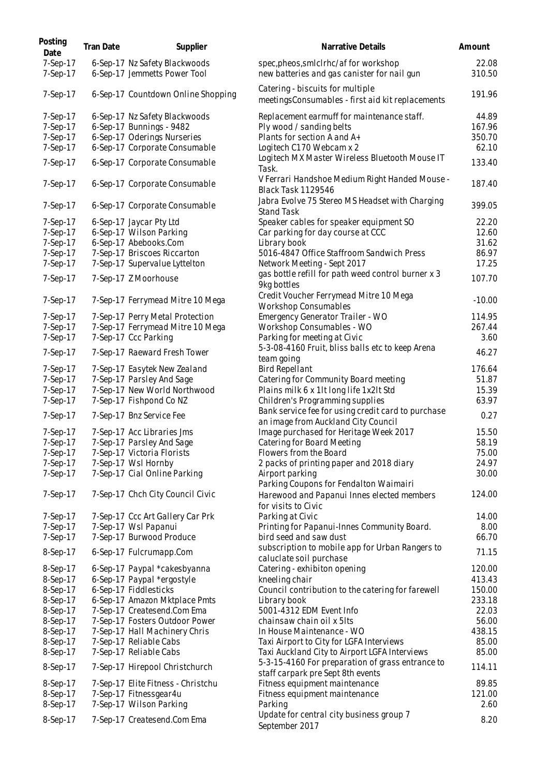| Posting<br>Date      | Tran Date | Supplier                                                      | Narrative Details                                                                                 | Amount          |
|----------------------|-----------|---------------------------------------------------------------|---------------------------------------------------------------------------------------------------|-----------------|
| 7-Sep-17<br>7-Sep-17 |           | 6-Sep-17 Nz Safety Blackwoods<br>6-Sep-17 Jemmetts Power Tool | spec, pheos, smlclrhc/affor workshop<br>new batteries and gas canister for nail gun               | 22.08<br>310.50 |
| 7-Sep-17             |           | 6-Sep-17 Countdown Online Shopping                            | Catering - biscuits for multiple<br>meetingsConsumables - first aid kit replacements              | 191.96          |
| 7-Sep-17             |           | 6-Sep-17 Nz Safety Blackwoods                                 | Replacement earmuff for maintenance staff.                                                        | 44.89           |
| 7-Sep-17             |           | 6-Sep-17 Bunnings - 9482                                      | Ply wood / sanding belts                                                                          | 167.96          |
| 7-Sep-17             |           | 6-Sep-17 Oderings Nurseries                                   | Plants for section A and A+                                                                       | 350.70          |
| 7-Sep-17             |           | 6-Sep-17 Corporate Consumable                                 | Logitech C170 Webcam x 2                                                                          | 62.10           |
| 7-Sep-17             |           | 6-Sep-17 Corporate Consumable                                 | Logitech MX Master Wireless Bluetooth Mouse IT<br>Task.                                           | 133.40          |
| 7-Sep-17             |           | 6-Sep-17 Corporate Consumable                                 | V Ferrari Handshoe Medium Right Handed Mouse -<br><b>Black Task 1129546</b>                       | 187.40          |
| 7-Sep-17             |           | 6-Sep-17 Corporate Consumable                                 | Jabra Evolve 75 Stereo MS Headset with Charging<br><b>Stand Task</b>                              | 399.05          |
| 7-Sep-17             |           | 6-Sep-17 Jaycar Pty Ltd                                       | Speaker cables for speaker equipment SO                                                           | 22.20           |
| 7-Sep-17             |           | 6-Sep-17 Wilson Parking                                       | Car parking for day course at CCC                                                                 | 12.60           |
| 7-Sep-17             |           | 6-Sep-17 Abebooks.Com                                         | Library book                                                                                      | 31.62           |
| 7-Sep-17             |           | 7-Sep-17 Briscoes Riccarton                                   | 5016-4847 Office Staffroom Sandwich Press                                                         | 86.97           |
| 7-Sep-17             |           | 7-Sep-17 Supervalue Lyttelton                                 | Network Meeting - Sept 2017                                                                       | 17.25           |
| 7-Sep-17             |           | 7-Sep-17 Z Moorhouse                                          | gas bottle refill for path weed control burner x 3                                                | 107.70          |
|                      |           |                                                               | 9kg bottles<br>Credit Voucher Ferrymead Mitre 10 Mega                                             |                 |
| 7-Sep-17             |           | 7-Sep-17 Ferrymead Mitre 10 Mega                              | <b>Workshop Consumables</b>                                                                       | $-10.00$        |
| 7-Sep-17             |           | 7-Sep-17 Perry Metal Protection                               | Emergency Generator Trailer - WO                                                                  | 114.95          |
| 7-Sep-17             |           | 7-Sep-17 Ferrymead Mitre 10 Mega                              | Workshop Consumables - WO                                                                         | 267.44          |
| 7-Sep-17             |           | 7-Sep-17 Ccc Parking                                          | Parking for meeting at Civic                                                                      | 3.60            |
| 7-Sep-17             |           | 7-Sep-17 Raeward Fresh Tower                                  | 5-3-08-4160 Fruit, bliss balls etc to keep Arena<br>team going                                    | 46.27           |
| 7-Sep-17             |           | 7-Sep-17 Easytek New Zealand                                  | <b>Bird Repellant</b>                                                                             | 176.64          |
| 7-Sep-17             |           | 7-Sep-17 Parsley And Sage                                     | Catering for Community Board meeting                                                              | 51.87           |
| 7-Sep-17             |           | 7-Sep-17 New World Northwood                                  | Plains milk 6 x 1lt long life 1x2lt Std                                                           | 15.39           |
| 7-Sep-17             |           | 7-Sep-17 Fishpond Co NZ                                       | Children's Programming supplies                                                                   | 63.97           |
| 7-Sep-17             |           | 7-Sep-17 Bnz Service Fee                                      | Bank service fee for using credit card to purchase<br>an image from Auckland City Council         | 0.27            |
| 7-Sep-17             |           | 7-Sep-17 Acc Libraries Jms                                    | Image purchased for Heritage Week 2017                                                            | 15.50           |
| 7-Sep-17             |           | 7-Sep-17 Parsley And Sage                                     | Catering for Board Meeting                                                                        | 58.19           |
| 7-Sep-17             |           | 7-Sep-17 Victoria Florists                                    | Flowers from the Board                                                                            | 75.00           |
| 7-Sep-17             |           | 7-Sep-17 Wsl Hornby                                           | 2 packs of printing paper and 2018 diary                                                          | 24.97           |
| 7-Sep-17             |           | 7-Sep-17 Cial Online Parking                                  | Airport parking                                                                                   | 30.00           |
|                      |           |                                                               | Parking Coupons for Fendalton Waimairi                                                            |                 |
| 7-Sep-17             |           | 7-Sep-17 Chch City Council Civic                              | Harewood and Papanui Innes elected members<br>for visits to Civic                                 | 124.00          |
| 7-Sep-17             |           | 7-Sep-17 Ccc Art Gallery Car Prk                              | Parking at Civic                                                                                  | 14.00           |
| 7-Sep-17             |           | 7-Sep-17 Wsl Papanui                                          | Printing for Papanui-Innes Community Board.                                                       | 8.00            |
| 7-Sep-17             |           | 7-Sep-17 Burwood Produce                                      | bird seed and saw dust                                                                            | 66.70           |
| 8-Sep-17             |           | 6-Sep-17 Fulcrumapp.Com                                       | subscription to mobile app for Urban Rangers to<br>caluclate soil purchase                        | 71.15           |
| 8-Sep-17             |           | 6-Sep-17 Paypal *cakesbyanna                                  | Catering - exhibiton opening                                                                      | 120.00          |
| 8-Sep-17             |           | 6-Sep-17 Paypal *ergostyle                                    | kneeling chair                                                                                    | 413.43          |
| 8-Sep-17             |           | 6-Sep-17 Fiddlesticks                                         | Council contribution to the catering for farewell                                                 | 150.00          |
| 8-Sep-17             |           | 6-Sep-17 Amazon Mktplace Pmts                                 | Library book                                                                                      | 233.18          |
| 8-Sep-17             |           | 7-Sep-17 Createsend.Com Ema                                   | 5001-4312 EDM Event Info                                                                          | 22.03           |
| 8-Sep-17             |           |                                                               |                                                                                                   | 56.00           |
|                      |           | 7-Sep-17 Fosters Outdoor Power                                | chainsaw chain oil x 5lts                                                                         |                 |
| 8-Sep-17             |           | 7-Sep-17 Hall Machinery Chris                                 | In House Maintenance - WO                                                                         | 438.15          |
| 8-Sep-17             |           | 7-Sep-17 Reliable Cabs                                        | Taxi Airport to City for LGFA Interviews                                                          | 85.00           |
| 8-Sep-17<br>8-Sep-17 |           | 7-Sep-17 Reliable Cabs<br>7-Sep-17 Hirepool Christchurch      | Taxi Auckland City to Airport LGFA Interviews<br>5-3-15-4160 For preparation of grass entrance to | 85.00<br>114.11 |
|                      |           |                                                               | staff carpark pre Sept 8th events                                                                 |                 |
| 8-Sep-17             |           | 7-Sep-17 Elite Fitness - Christchu                            | Fitness equipment maintenance                                                                     | 89.85           |
| 8-Sep-17             |           | 7-Sep-17 Fitnessgear4u                                        | Fitness equipment maintenance                                                                     | 121.00          |
| 8-Sep-17             |           | 7-Sep-17 Wilson Parking                                       | Parking                                                                                           | 2.60            |
| 8-Sep-17             |           | 7-Sep-17 Createsend.Com Ema                                   | Update for central city business group 7<br>September 2017                                        | 8.20            |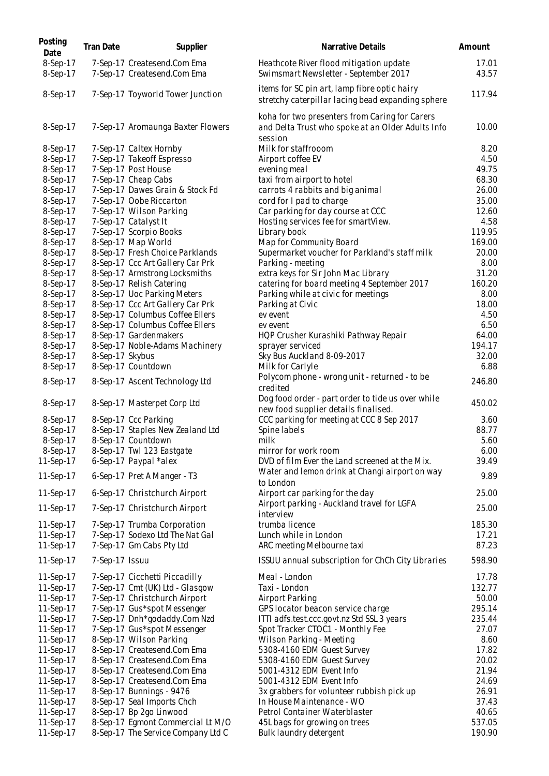| Posting<br>Date        | <b>Tran Date</b> | Supplier                                                        | Narrative Details                                                                                   | Amount          |
|------------------------|------------------|-----------------------------------------------------------------|-----------------------------------------------------------------------------------------------------|-----------------|
| 8-Sep-17<br>8-Sep-17   |                  | 7-Sep-17 Createsend.Com Ema<br>7-Sep-17 Createsend.Com Ema      | Heathcote River flood mitigation update<br>Swimsmart Newsletter - September 2017                    | 17.01<br>43.57  |
| 8-Sep-17               |                  | 7-Sep-17 Toyworld Tower Junction                                | items for SC pin art, lamp fibre optic hairy<br>stretchy caterpillar lacing bead expanding sphere   | 117.94          |
| 8-Sep-17               |                  | 7-Sep-17 Aromaunga Baxter Flowers                               | koha for two presenters from Caring for Carers<br>and Delta Trust who spoke at an Older Adults Info | 10.00           |
| 8-Sep-17               |                  | 7-Sep-17 Caltex Hornby                                          | session<br>Milk for staffrooom                                                                      | 8.20            |
| 8-Sep-17               |                  | 7-Sep-17 Takeoff Espresso                                       | Airport coffee EV                                                                                   | 4.50            |
| 8-Sep-17               |                  | 7-Sep-17 Post House                                             | evening meal                                                                                        | 49.75           |
| 8-Sep-17               |                  | 7-Sep-17 Cheap Cabs                                             | taxi from airport to hotel                                                                          | 68.30           |
| 8-Sep-17               |                  | 7-Sep-17 Dawes Grain & Stock Fd                                 | carrots 4 rabbits and big animal                                                                    | 26.00           |
| 8-Sep-17               |                  | 7-Sep-17 Oobe Riccarton                                         | cord for I pad to charge                                                                            | 35.00           |
| 8-Sep-17               |                  | 7-Sep-17 Wilson Parking                                         | Car parking for day course at CCC                                                                   | 12.60           |
| 8-Sep-17               |                  | 7-Sep-17 Catalyst It                                            | Hosting services fee for smartView.                                                                 | 4.58            |
| 8-Sep-17               |                  | 7-Sep-17 Scorpio Books                                          | Library book                                                                                        | 119.95          |
| 8-Sep-17               |                  | 8-Sep-17 Map World                                              | Map for Community Board                                                                             | 169.00          |
| 8-Sep-17               |                  | 8-Sep-17 Fresh Choice Parklands                                 | Supermarket voucher for Parkland's staff milk                                                       | 20.00           |
| 8-Sep-17               |                  | 8-Sep-17 Ccc Art Gallery Car Prk                                | Parking - meeting                                                                                   | 8.00            |
| 8-Sep-17               |                  | 8-Sep-17 Armstrong Locksmiths                                   | extra keys for Sir John Mac Library                                                                 | 31.20           |
| 8-Sep-17               |                  | 8-Sep-17 Relish Catering                                        | catering for board meeting 4 September 2017                                                         | 160.20          |
| 8-Sep-17<br>8-Sep-17   |                  | 8-Sep-17 Uoc Parking Meters<br>8-Sep-17 Ccc Art Gallery Car Prk | Parking while at civic for meetings                                                                 | 8.00<br>18.00   |
| 8-Sep-17               |                  | 8-Sep-17 Columbus Coffee Ellers                                 | Parking at Civic<br>ev event                                                                        | 4.50            |
| 8-Sep-17               |                  | 8-Sep-17 Columbus Coffee Ellers                                 | ev event                                                                                            | 6.50            |
| 8-Sep-17               |                  | 8-Sep-17 Gardenmakers                                           | HQP Crusher Kurashiki Pathway Repair                                                                | 64.00           |
| 8-Sep-17               |                  | 8-Sep-17 Noble-Adams Machinery                                  | sprayer serviced                                                                                    | 194.17          |
| 8-Sep-17               | 8-Sep-17 Skybus  |                                                                 | Sky Bus Auckland 8-09-2017                                                                          | 32.00           |
| 8-Sep-17               |                  | 8-Sep-17 Countdown                                              | Milk for Carlyle                                                                                    | 6.88            |
| 8-Sep-17               |                  | 8-Sep-17 Ascent Technology Ltd                                  | Polycom phone - wrong unit - returned - to be<br>credited                                           | 246.80          |
| 8-Sep-17               |                  | 8-Sep-17 Masterpet Corp Ltd                                     | Dog food order - part order to tide us over while<br>new food supplier details finalised.           | 450.02          |
| 8-Sep-17               |                  | 8-Sep-17 Ccc Parking                                            | CCC parking for meeting at CCC 8 Sep 2017                                                           | 3.60            |
| 8-Sep-17               |                  | 8-Sep-17 Staples New Zealand Ltd                                | Spine labels                                                                                        | 88.77           |
| 8-Sep-17               |                  | 8-Sep-17 Countdown                                              | milk                                                                                                | 5.60            |
| 8-Sep-17               |                  | 8-Sep-17 Twl 123 Eastgate                                       | mirror for work room                                                                                | 6.00            |
| 11-Sep-17              |                  | 6-Sep-17 Paypal *alex                                           | DVD of film Ever the Land screened at the Mix.                                                      | 39.49           |
| 11-Sep-17              |                  | 6-Sep-17 Pret A Manger - T3                                     | Water and lemon drink at Changi airport on way<br>to London                                         | 9.89            |
| 11-Sep-17              |                  | 6-Sep-17 Christchurch Airport                                   | Airport car parking for the day                                                                     | 25.00           |
| 11-Sep-17              |                  | 7-Sep-17 Christchurch Airport                                   | Airport parking - Auckland travel for LGFA<br>interview                                             | 25.00           |
| 11-Sep-17              |                  | 7-Sep-17 Trumba Corporation                                     | trumba licence                                                                                      | 185.30          |
| 11-Sep-17              |                  | 7-Sep-17 Sodexo Ltd The Nat Gal<br>7-Sep-17 Gm Cabs Pty Ltd     | Lunch while in London                                                                               | 17.21           |
| 11-Sep-17<br>11-Sep-17 | 7-Sep-17 Issuu   |                                                                 | ARC meeting Melbourne taxi<br>ISSUU annual subscription for ChCh City Libraries                     | 87.23<br>598.90 |
| 11-Sep-17              |                  | 7-Sep-17 Cicchetti Piccadilly                                   | Meal - London                                                                                       | 17.78           |
| 11-Sep-17              |                  | 7-Sep-17 Cmt (UK) Ltd - Glasgow                                 | Taxi - London                                                                                       | 132.77          |
| 11-Sep-17              |                  | 7-Sep-17 Christchurch Airport                                   | Airport Parking                                                                                     | 50.00           |
| 11-Sep-17              |                  | 7-Sep-17 Gus*spot Messenger                                     | GPS locator beacon service charge                                                                   | 295.14          |
| 11-Sep-17              |                  | 7-Sep-17 Dnh*godaddy.Com Nzd                                    | ITTI adfs.test.ccc.govt.nz Std SSL 3 years                                                          | 235.44          |
| 11-Sep-17              |                  | 7-Sep-17 Gus*spot Messenger                                     | Spot Tracker CTOC1 - Monthly Fee                                                                    | 27.07           |
| 11-Sep-17              |                  | 8-Sep-17 Wilson Parking                                         | Wilson Parking - Meeting                                                                            | 8.60            |
| 11-Sep-17              |                  | 8-Sep-17 Createsend.Com Ema                                     | 5308-4160 EDM Guest Survey                                                                          | 17.82           |
| 11-Sep-17              |                  | 8-Sep-17 Createsend.Com Ema                                     | 5308-4160 EDM Guest Survey                                                                          | 20.02           |
| 11-Sep-17              |                  | 8-Sep-17 Createsend.Com Ema                                     | 5001-4312 EDM Event Info                                                                            | 21.94           |
| 11-Sep-17              |                  | 8-Sep-17 Createsend.Com Ema                                     | 5001-4312 EDM Event Info                                                                            | 24.69           |
| 11-Sep-17              |                  | 8-Sep-17 Bunnings - 9476                                        | 3x grabbers for volunteer rubbish pick up                                                           | 26.91<br>37.43  |
| 11-Sep-17<br>11-Sep-17 |                  | 8-Sep-17 Seal Imports Chch<br>8-Sep-17 Bp 2go Linwood           | In House Maintenance - WO<br>Petrol Container Waterblaster                                          | 40.65           |
| 11-Sep-17              |                  | 8-Sep-17 Egmont Commercial Lt M/O                               | 45L bags for growing on trees                                                                       | 537.05          |
| 11-Sep-17              |                  | 8-Sep-17 The Service Company Ltd C                              | Bulk laundry detergent                                                                              | 190.90          |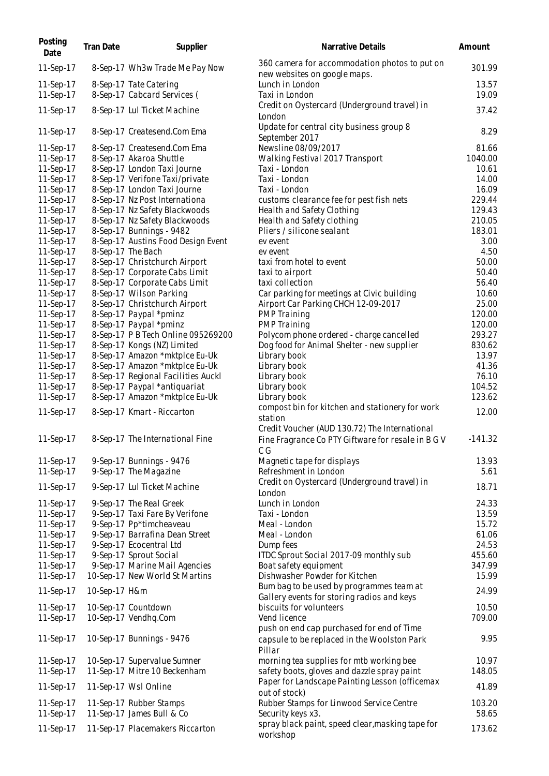| Posting<br>Date | <b>Tran Date</b> | Supplier                           | Narrative Details                                                                                           | Amount    |
|-----------------|------------------|------------------------------------|-------------------------------------------------------------------------------------------------------------|-----------|
| 11-Sep-17       |                  | 8-Sep-17 Wh3w Trade Me Pay Now     | 360 camera for accommodation photos to put on<br>new websites on google maps.                               | 301.99    |
| 11-Sep-17       |                  | 8-Sep-17 Tate Catering             | Lunch in London                                                                                             | 13.57     |
| 11-Sep-17       |                  | 8-Sep-17 Cabcard Services (        | Taxi in London                                                                                              | 19.09     |
| 11-Sep-17       |                  | 8-Sep-17 Lul Ticket Machine        | Credit on Oystercard (Underground travel) in<br>London                                                      | 37.42     |
| 11-Sep-17       |                  | 8-Sep-17 Createsend.Com Ema        | Update for central city business group 8<br>September 2017                                                  | 8.29      |
| 11-Sep-17       |                  | 8-Sep-17 Createsend.Com Ema        | Newsline 08/09/2017                                                                                         | 81.66     |
| 11-Sep-17       |                  | 8-Sep-17 Akaroa Shuttle            | Walking Festival 2017 Transport                                                                             | 1040.00   |
| 11-Sep-17       |                  | 8-Sep-17 London Taxi Journe        | Taxi - London                                                                                               | 10.61     |
| 11-Sep-17       |                  | 8-Sep-17 Verifone Taxi/private     | Taxi - London                                                                                               | 14.00     |
| 11-Sep-17       |                  | 8-Sep-17 London Taxi Journe        | Taxi - London                                                                                               | 16.09     |
| 11-Sep-17       |                  | 8-Sep-17 Nz Post Internationa      | customs clearance fee for pest fish nets                                                                    | 229.44    |
| 11-Sep-17       |                  | 8-Sep-17 Nz Safety Blackwoods      | Health and Safety Clothing                                                                                  | 129.43    |
| 11-Sep-17       |                  | 8-Sep-17 Nz Safety Blackwoods      | Health and Safety clothing                                                                                  | 210.05    |
| 11-Sep-17       |                  | 8-Sep-17 Bunnings - 9482           | Pliers / silicone sealant                                                                                   | 183.01    |
| 11-Sep-17       |                  | 8-Sep-17 Austins Food Design Event | ev event                                                                                                    | 3.00      |
| 11-Sep-17       |                  | 8-Sep-17 The Bach                  | ev event                                                                                                    | 4.50      |
| 11-Sep-17       |                  | 8-Sep-17 Christchurch Airport      | taxi from hotel to event                                                                                    | 50.00     |
| 11-Sep-17       |                  | 8-Sep-17 Corporate Cabs Limit      | taxi to airport                                                                                             | 50.40     |
| 11-Sep-17       |                  | 8-Sep-17 Corporate Cabs Limit      | taxi collection                                                                                             | 56.40     |
| 11-Sep-17       |                  | 8-Sep-17 Wilson Parking            | Car parking for meetings at Civic building                                                                  | 10.60     |
| 11-Sep-17       |                  | 8-Sep-17 Christchurch Airport      | Airport Car Parking CHCH 12-09-2017                                                                         | 25.00     |
| 11-Sep-17       |                  | 8-Sep-17 Paypal *pminz             | <b>PMP Training</b>                                                                                         | 120.00    |
| 11-Sep-17       |                  | 8-Sep-17 Paypal *pminz             | <b>PMP Training</b>                                                                                         | 120.00    |
| 11-Sep-17       |                  | 8-Sep-17 P B Tech Online 095269200 | Polycom phone ordered - charge cancelled                                                                    | 293.27    |
| 11-Sep-17       |                  | 8-Sep-17 Kongs (NZ) Limited        | Dog food for Animal Shelter - new supplier                                                                  | 830.62    |
| 11-Sep-17       |                  | 8-Sep-17 Amazon *mktplce Eu-Uk     | Library book                                                                                                | 13.97     |
| 11-Sep-17       |                  | 8-Sep-17 Amazon *mktplce Eu-Uk     | Library book                                                                                                | 41.36     |
| 11-Sep-17       |                  | 8-Sep-17 Regional Facilities Auckl | Library book                                                                                                | 76.10     |
| 11-Sep-17       |                  | 8-Sep-17 Paypal *antiquariat       | Library book                                                                                                | 104.52    |
| 11-Sep-17       |                  | 8-Sep-17 Amazon *mktplce Eu-Uk     | Library book                                                                                                | 123.62    |
| 11-Sep-17       |                  | 8-Sep-17 Kmart - Riccarton         | compost bin for kitchen and stationery for work<br>station<br>Credit Voucher (AUD 130.72) The International | 12.00     |
| 11-Sep-17       |                  | 8-Sep-17 The International Fine    | Fine Fragrance Co PTY Giftware for resale in B G V<br>C G                                                   | $-141.32$ |
| 11-Sep-17       |                  | 9-Sep-17 Bunnings - 9476           | Magnetic tape for displays                                                                                  | 13.93     |
| 11-Sep-17       |                  | 9-Sep-17 The Magazine              | Refreshment in London                                                                                       | 5.61      |
| 11-Sep-17       |                  | 9-Sep-17 Lul Ticket Machine        | Credit on Oystercard (Underground travel) in<br>London                                                      | 18.71     |
| 11-Sep-17       |                  | 9-Sep-17 The Real Greek            | Lunch in London                                                                                             | 24.33     |
| 11-Sep-17       |                  | 9-Sep-17 Taxi Fare By Verifone     | Taxi - London                                                                                               | 13.59     |
| 11-Sep-17       |                  | 9-Sep-17 Pp*timcheaveau            | Meal - London                                                                                               | 15.72     |
| 11-Sep-17       |                  | 9-Sep-17 Barrafina Dean Street     | Meal - London                                                                                               | 61.06     |
| 11-Sep-17       |                  | 9-Sep-17 Ecocentral Ltd            | Dump fees                                                                                                   | 24.53     |
| 11-Sep-17       |                  | 9-Sep-17 Sprout Social             | ITDC Sprout Social 2017-09 monthly sub                                                                      | 455.60    |
| 11-Sep-17       |                  | 9-Sep-17 Marine Mail Agencies      | Boat safety equipment                                                                                       | 347.99    |
| 11-Sep-17       |                  | 10-Sep-17 New World St Martins     | Dishwasher Powder for Kitchen                                                                               | 15.99     |
| 11-Sep-17       | 10-Sep-17 H&m    |                                    | Bum bag to be used by programmes team at<br>Gallery events for storing radios and keys                      | 24.99     |
| 11-Sep-17       |                  | 10-Sep-17 Countdown                | biscuits for volunteers                                                                                     | 10.50     |
| 11-Sep-17       |                  | 10-Sep-17 Vendhq.Com               | Vend licence                                                                                                | 709.00    |
|                 |                  |                                    | push on end cap purchased for end of Time                                                                   |           |
| 11-Sep-17       |                  | 10-Sep-17 Bunnings - 9476          | capsule to be replaced in the Woolston Park<br>Pillar                                                       | 9.95      |
| 11-Sep-17       |                  | 10-Sep-17 Supervalue Sumner        | morning tea supplies for mtb working bee                                                                    | 10.97     |
| 11-Sep-17       |                  | 11-Sep-17 Mitre 10 Beckenham       | safety boots, gloves and dazzle spray paint                                                                 | 148.05    |
| 11-Sep-17       |                  | 11-Sep-17 Wsl Online               | Paper for Landscape Painting Lesson (officemax<br>out of stock)                                             | 41.89     |
| 11-Sep-17       |                  | 11-Sep-17 Rubber Stamps            | Rubber Stamps for Linwood Service Centre                                                                    | 103.20    |
| 11-Sep-17       |                  | 11-Sep-17 James Bull & Co          | Security keys x3.                                                                                           | 58.65     |
| 11-Sep-17       |                  | 11-Sep-17 Placemakers Riccarton    | spray black paint, speed clear, masking tape for<br>workshop                                                | 173.62    |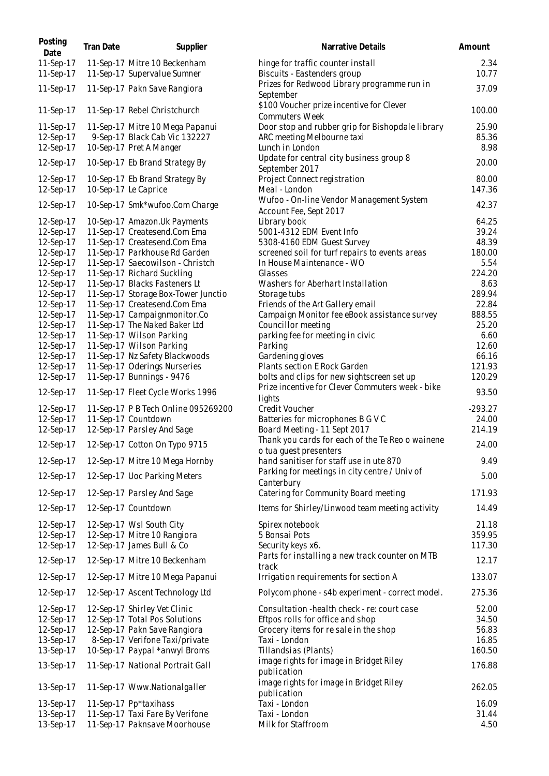| Posting<br>Date        | <b>Tran Date</b> | Supplier                                                       | Narrative Details                                                            | Amount         |
|------------------------|------------------|----------------------------------------------------------------|------------------------------------------------------------------------------|----------------|
| 11-Sep-17<br>11-Sep-17 |                  | 11-Sep-17 Mitre 10 Beckenham<br>11-Sep-17 Supervalue Sumner    | hinge for traffic counter install<br>Biscuits - Eastenders group             | 2.34<br>10.77  |
| 11-Sep-17              |                  | 11-Sep-17 Pakn Save Rangiora                                   | Prizes for Redwood Library programme run in<br>September                     | 37.09          |
| 11-Sep-17              |                  | 11-Sep-17 Rebel Christchurch                                   | \$100 Voucher prize incentive for Clever<br><b>Commuters Week</b>            | 100.00         |
| 11-Sep-17              |                  | 11-Sep-17 Mitre 10 Mega Papanui                                | Door stop and rubber grip for Bishopdale library                             | 25.90          |
| 12-Sep-17<br>12-Sep-17 |                  | 9-Sep-17 Black Cab Vic 132227<br>10-Sep-17 Pret A Manger       | ARC meeting Melbourne taxi<br>Lunch in London                                | 85.36<br>8.98  |
| 12-Sep-17              |                  | 10-Sep-17 Eb Brand Strategy By                                 | Update for central city business group 8<br>September 2017                   | 20.00          |
| 12-Sep-17              |                  | 10-Sep-17 Eb Brand Strategy By                                 | Project Connect registration                                                 | 80.00          |
| 12-Sep-17              |                  | 10-Sep-17 Le Caprice                                           | Meal - London                                                                | 147.36         |
| 12-Sep-17              |                  | 10-Sep-17 Smk*wufoo.Com Charge                                 | Wufoo - On-line Vendor Management System<br>Account Fee, Sept 2017           | 42.37          |
| 12-Sep-17              |                  | 10-Sep-17 Amazon.Uk Payments                                   | Library book                                                                 | 64.25          |
| 12-Sep-17              |                  | 11-Sep-17 Createsend.Com Ema                                   | 5001-4312 EDM Event Info                                                     | 39.24<br>48.39 |
| 12-Sep-17<br>12-Sep-17 |                  | 11-Sep-17 Createsend.Com Ema<br>11-Sep-17 Parkhouse Rd Garden  | 5308-4160 EDM Guest Survey<br>screened soil for turf repairs to events areas | 180.00         |
| 12-Sep-17              |                  | 11-Sep-17 Saecowilson - Christch                               | In House Maintenance - WO                                                    | 5.54           |
| 12-Sep-17              |                  | 11-Sep-17 Richard Suckling                                     | Glasses                                                                      | 224.20         |
| 12-Sep-17              |                  | 11-Sep-17 Blacks Fasteners Lt                                  | Washers for Aberhart Installation                                            | 8.63           |
| 12-Sep-17              |                  | 11-Sep-17 Storage Box-Tower Junctio                            | Storage tubs                                                                 | 289.94         |
| 12-Sep-17              |                  | 11-Sep-17 Createsend.Com Ema                                   | Friends of the Art Gallery email                                             | 22.84          |
| 12-Sep-17              |                  | 11-Sep-17 Campaignmonitor.Co                                   | Campaign Monitor fee eBook assistance survey                                 | 888.55         |
| 12-Sep-17              |                  | 11-Sep-17 The Naked Baker Ltd                                  | Councillor meeting                                                           | 25.20          |
| 12-Sep-17              |                  | 11-Sep-17 Wilson Parking                                       | parking fee for meeting in civic                                             | 6.60           |
| 12-Sep-17<br>12-Sep-17 |                  | 11-Sep-17 Wilson Parking                                       | Parking<br>Gardening gloves                                                  | 12.60<br>66.16 |
| 12-Sep-17              |                  | 11-Sep-17 Nz Safety Blackwoods<br>11-Sep-17 Oderings Nurseries | Plants section E Rock Garden                                                 | 121.93         |
| 12-Sep-17              |                  | 11-Sep-17 Bunnings - 9476                                      | bolts and clips for new sightscreen set up                                   | 120.29         |
| 12-Sep-17              |                  | 11-Sep-17 Fleet Cycle Works 1996                               | Prize incentive for Clever Commuters week - bike<br>lights                   | 93.50          |
| 12-Sep-17              |                  | 11-Sep-17 P B Tech Online 095269200                            | Credit Voucher                                                               | $-293.27$      |
| 12-Sep-17              |                  | 11-Sep-17 Countdown                                            | Batteries for microphones B G V C                                            | 24.00          |
| 12-Sep-17              |                  | 12-Sep-17 Parsley And Sage                                     | Board Meeting - 11 Sept 2017                                                 | 214.19         |
| 12-Sep-17              |                  | 12-Sep-17 Cotton On Typo 9715                                  | Thank you cards for each of the Te Reo o wainene<br>o tua guest presenters   | 24.00          |
| 12-Sep-17              |                  | 12-Sep-17 Mitre 10 Mega Hornby                                 | hand sanitiser for staff use in ute 870                                      | 9.49           |
| 12-Sep-17              |                  | 12-Sep-17 Uoc Parking Meters                                   | Parking for meetings in city centre / Univ of<br>Canterbury                  | 5.00           |
| 12-Sep-17              |                  | 12-Sep-17 Parsley And Sage                                     | Catering for Community Board meeting                                         | 171.93         |
| 12-Sep-17              |                  | 12-Sep-17 Countdown                                            | Items for Shirley/Linwood team meeting activity                              | 14.49          |
| 12-Sep-17              |                  | 12-Sep-17 Wsl South City                                       | Spirex notebook                                                              | 21.18          |
| 12-Sep-17              |                  | 12-Sep-17 Mitre 10 Rangiora                                    | 5 Bonsai Pots                                                                | 359.95         |
| 12-Sep-17              |                  | 12-Sep-17 James Bull & Co                                      | Security keys x6.                                                            | 117.30         |
| 12-Sep-17              |                  | 12-Sep-17 Mitre 10 Beckenham                                   | Parts for installing a new track counter on MTB<br>track                     | 12.17          |
| 12-Sep-17              |                  | 12-Sep-17 Mitre 10 Mega Papanui                                | Irrigation requirements for section A                                        | 133.07         |
| 12-Sep-17              |                  | 12-Sep-17 Ascent Technology Ltd                                | Polycom phone - s4b experiment - correct model.                              | 275.36         |
| 12-Sep-17              |                  | 12-Sep-17 Shirley Vet Clinic                                   | Consultation - health check - re: court case                                 | 52.00          |
| 12-Sep-17              |                  | 12-Sep-17 Total Pos Solutions                                  | Eftpos rolls for office and shop                                             | 34.50          |
| 12-Sep-17<br>13-Sep-17 |                  | 12-Sep-17 Pakn Save Rangiora<br>8-Sep-17 Verifone Taxi/private | Grocery items for re sale in the shop<br>Taxi - London                       | 56.83<br>16.85 |
| 13-Sep-17              |                  | 10-Sep-17 Paypal *anwyl Broms                                  | Tillandsias (Plants)                                                         | 160.50         |
| 13-Sep-17              |                  | 11-Sep-17 National Portrait Gall                               | image rights for image in Bridget Riley                                      | 176.88         |
|                        |                  |                                                                | publication                                                                  |                |
| 13-Sep-17              |                  | 11-Sep-17 Www.Nationalgaller                                   | image rights for image in Bridget Riley<br>publication                       | 262.05         |
| 13-Sep-17              |                  | 11-Sep-17 Pp*taxihass                                          | Taxi - London                                                                | 16.09          |
| 13-Sep-17              |                  | 11-Sep-17 Taxi Fare By Verifone                                | Taxi - London                                                                | 31.44          |
| 13-Sep-17              |                  | 11-Sep-17 Paknsave Moorhouse                                   | Milk for Staffroom                                                           | 4.50           |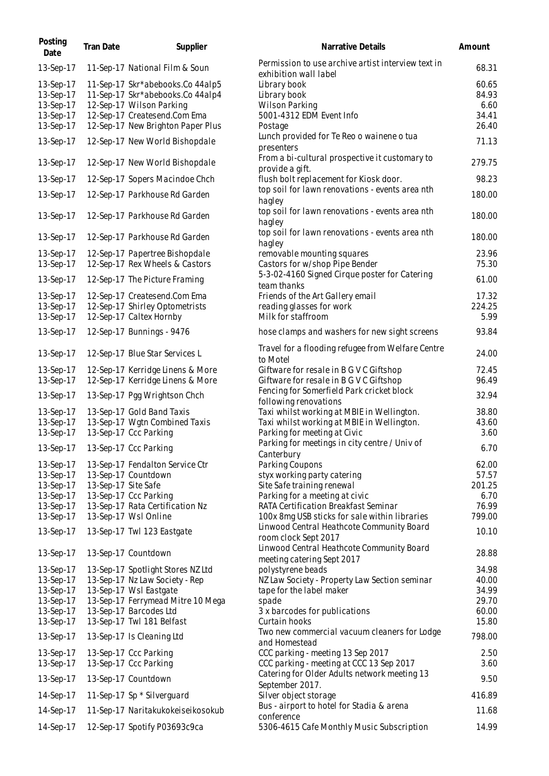| Posting<br>Date | Tran Date           | Supplier                          | Narrative Details                                                           | Amount |
|-----------------|---------------------|-----------------------------------|-----------------------------------------------------------------------------|--------|
| 13-Sep-17       |                     | 11-Sep-17 National Film & Soun    | Permission to use archive artist interview text in<br>exhibition wall label | 68.31  |
| 13-Sep-17       |                     | 11-Sep-17 Skr*abebooks.Co 44alp5  | Library book                                                                | 60.65  |
| 13-Sep-17       |                     | 11-Sep-17 Skr*abebooks.Co 44alp4  | Library book                                                                | 84.93  |
| 13-Sep-17       |                     | 12-Sep-17 Wilson Parking          | Wilson Parking                                                              | 6.60   |
| 13-Sep-17       |                     | 12-Sep-17 Createsend.Com Ema      | 5001-4312 EDM Event Info                                                    | 34.41  |
| 13-Sep-17       |                     | 12-Sep-17 New Brighton Paper Plus | Postage                                                                     | 26.40  |
| 13-Sep-17       |                     | 12-Sep-17 New World Bishopdale    | Lunch provided for Te Reo o wainene o tua                                   | 71.13  |
| 13-Sep-17       |                     | 12-Sep-17 New World Bishopdale    | presenters<br>From a bi-cultural prospective it customary to                | 279.75 |
|                 |                     |                                   | provide a gift.<br>flush bolt replacement for Kiosk door.                   | 98.23  |
| 13-Sep-17       |                     | 12-Sep-17 Sopers Macindoe Chch    | top soil for lawn renovations - events area nth                             |        |
| 13-Sep-17       |                     | 12-Sep-17 Parkhouse Rd Garden     | hagley                                                                      | 180.00 |
| 13-Sep-17       |                     | 12-Sep-17 Parkhouse Rd Garden     | top soil for lawn renovations - events area nth<br>hagley                   | 180.00 |
| 13-Sep-17       |                     | 12-Sep-17 Parkhouse Rd Garden     | top soil for lawn renovations - events area nth<br>hagley                   | 180.00 |
| 13-Sep-17       |                     | 12-Sep-17 Papertree Bishopdale    | removable mounting squares                                                  | 23.96  |
| 13-Sep-17       |                     | 12-Sep-17 Rex Wheels & Castors    | Castors for w/shop Pipe Bender                                              | 75.30  |
| 13-Sep-17       |                     | 12-Sep-17 The Picture Framing     | 5-3-02-4160 Signed Cirque poster for Catering<br>team thanks                | 61.00  |
| 13-Sep-17       |                     | 12-Sep-17 Createsend.Com Ema      | Friends of the Art Gallery email                                            | 17.32  |
| 13-Sep-17       |                     | 12-Sep-17 Shirley Optometrists    | reading glasses for work                                                    | 224.25 |
| 13-Sep-17       |                     | 12-Sep-17 Caltex Hornby           | Milk for staffroom                                                          | 5.99   |
| 13-Sep-17       |                     | 12-Sep-17 Bunnings - 9476         | hose clamps and washers for new sight screens                               | 93.84  |
| 13-Sep-17       |                     | 12-Sep-17 Blue Star Services L    | Travel for a flooding refugee from Welfare Centre<br>to Motel               | 24.00  |
| 13-Sep-17       |                     | 12-Sep-17 Kerridge Linens & More  | Giftware for resale in B G V C Giftshop                                     | 72.45  |
| 13-Sep-17       |                     | 12-Sep-17 Kerridge Linens & More  | Giftware for resale in B G V C Giftshop                                     | 96.49  |
| 13-Sep-17       |                     | 13-Sep-17 Pgg Wrightson Chch      | Fencing for Somerfield Park cricket block<br>following renovations          | 32.94  |
| 13-Sep-17       |                     | 13-Sep-17 Gold Band Taxis         | Taxi whilst working at MBIE in Wellington.                                  | 38.80  |
| 13-Sep-17       |                     | 13-Sep-17 Wgtn Combined Taxis     | Taxi whilst working at MBIE in Wellington.                                  | 43.60  |
| 13-Sep-17       |                     | 13-Sep-17 Ccc Parking             | Parking for meeting at Civic                                                | 3.60   |
|                 |                     |                                   | Parking for meetings in city centre / Univ of                               |        |
| 13-Sep-17       |                     | 13-Sep-17 Ccc Parking             | Canterbury                                                                  | 6.70   |
| 13-Sep-17       |                     | 13-Sep-17 Fendalton Service Ctr   | Parking Coupons                                                             | 62.00  |
| 13-Sep-17       |                     | 13-Sep-17 Countdown               | styx working party catering                                                 | 57.57  |
| 13-Sep-17       | 13-Sep-17 Site Safe |                                   | Site Safe training renewal                                                  | 201.25 |
| 13-Sep-17       |                     | 13-Sep-17 Ccc Parking             | Parking for a meeting at civic                                              | 6.70   |
| 13-Sep-17       |                     | 13-Sep-17 Rata Certification Nz   | RATA Certification Breakfast Seminar                                        | 76.99  |
| 13-Sep-17       |                     | 13-Sep-17 Wsl Online              | 100x 8mg USB sticks for sale within libraries                               | 799.00 |
| 13-Sep-17       |                     | 13-Sep-17 Twl 123 Eastgate        | Linwood Central Heathcote Community Board<br>room clock Sept 2017           | 10.10  |
| 13-Sep-17       |                     | 13-Sep-17 Countdown               | Linwood Central Heathcote Community Board<br>meeting catering Sept 2017     | 28.88  |
| 13-Sep-17       |                     | 13-Sep-17 Spotlight Stores NZ Ltd | polystyrene beads                                                           | 34.98  |
| 13-Sep-17       |                     | 13-Sep-17 Nz Law Society - Rep    | NZ Law Society - Property Law Section seminar                               | 40.00  |
| 13-Sep-17       |                     | 13-Sep-17 Wsl Eastgate            | tape for the label maker                                                    | 34.99  |
| 13-Sep-17       |                     | 13-Sep-17 Ferrymead Mitre 10 Mega | spade                                                                       | 29.70  |
| 13-Sep-17       |                     | 13-Sep-17 Barcodes Ltd            | 3 x barcodes for publications                                               | 60.00  |
| 13-Sep-17       |                     | 13-Sep-17 Twl 181 Belfast         | Curtain hooks                                                               | 15.80  |
| 13-Sep-17       |                     | 13-Sep-17 Is Cleaning Ltd         | Two new commercial vacuum cleaners for Lodge<br>and Homestead               | 798.00 |
| 13-Sep-17       |                     | 13-Sep-17 Ccc Parking             | CCC parking - meeting 13 Sep 2017                                           | 2.50   |
| 13-Sep-17       |                     | 13-Sep-17 Ccc Parking             | CCC parking - meeting at CCC 13 Sep 2017                                    | 3.60   |
|                 |                     |                                   | Catering for Older Adults network meeting 13                                |        |
| 13-Sep-17       |                     | 13-Sep-17 Countdown               | September 2017.                                                             | 9.50   |
| 14-Sep-17       |                     | 11-Sep-17 Sp * Silverguard        | Silver object storage                                                       | 416.89 |
| 14-Sep-17       |                     | 11-Sep-17 Naritakukokeiseikosokub | Bus - airport to hotel for Stadia & arena<br>conference                     | 11.68  |
| 14-Sep-17       |                     | 12-Sep-17 Spotify P03693c9ca      | 5306-4615 Cafe Monthly Music Subscription                                   | 14.99  |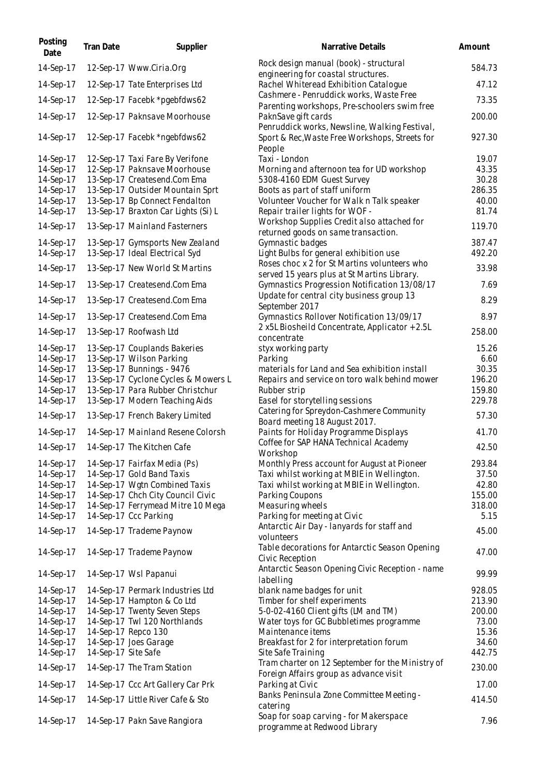| Posting<br>Date        | <b>Tran Date</b>    | Supplier                                                   | Narrative Details                                                                                         | Amount         |
|------------------------|---------------------|------------------------------------------------------------|-----------------------------------------------------------------------------------------------------------|----------------|
| 14-Sep-17              |                     | 12-Sep-17 Www.Ciria.Org                                    | Rock design manual (book) - structural<br>engineering for coastal structures.                             | 584.73         |
| 14-Sep-17              |                     | 12-Sep-17 Tate Enterprises Ltd                             | Rachel Whiteread Exhibition Catalogue                                                                     | 47.12          |
| 14-Sep-17              |                     | 12-Sep-17 Facebk *pgebfdws62                               | Cashmere - Penruddick works, Waste Free                                                                   | 73.35          |
| 14-Sep-17              |                     | 12-Sep-17 Paknsave Moorhouse                               | Parenting workshops, Pre-schoolers swim free<br>PaknSave gift cards                                       | 200.00         |
| 14-Sep-17              |                     | 12-Sep-17 Facebk *ngebfdws62                               | Penruddick works, Newsline, Walking Festival,<br>Sport & Rec, Waste Free Workshops, Streets for<br>People | 927.30         |
| 14-Sep-17              |                     | 12-Sep-17 Taxi Fare By Verifone                            | Taxi - London                                                                                             | 19.07          |
| 14-Sep-17              |                     | 12-Sep-17 Paknsave Moorhouse                               | Morning and afternoon tea for UD workshop                                                                 | 43.35          |
| 14-Sep-17              |                     | 13-Sep-17 Createsend.Com Ema                               | 5308-4160 EDM Guest Survey                                                                                | 30.28          |
| 14-Sep-17              |                     | 13-Sep-17 Outsider Mountain Sprt                           | Boots as part of staff uniform                                                                            | 286.35         |
| 14-Sep-17              |                     | 13-Sep-17 Bp Connect Fendalton                             | Volunteer Voucher for Walk n Talk speaker                                                                 | 40.00          |
| 14-Sep-17              |                     | 13-Sep-17 Braxton Car Lights (Si) L                        | Repair trailer lights for WOF -                                                                           | 81.74          |
| 14-Sep-17              |                     | 13-Sep-17 Mainland Fasterners                              | Workshop Supplies Credit also attached for<br>returned goods on same transaction.                         | 119.70         |
| 14-Sep-17              |                     | 13-Sep-17 Gymsports New Zealand                            | Gymnastic badges                                                                                          | 387.47         |
| 14-Sep-17              |                     | 13-Sep-17 Ideal Electrical Syd                             | Light Bulbs for general exhibition use                                                                    | 492.20         |
|                        |                     |                                                            | Roses choc x 2 for St Martins volunteers who                                                              |                |
| 14-Sep-17              |                     | 13-Sep-17 New World St Martins                             | served 15 years plus at St Martins Library.                                                               | 33.98          |
| 14-Sep-17              |                     | 13-Sep-17 Createsend.Com Ema                               | Gymnastics Progression Notification 13/08/17                                                              | 7.69           |
| 14-Sep-17              |                     |                                                            | Update for central city business group 13                                                                 | 8.29           |
|                        |                     | 13-Sep-17 Createsend.Com Ema                               | September 2017                                                                                            |                |
| 14-Sep-17              |                     | 13-Sep-17 Createsend.Com Ema                               | Gymnastics Rollover Notification 13/09/17                                                                 | 8.97           |
| 14-Sep-17              |                     | 13-Sep-17 Roofwash Ltd                                     | 2 x5L Biosheild Concentrate, Applicator + 2.5L<br>concentrate                                             | 258.00         |
| 14-Sep-17              |                     | 13-Sep-17 Couplands Bakeries                               | styx working party                                                                                        | 15.26          |
| 14-Sep-17              |                     | 13-Sep-17 Wilson Parking                                   | Parking                                                                                                   | 6.60           |
| 14-Sep-17              |                     | 13-Sep-17 Bunnings - 9476                                  | materials for Land and Sea exhibition install                                                             | 30.35          |
| 14-Sep-17              |                     | 13-Sep-17 Cyclone Cycles & Mowers L                        | Repairs and service on toro walk behind mower                                                             | 196.20         |
| 14-Sep-17              |                     | 13-Sep-17 Para Rubber Christchur                           | Rubber strip                                                                                              | 159.80         |
| 14-Sep-17              |                     | 13-Sep-17 Modern Teaching Aids                             | Easel for storytelling sessions                                                                           | 229.78         |
| 14-Sep-17              |                     | 13-Sep-17 French Bakery Limited                            | Catering for Spreydon-Cashmere Community                                                                  | 57.30          |
| 14-Sep-17              |                     | 14-Sep-17 Mainland Resene Colorsh                          | Board meeting 18 August 2017.<br>Paints for Holiday Programme Displays                                    | 41.70          |
|                        |                     | 14-Sep-17 14-Sep-17 The Kitchen Cafe                       | Coffee for SAP HANA Technical Academy                                                                     | 42.50          |
|                        |                     |                                                            | Workshop                                                                                                  |                |
| 14-Sep-17              |                     | 14-Sep-17 Fairfax Media (Ps)                               | Monthly Press account for August at Pioneer                                                               | 293.84         |
| 14-Sep-17              |                     | 14-Sep-17 Gold Band Taxis<br>14-Sep-17 Wgtn Combined Taxis | Taxi whilst working at MBIE in Wellington.                                                                | 37.50<br>42.80 |
| 14-Sep-17<br>14-Sep-17 |                     | 14-Sep-17 Chch City Council Civic                          | Taxi whilst working at MBIE in Wellington.<br>Parking Coupons                                             | 155.00         |
| 14-Sep-17              |                     | 14-Sep-17 Ferrymead Mitre 10 Mega                          | Measuring wheels                                                                                          | 318.00         |
| 14-Sep-17              |                     | 14-Sep-17 Ccc Parking                                      | Parking for meeting at Civic                                                                              | 5.15           |
|                        |                     |                                                            | Antarctic Air Day - lanyards for staff and                                                                |                |
| 14-Sep-17              |                     | 14-Sep-17 Trademe Paynow                                   | volunteers                                                                                                | 45.00          |
| 14-Sep-17              |                     | 14-Sep-17 Trademe Paynow                                   | Table decorations for Antarctic Season Opening<br>Civic Reception                                         | 47.00          |
| 14-Sep-17              |                     | 14-Sep-17 Wsl Papanui                                      | Antarctic Season Opening Civic Reception - name<br>labelling                                              | 99.99          |
| 14-Sep-17              |                     | 14-Sep-17 Permark Industries Ltd                           | blank name badges for unit                                                                                | 928.05         |
| 14-Sep-17              |                     | 14-Sep-17 Hampton & Co Ltd                                 | Timber for shelf experiments                                                                              | 213.90         |
| 14-Sep-17              |                     | 14-Sep-17 Twenty Seven Steps                               | 5-0-02-4160 Client gifts (LM and TM)                                                                      | 200.00         |
| 14-Sep-17              |                     | 14-Sep-17 Twl 120 Northlands                               | Water toys for GC Bubbletimes programme                                                                   | 73.00          |
| 14-Sep-17              |                     | 14-Sep-17 Repco 130                                        | Maintenance items                                                                                         | 15.36          |
| 14-Sep-17              |                     | 14-Sep-17 Joes Garage                                      | Breakfast for 2 for interpretation forum                                                                  | 34.60          |
| 14-Sep-17              | 14-Sep-17 Site Safe |                                                            | Site Safe Training<br>Tram charter on 12 September for the Ministry of                                    | 442.75         |
| 14-Sep-17              |                     | 14-Sep-17 The Tram Station                                 | Foreign Affairs group as advance visit                                                                    | 230.00         |
| 14-Sep-17              |                     | 14-Sep-17 Ccc Art Gallery Car Prk                          | Parking at Civic                                                                                          | 17.00          |
| 14-Sep-17              |                     | 14-Sep-17 Little River Cafe & Sto                          | Banks Peninsula Zone Committee Meeting -<br>catering                                                      | 414.50         |
| 14-Sep-17              |                     | 14-Sep-17 Pakn Save Rangiora                               | Soap for soap carving - for Makerspace<br>programme at Redwood Library                                    | 7.96           |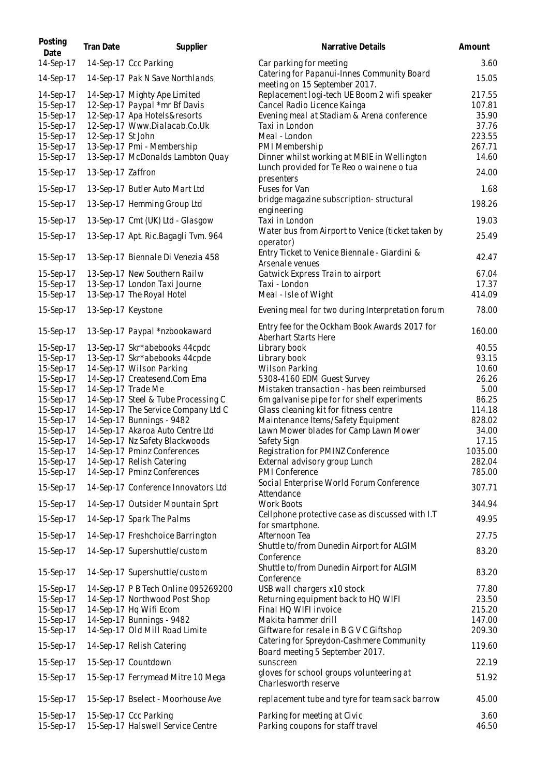| Posting<br>Date        | Tran Date          | Supplier                                                          | Narrative Details                                                           | Amount           |
|------------------------|--------------------|-------------------------------------------------------------------|-----------------------------------------------------------------------------|------------------|
| 14-Sep-17              |                    | 14-Sep-17 Ccc Parking                                             | Car parking for meeting                                                     | 3.60             |
| 14-Sep-17              |                    | 14-Sep-17 Pak N Save Northlands                                   | Catering for Papanui-Innes Community Board<br>meeting on 15 September 2017. | 15.05            |
| 14-Sep-17<br>15-Sep-17 |                    | 14-Sep-17 Mighty Ape Limited                                      | Replacement logi-tech UE Boom 2 wifi speaker<br>Cancel Radio Licence Kainga | 217.55<br>107.81 |
| 15-Sep-17              |                    | 12-Sep-17 Paypal *mr Bf Davis<br>12-Sep-17 Apa Hotels&resorts     | Evening meal at Stadiam & Arena conference                                  | 35.90            |
| 15-Sep-17              |                    | 12-Sep-17 Www.Dialacab.Co.Uk                                      | Taxi in London                                                              | 37.76            |
| 15-Sep-17              | 12-Sep-17 St John  |                                                                   | Meal - London                                                               | 223.55           |
| 15-Sep-17              |                    | 13-Sep-17 Pmi - Membership                                        | PMI Membership                                                              | 267.71           |
| 15-Sep-17              |                    | 13-Sep-17 McDonalds Lambton Quay                                  | Dinner whilst working at MBIE in Wellington                                 | 14.60            |
| 15-Sep-17              | 13-Sep-17 Zaffron  |                                                                   | Lunch provided for Te Reo o wainene o tua<br>presenters                     | 24.00            |
| 15-Sep-17              |                    | 13-Sep-17 Butler Auto Mart Ltd                                    | Fuses for Van                                                               | 1.68             |
| 15-Sep-17              |                    | 13-Sep-17 Hemming Group Ltd                                       | bridge magazine subscription-structural<br>engineering                      | 198.26           |
| 15-Sep-17              |                    | 13-Sep-17 Cmt (UK) Ltd - Glasgow                                  | Taxi in London                                                              | 19.03            |
| 15-Sep-17              |                    | 13-Sep-17 Apt. Ric.Bagagli Tvm. 964                               | Water bus from Airport to Venice (ticket taken by<br>operator)              | 25.49            |
| 15-Sep-17              |                    | 13-Sep-17 Biennale Di Venezia 458                                 | Entry Ticket to Venice Biennale - Giardini &<br>Arsenale venues             | 42.47            |
| 15-Sep-17              |                    | 13-Sep-17 New Southern Railw                                      | Gatwick Express Train to airport                                            | 67.04            |
| 15-Sep-17              |                    | 13-Sep-17 London Taxi Journe                                      | Taxi - London                                                               | 17.37            |
| 15-Sep-17              |                    | 13-Sep-17 The Royal Hotel                                         | Meal - Isle of Wight                                                        | 414.09           |
| 15-Sep-17              | 13-Sep-17 Keystone |                                                                   | Evening meal for two during Interpretation forum                            | 78.00            |
| 15-Sep-17              |                    | 13-Sep-17 Paypal *nzbookaward                                     | Entry fee for the Ockham Book Awards 2017 for<br>Aberhart Starts Here       | 160.00           |
| 15-Sep-17              |                    | 13-Sep-17 Skr*abebooks 44cpdc                                     | Library book                                                                | 40.55            |
| 15-Sep-17              |                    | 13-Sep-17 Skr*abebooks 44cpde                                     | Library book                                                                | 93.15            |
| 15-Sep-17              |                    | 14-Sep-17 Wilson Parking                                          | <b>Wilson Parking</b>                                                       | 10.60            |
| 15-Sep-17              |                    | 14-Sep-17 Createsend.Com Ema                                      | 5308-4160 EDM Guest Survey                                                  | 26.26            |
| 15-Sep-17              |                    | 14-Sep-17 Trade Me                                                | Mistaken transaction - has been reimbursed                                  | 5.00             |
| 15-Sep-17              |                    | 14-Sep-17 Steel & Tube Processing C                               | 6m galvanise pipe for for shelf experiments                                 | 86.25            |
| 15-Sep-17              |                    | 14-Sep-17 The Service Company Ltd C                               | Glass cleaning kit for fitness centre                                       | 114.18           |
| 15-Sep-17              |                    | 14-Sep-17 Bunnings - 9482                                         | Maintenance Items/Safety Equipment                                          | 828.02           |
| 15-Sep-17              |                    | 14-Sep-17 Akaroa Auto Centre Ltd                                  | Lawn Mower blades for Camp Lawn Mower                                       | 34.00            |
| 15-Sep-17              |                    | 14-Sep-17 Nz Safety Blackwoods                                    | Safety Sign                                                                 | 17.15<br>1035.00 |
| 15-Sep-17<br>15-Sep-17 |                    | 14-Sep-17 Pminz Conferences<br>14-Sep-17 Relish Catering          | Registration for PMINZ Conference<br>External advisory group Lunch          | 282.04           |
| 15-Sep-17              |                    | 14-Sep-17 Pminz Conferences                                       | <b>PMI Conference</b>                                                       | 785.00           |
| 15-Sep-17              |                    | 14-Sep-17 Conference Innovators Ltd                               | Social Enterprise World Forum Conference                                    | 307.71           |
| 15-Sep-17              |                    | 14-Sep-17 Outsider Mountain Sprt                                  | Attendance<br><b>Work Boots</b>                                             | 344.94           |
| 15-Sep-17              |                    | 14-Sep-17 Spark The Palms                                         | Cellphone protective case as discussed with I.T                             | 49.95            |
|                        |                    |                                                                   | for smartphone.                                                             | 27.75            |
| 15-Sep-17<br>15-Sep-17 |                    | 14-Sep-17 Freshchoice Barrington<br>14-Sep-17 Supershuttle/custom | Afternoon Tea<br>Shuttle to/from Dunedin Airport for ALGIM                  | 83.20            |
|                        |                    |                                                                   | Conference<br>Shuttle to/from Dunedin Airport for ALGIM                     |                  |
| 15-Sep-17              |                    | 14-Sep-17 Supershuttle/custom                                     | Conference                                                                  | 83.20            |
| 15-Sep-17              |                    | 14-Sep-17 P B Tech Online 095269200                               | USB wall chargers x10 stock                                                 | 77.80            |
| 15-Sep-17              |                    | 14-Sep-17 Northwood Post Shop                                     | Returning equipment back to HQ WIFI                                         | 23.50            |
| 15-Sep-17              |                    | 14-Sep-17 Hq Wifi Ecom                                            | Final HQ WIFI invoice                                                       | 215.20           |
| 15-Sep-17              |                    | 14-Sep-17 Bunnings - 9482                                         | Makita hammer drill                                                         | 147.00           |
| 15-Sep-17              |                    | 14-Sep-17 Old Mill Road Limite                                    | Giftware for resale in B G V C Giftshop                                     | 209.30           |
| 15-Sep-17              |                    | 14-Sep-17 Relish Catering                                         | Catering for Spreydon-Cashmere Community<br>Board meeting 5 September 2017. | 119.60           |
| 15-Sep-17              |                    | 15-Sep-17 Countdown                                               | sunscreen                                                                   | 22.19            |
| 15-Sep-17              |                    | 15-Sep-17 Ferrymead Mitre 10 Mega                                 | gloves for school groups volunteering at<br>Charlesworth reserve            | 51.92            |
| 15-Sep-17              |                    | 15-Sep-17 Bselect - Moorhouse Ave                                 | replacement tube and tyre for team sack barrow                              | 45.00            |
| 15-Sep-17              |                    | 15-Sep-17 Ccc Parking                                             | Parking for meeting at Civic                                                | 3.60             |
| 15-Sep-17              |                    | 15-Sep-17 Halswell Service Centre                                 | Parking coupons for staff travel                                            | 46.50            |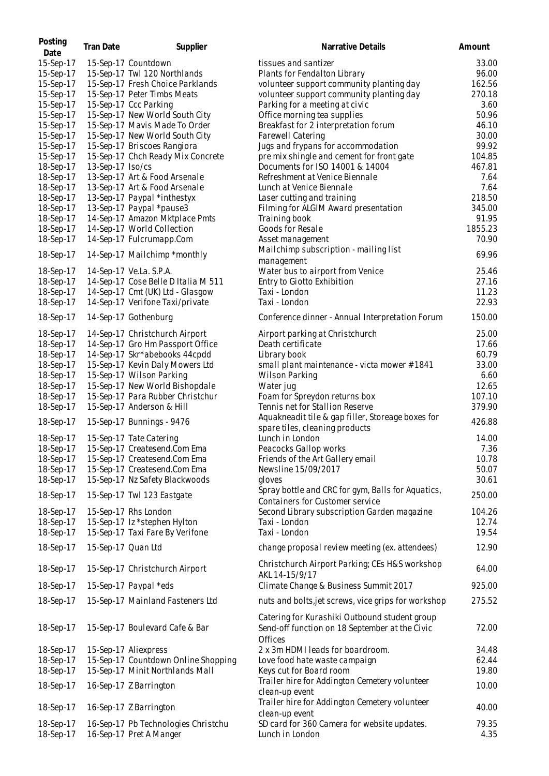| Posting<br>Date | <b>Tran Date</b>   | Supplier                            | Narrative Details                                                                                          | Amount  |
|-----------------|--------------------|-------------------------------------|------------------------------------------------------------------------------------------------------------|---------|
| 15-Sep-17       |                    | 15-Sep-17 Countdown                 | tissues and santizer                                                                                       | 33.00   |
| 15-Sep-17       |                    | 15-Sep-17 Twl 120 Northlands        | Plants for Fendalton Library                                                                               | 96.00   |
| 15-Sep-17       |                    | 15-Sep-17 Fresh Choice Parklands    | volunteer support community planting day                                                                   | 162.56  |
| 15-Sep-17       |                    | 15-Sep-17 Peter Timbs Meats         | volunteer support community planting day                                                                   | 270.18  |
| 15-Sep-17       |                    | 15-Sep-17 Ccc Parking               | Parking for a meeting at civic                                                                             | 3.60    |
| 15-Sep-17       |                    | 15-Sep-17 New World South City      | Office morning tea supplies                                                                                | 50.96   |
| 15-Sep-17       |                    | 15-Sep-17 Mavis Made To Order       | Breakfast for 2 interpretation forum                                                                       | 46.10   |
| 15-Sep-17       |                    | 15-Sep-17 New World South City      | Farewell Catering                                                                                          | 30.00   |
| 15-Sep-17       |                    | 15-Sep-17 Briscoes Rangiora         | Jugs and frypans for accommodation                                                                         | 99.92   |
| 15-Sep-17       |                    | 15-Sep-17 Chch Ready Mix Concrete   | pre mix shingle and cement for front gate                                                                  | 104.85  |
| 18-Sep-17       | 13-Sep-17 Iso/cs   |                                     | Documents for ISO 14001 & 14004                                                                            | 467.81  |
| 18-Sep-17       |                    | 13-Sep-17 Art & Food Arsenale       | Refreshment at Venice Biennale                                                                             | 7.64    |
| 18-Sep-17       |                    | 13-Sep-17 Art & Food Arsenale       | Lunch at Venice Biennale                                                                                   | 7.64    |
| 18-Sep-17       |                    | 13-Sep-17 Paypal *inthestyx         | Laser cutting and training                                                                                 | 218.50  |
| 18-Sep-17       |                    | 13-Sep-17 Paypal *pause3            |                                                                                                            | 345.00  |
| 18-Sep-17       |                    | 14-Sep-17 Amazon Mktplace Pmts      | Filming for ALGIM Award presentation<br>Training book                                                      | 91.95   |
|                 |                    |                                     |                                                                                                            | 1855.23 |
| 18-Sep-17       |                    | 14-Sep-17 World Collection          | Goods for Resale                                                                                           |         |
| 18-Sep-17       |                    | 14-Sep-17 Fulcrumapp.Com            | Asset management                                                                                           | 70.90   |
| 18-Sep-17       |                    | 14-Sep-17 Mailchimp *monthly        | Mailchimp subscription - mailing list<br>management                                                        | 69.96   |
| 18-Sep-17       |                    | 14-Sep-17 Ve.La. S.P.A.             | Water bus to airport from Venice                                                                           | 25.46   |
| 18-Sep-17       |                    | 14-Sep-17 Cose Belle D Italia M 511 | Entry to Giotto Exhibition                                                                                 | 27.16   |
| 18-Sep-17       |                    | 14-Sep-17 Cmt (UK) Ltd - Glasgow    | Taxi - London                                                                                              | 11.23   |
| 18-Sep-17       |                    | 14-Sep-17 Verifone Taxi/private     | Taxi - London                                                                                              | 22.93   |
| 18-Sep-17       |                    | 14-Sep-17 Gothenburg                | Conference dinner - Annual Interpretation Forum                                                            | 150.00  |
| 18-Sep-17       |                    | 14-Sep-17 Christchurch Airport      | Airport parking at Christchurch                                                                            | 25.00   |
| 18-Sep-17       |                    | 14-Sep-17 Gro Hm Passport Office    | Death certificate                                                                                          | 17.66   |
| 18-Sep-17       |                    | 14-Sep-17 Skr*abebooks 44cpdd       | Library book                                                                                               | 60.79   |
| 18-Sep-17       |                    | 15-Sep-17 Kevin Daly Mowers Ltd     | small plant maintenance - victa mower #1841                                                                | 33.00   |
| 18-Sep-17       |                    | 15-Sep-17 Wilson Parking            | <b>Wilson Parking</b>                                                                                      | 6.60    |
| 18-Sep-17       |                    | 15-Sep-17 New World Bishopdale      | Water jug                                                                                                  | 12.65   |
| 18-Sep-17       |                    | 15-Sep-17 Para Rubber Christchur    | Foam for Spreydon returns box                                                                              | 107.10  |
| 18-Sep-17       |                    | 15-Sep-17 Anderson & Hill           | Tennis net for Stallion Reserve                                                                            | 379.90  |
|                 |                    |                                     | Aquakneadit tile & gap filler, Storeage boxes for                                                          |         |
| 18-Sep-17       |                    | 15-Sep-17 Bunnings - 9476           | spare tiles, cleaning products                                                                             | 426.88  |
| 18-Sep-17       |                    | 15-Sep-17 Tate Catering             | Lunch in London                                                                                            | 14.00   |
| 18-Sep-17       |                    | 15-Sep-17 Createsend.Com Ema        | Peacocks Gallop works                                                                                      | 7.36    |
| 18-Sep-17       |                    | 15-Sep-17 Createsend.Com Ema        | Friends of the Art Gallery email                                                                           | 10.78   |
| 18-Sep-17       |                    | 15-Sep-17 Createsend.Com Ema        | Newsline 15/09/2017                                                                                        | 50.07   |
| 18-Sep-17       |                    | 15-Sep-17 Nz Safety Blackwoods      | gloves                                                                                                     | 30.61   |
|                 |                    |                                     | Spray bottle and CRC for gym, Balls for Aquatics,                                                          |         |
| 18-Sep-17       |                    | 15-Sep-17 Twl 123 Eastgate          | Containers for Customer service                                                                            | 250.00  |
| 18-Sep-17       |                    | 15-Sep-17 Rhs London                | Second Library subscription Garden magazine                                                                | 104.26  |
| 18-Sep-17       |                    | 15-Sep-17 Iz *stephen Hylton        | Taxi - London                                                                                              | 12.74   |
| 18-Sep-17       |                    | 15-Sep-17 Taxi Fare By Verifone     | Taxi - London                                                                                              | 19.54   |
| 18-Sep-17       | 15-Sep-17 Quan Ltd |                                     | change proposal review meeting (ex. attendees)                                                             | 12.90   |
| 18-Sep-17       |                    | 15-Sep-17 Christchurch Airport      | Christchurch Airport Parking; CEs H&S workshop<br>AKL 14-15/9/17                                           | 64.00   |
| 18-Sep-17       |                    | 15-Sep-17 Paypal *eds               | Climate Change & Business Summit 2017                                                                      | 925.00  |
| 18-Sep-17       |                    | 15-Sep-17 Mainland Fasteners Ltd    | nuts and bolts, jet screws, vice grips for workshop                                                        | 275.52  |
| 18-Sep-17       |                    | 15-Sep-17 Boulevard Cafe & Bar      | Catering for Kurashiki Outbound student group<br>Send-off function on 18 September at the Civic<br>Offices | 72.00   |
| 18-Sep-17       |                    | 15-Sep-17 Aliexpress                | 2 x 3m HDMI leads for boardroom.                                                                           | 34.48   |
| 18-Sep-17       |                    | 15-Sep-17 Countdown Online Shopping | Love food hate waste campaign                                                                              | 62.44   |
| 18-Sep-17       |                    | 15-Sep-17 Minit Northlands Mall     | Keys cut for Board room                                                                                    | 19.80   |
|                 |                    |                                     | Trailer hire for Addington Cemetery volunteer                                                              |         |
| 18-Sep-17       |                    | 16-Sep-17 Z Barrington              | clean-up event                                                                                             | 10.00   |
|                 |                    |                                     | Trailer hire for Addington Cemetery volunteer                                                              |         |
| 18-Sep-17       |                    | 16-Sep-17 Z Barrington              | clean-up event                                                                                             | 40.00   |
| 18-Sep-17       |                    | 16-Sep-17 Pb Technologies Christchu | SD card for 360 Camera for website updates.                                                                | 79.35   |
| 18-Sep-17       |                    | 16-Sep-17 Pret A Manger             | Lunch in London                                                                                            | 4.35    |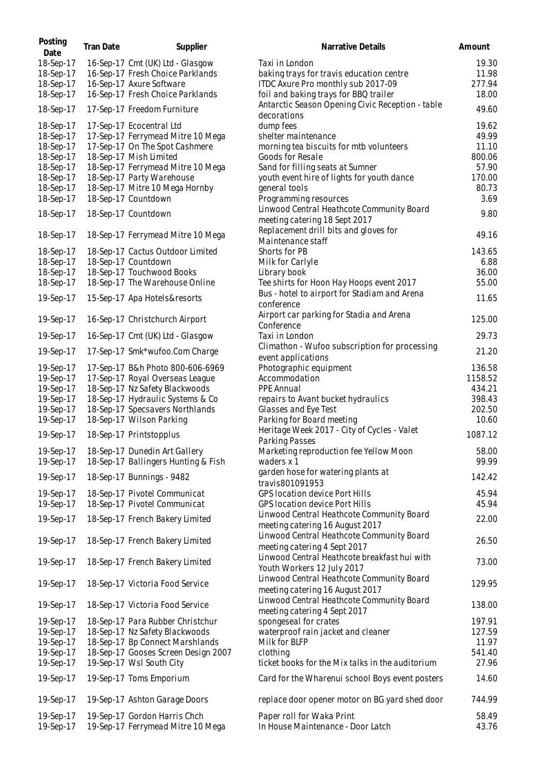| Posting<br>Date        | Tran Date | Supplier                                                          | Narrative Details                                                            | Amount          |
|------------------------|-----------|-------------------------------------------------------------------|------------------------------------------------------------------------------|-----------------|
| 18-Sep-17              |           | 16-Sep-17 Cmt (UK) Ltd - Glasgow                                  | Taxi in London                                                               | 19.30           |
| 18-Sep-17              |           | 16-Sep-17 Fresh Choice Parklands                                  | baking trays for travis education centre                                     | 11.98           |
| 18-Sep-17              |           | 16-Sep-17 Axure Software                                          | ITDC Axure Pro monthly sub 2017-09                                           | 277.94          |
| 18-Sep-17              |           | 16-Sep-17 Fresh Choice Parklands                                  | foil and baking trays for BBQ trailer                                        | 18.00           |
| 18-Sep-17              |           | 17-Sep-17 Freedom Furniture                                       | Antarctic Season Opening Civic Reception - table<br>decorations              | 49.60           |
| 18-Sep-17              |           | 17-Sep-17 Ecocentral Ltd                                          | dump fees                                                                    | 19.62           |
| 18-Sep-17              |           | 17-Sep-17 Ferrymead Mitre 10 Mega                                 | shelter maintenance                                                          | 49.99           |
| 18-Sep-17              |           | 17-Sep-17 On The Spot Cashmere                                    | morning tea biscuits for mtb volunteers                                      | 11.10           |
| 18-Sep-17              |           | 18-Sep-17 Mish Limited                                            | Goods for Resale                                                             | 800.06          |
| 18-Sep-17              |           | 18-Sep-17 Ferrymead Mitre 10 Mega                                 | Sand for filling seats at Sumner                                             | 57.90           |
| 18-Sep-17<br>18-Sep-17 |           | 18-Sep-17 Party Warehouse<br>18-Sep-17 Mitre 10 Mega Hornby       | youth event hire of lights for youth dance<br>general tools                  | 170.00<br>80.73 |
| 18-Sep-17              |           | 18-Sep-17 Countdown                                               | Programming resources                                                        | 3.69            |
|                        |           |                                                                   | Linwood Central Heathcote Community Board                                    |                 |
| 18-Sep-17              |           | 18-Sep-17 Countdown                                               | meeting catering 18 Sept 2017<br>Replacement drill bits and gloves for       | 9.80            |
| 18-Sep-17              |           | 18-Sep-17 Ferrymead Mitre 10 Mega                                 | Maintenance staff                                                            | 49.16           |
| 18-Sep-17              |           | 18-Sep-17 Cactus Outdoor Limited                                  | Shorts for PB                                                                | 143.65          |
| 18-Sep-17              |           | 18-Sep-17 Countdown                                               | Milk for Carlyle                                                             | 6.88            |
| 18-Sep-17              |           | 18-Sep-17 Touchwood Books                                         | Library book                                                                 | 36.00           |
| 18-Sep-17              |           | 18-Sep-17 The Warehouse Online                                    | Tee shirts for Hoon Hay Hoops event 2017                                     | 55.00           |
| 19-Sep-17              |           | 15-Sep-17 Apa Hotels&resorts                                      | Bus - hotel to airport for Stadiam and Arena                                 | 11.65           |
| 19-Sep-17              |           | 16-Sep-17 Christchurch Airport                                    | conference<br>Airport car parking for Stadia and Arena                       | 125.00          |
| 19-Sep-17              |           | 16-Sep-17 Cmt (UK) Ltd - Glasgow                                  | Conference<br>Taxi in London                                                 | 29.73           |
| 19-Sep-17              |           | 17-Sep-17 Smk*wufoo.Com Charge                                    | Climathon - Wufoo subscription for processing<br>event applications          | 21.20           |
| 19-Sep-17              |           | 17-Sep-17 B&h Photo 800-606-6969                                  | Photographic equipment                                                       | 136.58          |
| 19-Sep-17              |           | 17-Sep-17 Royal Overseas League                                   | Accommodation                                                                | 1158.52         |
| 19-Sep-17              |           | 18-Sep-17 Nz Safety Blackwoods                                    | <b>PPE Annual</b>                                                            | 434.21          |
| 19-Sep-17              |           | 18-Sep-17 Hydraulic Systems & Co                                  | repairs to Avant bucket hydraulics                                           | 398.43          |
| 19-Sep-17              |           | 18-Sep-17 Specsavers Northlands                                   | Glasses and Eye Test                                                         | 202.50          |
| 19-Sep-17              |           | 18-Sep-17 Wilson Parking                                          | Parking for Board meeting                                                    | 10.60           |
| 19-Sep-17              |           | 18-Sep-17 Printstopplus                                           | Heritage Week 2017 - City of Cycles - Valet<br>Parking Passes                | 1087.12         |
| 19-Sep-17              |           | 18-Sep-17 Dunedin Art Gallery                                     | Marketing reproduction fee Yellow Moon                                       | 58.00           |
| 19-Sep-17              |           | 18-Sep-17 Ballingers Hunting & Fish                               | waders x 1                                                                   | 99.99           |
| 19-Sep-17              |           | 18-Sep-17 Bunnings - 9482                                         | garden hose for watering plants at<br>travis801091953                        | 142.42          |
| 19-Sep-17              |           | 18-Sep-17 Pivotel Communicat                                      | <b>GPS location device Port Hills</b>                                        | 45.94           |
| 19-Sep-17              |           | 18-Sep-17 Pivotel Communicat                                      | GPS location device Port Hills                                               | 45.94           |
| 19-Sep-17              |           | 18-Sep-17 French Bakery Limited                                   | Linwood Central Heathcote Community Board<br>meeting catering 16 August 2017 | 22.00           |
| 19-Sep-17              |           | 18-Sep-17 French Bakery Limited                                   | Linwood Central Heathcote Community Board<br>meeting catering 4 Sept 2017    | 26.50           |
| 19-Sep-17              |           | 18-Sep-17 French Bakery Limited                                   | Linwood Central Heathcote breakfast hui with<br>Youth Workers 12 July 2017   | 73.00           |
| 19-Sep-17              |           | 18-Sep-17 Victoria Food Service                                   | Linwood Central Heathcote Community Board<br>meeting catering 16 August 2017 | 129.95          |
| 19-Sep-17              |           | 18-Sep-17 Victoria Food Service                                   | Linwood Central Heathcote Community Board<br>meeting catering 4 Sept 2017    | 138.00          |
| 19-Sep-17              |           | 18-Sep-17 Para Rubber Christchur                                  | spongeseal for crates                                                        | 197.91          |
| 19-Sep-17              |           | 18-Sep-17 Nz Safety Blackwoods                                    | waterproof rain jacket and cleaner                                           | 127.59          |
| 19-Sep-17              |           | 18-Sep-17 Bp Connect Marshlands                                   | Milk for BLFP                                                                | 11.97           |
| 19-Sep-17              |           | 18-Sep-17 Gooses Screen Design 2007                               | clothing                                                                     | 541.40          |
| 19-Sep-17              |           | 19-Sep-17 Wsl South City                                          | ticket books for the Mix talks in the auditorium                             | 27.96           |
| 19-Sep-17              |           | 19-Sep-17 Toms Emporium                                           | Card for the Wharenui school Boys event posters                              | 14.60           |
| 19-Sep-17              |           | 19-Sep-17 Ashton Garage Doors                                     | replace door opener motor on BG yard shed door                               | 744.99          |
| 19-Sep-17<br>19-Sep-17 |           | 19-Sep-17 Gordon Harris Chch<br>19-Sep-17 Ferrymead Mitre 10 Mega | Paper roll for Waka Print<br>In House Maintenance - Door Latch               | 58.49<br>43.76  |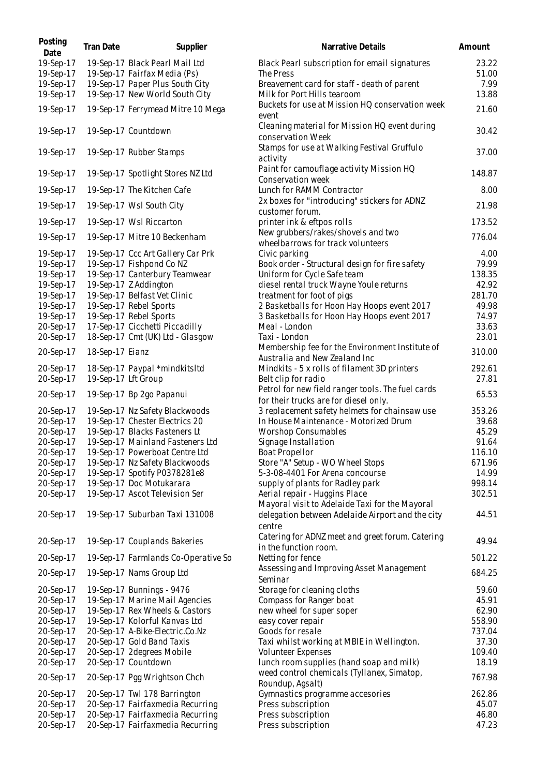| Posting<br>Date | Tran Date           | Supplier                            | Narrative Details                                                                          | Amount |
|-----------------|---------------------|-------------------------------------|--------------------------------------------------------------------------------------------|--------|
| 19-Sep-17       |                     | 19-Sep-17 Black Pearl Mail Ltd      | Black Pearl subscription for email signatures                                              | 23.22  |
| 19-Sep-17       |                     | 19-Sep-17 Fairfax Media (Ps)        | The Press                                                                                  | 51.00  |
| 19-Sep-17       |                     | 19-Sep-17 Paper Plus South City     | Breavement card for staff - death of parent                                                | 7.99   |
| 19-Sep-17       |                     | 19-Sep-17 New World South City      | Milk for Port Hills tearoom                                                                | 13.88  |
| 19-Sep-17       |                     | 19-Sep-17 Ferrymead Mitre 10 Mega   | Buckets for use at Mission HQ conservation week<br>event                                   | 21.60  |
| 19-Sep-17       |                     | 19-Sep-17 Countdown                 | Cleaning material for Mission HQ event during<br>conservation Week                         | 30.42  |
| 19-Sep-17       |                     | 19-Sep-17 Rubber Stamps             | Stamps for use at Walking Festival Gruffulo<br>activity                                    | 37.00  |
| 19-Sep-17       |                     | 19-Sep-17 Spotlight Stores NZ Ltd   | Paint for camouflage activity Mission HQ<br>Conservation week                              | 148.87 |
| 19-Sep-17       |                     | 19-Sep-17 The Kitchen Cafe          | Lunch for RAMM Contractor                                                                  | 8.00   |
| 19-Sep-17       |                     | 19-Sep-17 Wsl South City            | 2x boxes for "introducing" stickers for ADNZ<br>customer forum.                            | 21.98  |
| 19-Sep-17       |                     | 19-Sep-17 Wsl Riccarton             | printer ink & eftpos rolls                                                                 | 173.52 |
| 19-Sep-17       |                     | 19-Sep-17 Mitre 10 Beckenham        | New grubbers/rakes/shovels and two<br>wheelbarrows for track volunteers                    | 776.04 |
| 19-Sep-17       |                     | 19-Sep-17 Ccc Art Gallery Car Prk   | Civic parking                                                                              | 4.00   |
| 19-Sep-17       |                     | 19-Sep-17 Fishpond Co NZ            | Book order - Structural design for fire safety                                             | 79.99  |
| 19-Sep-17       |                     | 19-Sep-17 Canterbury Teamwear       | Uniform for Cycle Safe team                                                                | 138.35 |
| 19-Sep-17       |                     | 19-Sep-17 Z Addington               | diesel rental truck Wayne Youle returns                                                    | 42.92  |
| 19-Sep-17       |                     | 19-Sep-17 Belfast Vet Clinic        | treatment for foot of pigs                                                                 | 281.70 |
| 19-Sep-17       |                     | 19-Sep-17 Rebel Sports              | 2 Basketballs for Hoon Hay Hoops event 2017                                                | 49.98  |
| 19-Sep-17       |                     | 19-Sep-17 Rebel Sports              | 3 Basketballs for Hoon Hay Hoops event 2017                                                | 74.97  |
| 20-Sep-17       |                     | 17-Sep-17 Cicchetti Piccadilly      | Meal - London                                                                              | 33.63  |
| 20-Sep-17       |                     | 18-Sep-17 Cmt (UK) Ltd - Glasgow    | Taxi - London                                                                              | 23.01  |
| 20-Sep-17       | 18-Sep-17 Eianz     |                                     | Membership fee for the Environment Institute of<br>Australia and New Zealand Inc           | 310.00 |
| 20-Sep-17       |                     | 18-Sep-17 Paypal *mindkitsItd       | Mindkits - 5 x rolls of filament 3D printers                                               | 292.61 |
| 20-Sep-17       | 19-Sep-17 Lft Group |                                     | Belt clip for radio                                                                        | 27.81  |
| 20-Sep-17       |                     | 19-Sep-17 Bp 2go Papanui            | Petrol for new field ranger tools. The fuel cards<br>for their trucks are for diesel only. | 65.53  |
| 20-Sep-17       |                     | 19-Sep-17 Nz Safety Blackwoods      | 3 replacement safety helmets for chainsaw use                                              | 353.26 |
| 20-Sep-17       |                     | 19-Sep-17 Chester Electrics 20      | In House Maintenance - Motorized Drum                                                      | 39.68  |
| 20-Sep-17       |                     | 19-Sep-17 Blacks Fasteners Lt       | <b>Worshop Consumables</b>                                                                 | 45.29  |
| 20-Sep-17       |                     | 19-Sep-17 Mainland Fasteners Ltd    | Signage Installation                                                                       | 91.64  |
| 20-Sep-17       |                     | 19-Sep-17 Powerboat Centre Ltd      | Boat Propellor                                                                             | 116.10 |
| 20-Sep-17       |                     | 19-Sep-17 Nz Safety Blackwoods      | Store "A" Setup - WO Wheel Stops                                                           | 671.96 |
| 20-Sep-17       |                     | 19-Sep-17 Spotify P0378281e8        | 5-3-08-4401 For Arena concourse                                                            | 14.99  |
| 20-Sep-17       |                     | 19-Sep-17 Doc Motukarara            | supply of plants for Radley park                                                           | 998.14 |
| 20-Sep-17       |                     | 19-Sep-17 Ascot Television Ser      | Aerial repair - Huggins Place<br>Mayoral visit to Adelaide Taxi for the Mayoral            | 302.51 |
| 20-Sep-17       |                     | 19-Sep-17 Suburban Taxi 131008      | delegation between Adelaide Airport and the city<br>centre                                 | 44.51  |
| 20-Sep-17       |                     | 19-Sep-17 Couplands Bakeries        | Catering for ADNZ meet and greet forum. Catering<br>in the function room.                  | 49.94  |
| 20-Sep-17       |                     | 19-Sep-17 Farmlands Co-Operative So | Netting for fence                                                                          | 501.22 |
| 20-Sep-17       |                     | 19-Sep-17 Nams Group Ltd            | Assessing and Improving Asset Management<br>Seminar                                        | 684.25 |
| 20-Sep-17       |                     | 19-Sep-17 Bunnings - 9476           | Storage for cleaning cloths                                                                | 59.60  |
| 20-Sep-17       |                     | 19-Sep-17 Marine Mail Agencies      | Compass for Ranger boat                                                                    | 45.91  |
| 20-Sep-17       |                     | 19-Sep-17 Rex Wheels & Castors      | new wheel for super soper                                                                  | 62.90  |
| 20-Sep-17       |                     | 19-Sep-17 Kolorful Kanvas Ltd       | easy cover repair                                                                          | 558.90 |
| 20-Sep-17       |                     | 20-Sep-17 A-Bike-Electric.Co.Nz     | Goods for resale                                                                           | 737.04 |
| 20-Sep-17       |                     | 20-Sep-17 Gold Band Taxis           | Taxi whilst working at MBIE in Wellington.                                                 | 37.30  |
| 20-Sep-17       |                     | 20-Sep-17 2degrees Mobile           | Volunteer Expenses                                                                         | 109.40 |
| 20-Sep-17       |                     | 20-Sep-17 Countdown                 | lunch room supplies (hand soap and milk)                                                   | 18.19  |
| 20-Sep-17       |                     | 20-Sep-17 Pgg Wrightson Chch        | weed control chemicals (Tyllanex, Simatop,<br>Roundup, Agsalt)                             | 767.98 |
| 20-Sep-17       |                     | 20-Sep-17 Twl 178 Barrington        | Gymnastics programme accesories                                                            | 262.86 |
| 20-Sep-17       |                     | 20-Sep-17 Fairfaxmedia Recurring    | Press subscription                                                                         | 45.07  |
| 20-Sep-17       |                     | 20-Sep-17 Fairfaxmedia Recurring    | Press subscription                                                                         | 46.80  |
| 20-Sep-17       |                     | 20-Sep-17 Fairfaxmedia Recurring    | Press subscription                                                                         | 47.23  |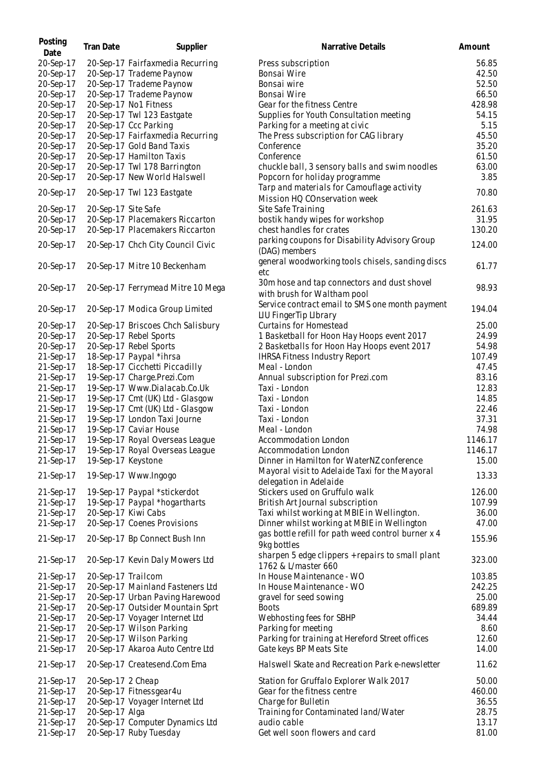| Posting<br>Date        | <b>Tran Date</b>    | Supplier                          | Narrative Details                                                                           | Amount         |
|------------------------|---------------------|-----------------------------------|---------------------------------------------------------------------------------------------|----------------|
| 20-Sep-17              |                     | 20-Sep-17 Fairfaxmedia Recurring  | Press subscription                                                                          | 56.85          |
| 20-Sep-17              |                     | 20-Sep-17 Trademe Paynow          | Bonsai Wire                                                                                 | 42.50          |
| 20-Sep-17              |                     | 20-Sep-17 Trademe Paynow          | Bonsai wire                                                                                 | 52.50          |
| 20-Sep-17              |                     | 20-Sep-17 Trademe Paynow          | Bonsai Wire                                                                                 | 66.50          |
| 20-Sep-17              |                     | 20-Sep-17 No1 Fitness             | Gear for the fitness Centre                                                                 | 428.98         |
| 20-Sep-17              |                     | 20-Sep-17 Twl 123 Eastgate        | Supplies for Youth Consultation meeting                                                     | 54.15          |
| 20-Sep-17              |                     | 20-Sep-17 Ccc Parking             | Parking for a meeting at civic                                                              | 5.15           |
| 20-Sep-17              |                     | 20-Sep-17 Fairfaxmedia Recurring  | The Press subscription for CAG library                                                      | 45.50          |
| 20-Sep-17              |                     | 20-Sep-17 Gold Band Taxis         | Conference                                                                                  | 35.20          |
| 20-Sep-17              |                     | 20-Sep-17 Hamilton Taxis          | Conference                                                                                  | 61.50          |
| 20-Sep-17              |                     | 20-Sep-17 Twl 178 Barrington      | chuckle ball, 3 sensory balls and swim noodles                                              | 63.00          |
| 20-Sep-17              |                     | 20-Sep-17 New World Halswell      | Popcorn for holiday programme                                                               | 3.85           |
| 20-Sep-17              |                     | 20-Sep-17 Twl 123 Eastgate        | Tarp and materials for Camouflage activity<br>Mission HQ COnservation week                  | 70.80          |
| 20-Sep-17              | 20-Sep-17 Site Safe |                                   | Site Safe Training                                                                          | 261.63         |
| 20-Sep-17              |                     | 20-Sep-17 Placemakers Riccarton   | bostik handy wipes for workshop                                                             | 31.95          |
| 20-Sep-17              |                     | 20-Sep-17 Placemakers Riccarton   | chest handles for crates                                                                    | 130.20         |
| 20-Sep-17              |                     | 20-Sep-17 Chch City Council Civic | parking coupons for Disability Advisory Group<br>(DAG) members                              | 124.00         |
| 20-Sep-17              |                     | 20-Sep-17 Mitre 10 Beckenham      | general woodworking tools chisels, sanding discs<br>etc                                     | 61.77          |
|                        |                     |                                   | 30m hose and tap connectors and dust shovel                                                 |                |
| 20-Sep-17              |                     | 20-Sep-17 Ferrymead Mitre 10 Mega | with brush for Waltham pool                                                                 | 98.93          |
| 20-Sep-17              |                     |                                   | Service contract email to SMS one month payment                                             | 194.04         |
|                        |                     | 20-Sep-17 Modica Group Limited    | LIU FingerTip LIbrary                                                                       |                |
| 20-Sep-17              |                     | 20-Sep-17 Briscoes Chch Salisbury | <b>Curtains for Homestead</b>                                                               | 25.00          |
| 20-Sep-17              |                     | 20-Sep-17 Rebel Sports            | 1 Basketball for Hoon Hay Hoops event 2017                                                  | 24.99          |
| 20-Sep-17              |                     | 20-Sep-17 Rebel Sports            | 2 Basketballs for Hoon Hay Hoops event 2017                                                 | 54.98          |
| 21-Sep-17              |                     | 18-Sep-17 Paypal *ihrsa           | <b>IHRSA Fitness Industry Report</b>                                                        | 107.49         |
| 21-Sep-17              |                     | 18-Sep-17 Cicchetti Piccadilly    | Meal - London                                                                               | 47.45          |
| 21-Sep-17              |                     | 19-Sep-17 Charge.Prezi.Com        | Annual subscription for Prezi.com                                                           | 83.16          |
| 21-Sep-17              |                     | 19-Sep-17 Www.Dialacab.Co.Uk      | Taxi - London                                                                               | 12.83          |
| 21-Sep-17              |                     | 19-Sep-17 Cmt (UK) Ltd - Glasgow  | Taxi - London                                                                               | 14.85          |
| 21-Sep-17              |                     | 19-Sep-17 Cmt (UK) Ltd - Glasgow  | Taxi - London                                                                               | 22.46          |
| 21-Sep-17              |                     | 19-Sep-17 London Taxi Journe      | Taxi - London                                                                               | 37.31          |
| 21-Sep-17              |                     | 19-Sep-17 Caviar House            | Meal - London                                                                               | 74.98          |
| 21-Sep-17              |                     | 19-Sep-17 Royal Overseas League   | Accommodation London                                                                        | 1146.17        |
| 21-Sep-17              |                     | 19-Sep-17 Royal Overseas League   | Accommodation London                                                                        | 1146.17        |
| 21-Sep-17<br>21-Sep-17 | 19-Sep-17 Keystone  | 19-Sep-17 Www.Ingogo              | Dinner in Hamilton for WaterNZ conference<br>Mayoral visit to Adelaide Taxi for the Mayoral | 15.00<br>13.33 |
|                        |                     |                                   | delegation in Adelaide                                                                      |                |
| 21-Sep-17              |                     | 19-Sep-17 Paypal *stickerdot      | Stickers used on Gruffulo walk                                                              | 126.00         |
| 21-Sep-17              |                     | 19-Sep-17 Paypal *hogartharts     | British Art Journal subscription                                                            | 107.99         |
| 21-Sep-17              |                     | 20-Sep-17 Kiwi Cabs               | Taxi whilst working at MBIE in Wellington.                                                  | 36.00          |
| 21-Sep-17              |                     | 20-Sep-17 Coenes Provisions       | Dinner whilst working at MBIE in Wellington                                                 | 47.00          |
| 21-Sep-17              |                     | 20-Sep-17 Bp Connect Bush Inn     | gas bottle refill for path weed control burner x 4<br>9kg bottles                           | 155.96         |
| 21-Sep-17              |                     | 20-Sep-17 Kevin Daly Mowers Ltd   | sharpen 5 edge clippers + repairs to small plant<br>1762 & L/master 660                     | 323.00         |
| 21-Sep-17              | 20-Sep-17 Trailcom  |                                   | In House Maintenance - WO                                                                   | 103.85         |
| 21-Sep-17              |                     | 20-Sep-17 Mainland Fasteners Ltd  | In House Maintenance - WO                                                                   | 242.25         |
| 21-Sep-17              |                     | 20-Sep-17 Urban Paving Harewood   | gravel for seed sowing                                                                      | 25.00          |
| 21-Sep-17              |                     | 20-Sep-17 Outsider Mountain Sprt  | <b>Boots</b>                                                                                | 689.89         |
| 21-Sep-17              |                     | 20-Sep-17 Voyager Internet Ltd    | Webhosting fees for SBHP                                                                    | 34.44          |
| 21-Sep-17              |                     | 20-Sep-17 Wilson Parking          | Parking for meeting                                                                         | 8.60           |
| 21-Sep-17              |                     | 20-Sep-17 Wilson Parking          | Parking for training at Hereford Street offices                                             | 12.60          |
| 21-Sep-17              |                     | 20-Sep-17 Akaroa Auto Centre Ltd  | Gate keys BP Meats Site                                                                     | 14.00          |
| 21-Sep-17<br>21-Sep-17 | 20-Sep-17 2 Cheap   | 20-Sep-17 Createsend.Com Ema      | Halswell Skate and Recreation Park e-newsletter<br>Station for Gruffalo Explorer Walk 2017  | 11.62<br>50.00 |
| 21-Sep-17              |                     | 20-Sep-17 Fitnessgear4u           | Gear for the fitness centre                                                                 | 460.00         |
| 21-Sep-17              |                     | 20-Sep-17 Voyager Internet Ltd    | Charge for Bulletin                                                                         | 36.55          |
| 21-Sep-17              | 20-Sep-17 Alga      |                                   | Training for Contaminated land/Water                                                        | 28.75          |
| 21-Sep-17              |                     | 20-Sep-17 Computer Dynamics Ltd   | audio cable                                                                                 | 13.17          |
| 21-Sep-17              |                     | 20-Sep-17 Ruby Tuesday            | Get well soon flowers and card                                                              | 81.00          |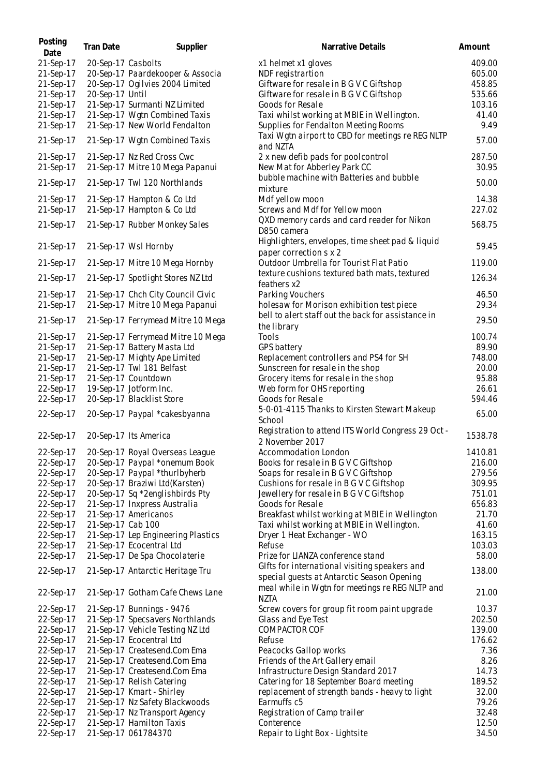| Posting<br>Date | <b>Tran Date</b>   | Supplier                           | Narrative Details                                  | Amount  |
|-----------------|--------------------|------------------------------------|----------------------------------------------------|---------|
| 21-Sep-17       | 20-Sep-17 Casbolts |                                    | x1 helmet x1 gloves                                | 409.00  |
| 21-Sep-17       |                    | 20-Sep-17 Paardekooper & Associa   | NDF registrartion                                  | 605.00  |
| 21-Sep-17       |                    | 20-Sep-17 Ogilvies 2004 Limited    | Giftware for resale in B G V C Giftshop            | 458.85  |
| 21-Sep-17       | 20-Sep-17 Until    |                                    | Giftware for resale in B G V C Giftshop            | 535.66  |
| 21-Sep-17       |                    | 21-Sep-17 Surmanti NZ Limited      | Goods for Resale                                   | 103.16  |
| 21-Sep-17       |                    | 21-Sep-17 Wgtn Combined Taxis      | Taxi whilst working at MBIE in Wellington.         | 41.40   |
|                 |                    |                                    |                                                    |         |
| 21-Sep-17       |                    | 21-Sep-17 New World Fendalton      | Supplies for Fendalton Meeting Rooms               | 9.49    |
| 21-Sep-17       |                    | 21-Sep-17 Wgtn Combined Taxis      | Taxi Wgtn airport to CBD for meetings re REG NLTP  | 57.00   |
|                 |                    |                                    | and NZTA                                           |         |
| 21-Sep-17       |                    | 21-Sep-17 Nz Red Cross Cwc         | 2 x new defib pads for poolcontrol                 | 287.50  |
| 21-Sep-17       |                    | 21-Sep-17 Mitre 10 Mega Papanui    | New Mat for Abberley Park CC                       | 30.95   |
|                 |                    |                                    | bubble machine with Batteries and bubble           |         |
| 21-Sep-17       |                    | 21-Sep-17 Twl 120 Northlands       | mixture                                            | 50.00   |
| 21-Sep-17       |                    | 21-Sep-17 Hampton & Co Ltd         | Mdf yellow moon                                    | 14.38   |
| 21-Sep-17       |                    | 21-Sep-17 Hampton & Co Ltd         | Screws and Mdf for Yellow moon                     | 227.02  |
|                 |                    |                                    |                                                    |         |
| 21-Sep-17       |                    | 21-Sep-17 Rubber Monkey Sales      | QXD memory cards and card reader for Nikon         | 568.75  |
|                 |                    |                                    | D850 camera                                        |         |
| 21-Sep-17       |                    | 21-Sep-17 Wsl Hornby               | Highlighters, envelopes, time sheet pad & liquid   | 59.45   |
|                 |                    |                                    | paper correction s x 2                             |         |
| 21-Sep-17       |                    | 21-Sep-17 Mitre 10 Mega Hornby     | Outdoor Umbrella for Tourist Flat Patio            | 119.00  |
|                 |                    |                                    | texture cushions textured bath mats, textured      |         |
| 21-Sep-17       |                    | 21-Sep-17 Spotlight Stores NZ Ltd  | feathers x2                                        | 126.34  |
| 21-Sep-17       |                    | 21-Sep-17 Chch City Council Civic  | Parking Vouchers                                   | 46.50   |
|                 |                    |                                    | holesaw for Morison exhibition test piece          | 29.34   |
| 21-Sep-17       |                    | 21-Sep-17 Mitre 10 Mega Papanui    |                                                    |         |
| 21-Sep-17       |                    | 21-Sep-17 Ferrymead Mitre 10 Mega  | bell to alert staff out the back for assistance in | 29.50   |
|                 |                    |                                    | the library                                        |         |
| 21-Sep-17       |                    | 21-Sep-17 Ferrymead Mitre 10 Mega  | Tools                                              | 100.74  |
| 21-Sep-17       |                    | 21-Sep-17 Battery Masta Ltd        | GPS battery                                        | 89.90   |
| 21-Sep-17       |                    | 21-Sep-17 Mighty Ape Limited       | Replacement controllers and PS4 for SH             | 748.00  |
| 21-Sep-17       |                    | 21-Sep-17 Twl 181 Belfast          | Sunscreen for resale in the shop                   | 20.00   |
| 21-Sep-17       |                    | 21-Sep-17 Countdown                | Grocery items for resale in the shop               | 95.88   |
| 22-Sep-17       |                    | 19-Sep-17 Jotform Inc.             | Web form for OHS reporting                         | 26.61   |
| 22-Sep-17       |                    | 20-Sep-17 Blacklist Store          | Goods for Resale                                   | 594.46  |
|                 |                    |                                    | 5-0-01-4115 Thanks to Kirsten Stewart Makeup       |         |
| 22-Sep-17       |                    | 20-Sep-17 Paypal *cakesbyanna      |                                                    | 65.00   |
|                 |                    |                                    | School                                             |         |
| 22-Sep-17       |                    | 20-Sep-17 Its America              | Registration to attend ITS World Congress 29 Oct - | 1538.78 |
|                 |                    |                                    | 2 November 2017                                    |         |
| 22-Sep-17       |                    | 20-Sep-17 Royal Overseas League    | Accommodation London                               | 1410.81 |
| 22-Sep-17       |                    | 20-Sep-17 Paypal *onemum Book      | Books for resale in B G V C Giftshop               | 216.00  |
| 22-Sep-17       |                    | 20-Sep-17 Paypal *thurlbyherb      | Soaps for resale in B G V C Giftshop               | 279.56  |
| 22-Sep-17       |                    | 20-Sep-17 Braziwi Ltd(Karsten)     | Cushions for resale in B G V C Giftshop            | 309.95  |
| 22-Sep-17       |                    | 20-Sep-17 Sq *2englishbirds Pty    | Jewellery for resale in B G V C Giftshop           | 751.01  |
| 22-Sep-17       |                    | 21-Sep-17 Inxpress Australia       | Goods for Resale                                   | 656.83  |
| 22-Sep-17       |                    | 21-Sep-17 Americanos               | Breakfast whilst working at MBIE in Wellington     | 21.70   |
| 22-Sep-17       | 21-Sep-17 Cab 100  |                                    | Taxi whilst working at MBIE in Wellington.         | 41.60   |
|                 |                    |                                    |                                                    |         |
| 22-Sep-17       |                    | 21-Sep-17 Lep Engineering Plastics | Dryer 1 Heat Exchanger - WO                        | 163.15  |
| 22-Sep-17       |                    | 21-Sep-17 Ecocentral Ltd           | Refuse                                             | 103.03  |
| 22-Sep-17       |                    | 21-Sep-17 De Spa Chocolaterie      | Prize for LIANZA conference stand                  | 58.00   |
| 22-Sep-17       |                    | 21-Sep-17 Antarctic Heritage Tru   | Glfts for international visiting speakers and      | 138.00  |
|                 |                    |                                    | special guests at Antarctic Season Opening         |         |
|                 |                    |                                    | meal while in Wgtn for meetings re REG NLTP and    |         |
| 22-Sep-17       |                    | 21-Sep-17 Gotham Cafe Chews Lane   | <b>NZTA</b>                                        | 21.00   |
| 22-Sep-17       |                    | 21-Sep-17 Bunnings - 9476          | Screw covers for group fit room paint upgrade      | 10.37   |
| 22-Sep-17       |                    | 21-Sep-17 Specsavers Northlands    | Glass and Eye Test                                 | 202.50  |
| 22-Sep-17       |                    | 21-Sep-17 Vehicle Testing NZ Ltd   | <b>COMPACTOR COF</b>                               | 139.00  |
|                 |                    |                                    |                                                    |         |
| 22-Sep-17       |                    | 21-Sep-17 Ecocentral Ltd           | Refuse                                             | 176.62  |
| 22-Sep-17       |                    | 21-Sep-17 Createsend.Com Ema       | Peacocks Gallop works                              | 7.36    |
| 22-Sep-17       |                    | 21-Sep-17 Createsend.Com Ema       | Friends of the Art Gallery email                   | 8.26    |
| 22-Sep-17       |                    | 21-Sep-17 Createsend.Com Ema       | Infrastructure Design Standard 2017                | 14.73   |
| 22-Sep-17       |                    | 21-Sep-17 Relish Catering          | Catering for 18 September Board meeting            | 189.52  |
| 22-Sep-17       |                    | 21-Sep-17 Kmart - Shirley          | replacement of strength bands - heavy to light     | 32.00   |
| 22-Sep-17       |                    | 21-Sep-17 Nz Safety Blackwoods     | Earmuffs c5                                        | 79.26   |
| 22-Sep-17       |                    | 21-Sep-17 Nz Transport Agency      | Registration of Camp trailer                       | 32.48   |
| 22-Sep-17       |                    | 21-Sep-17 Hamilton Taxis           | Conterence                                         | 12.50   |
| 22-Sep-17       |                    | 21-Sep-17 061784370                | Repair to Light Box - Lightsite                    | 34.50   |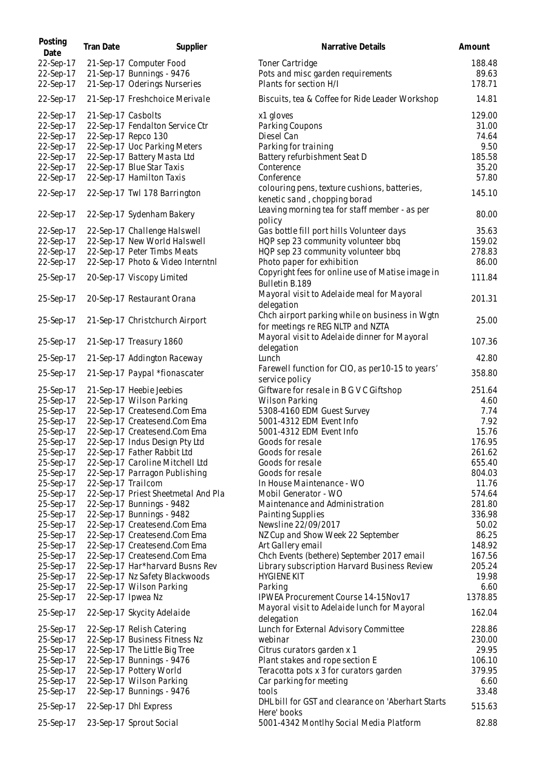| Posting<br>Date | Tran Date          | Supplier                            | Narrative Details                                                            | Amount  |
|-----------------|--------------------|-------------------------------------|------------------------------------------------------------------------------|---------|
| 22-Sep-17       |                    | 21-Sep-17 Computer Food             | Toner Cartridge                                                              | 188.48  |
| 22-Sep-17       |                    | 21-Sep-17 Bunnings - 9476           | Pots and misc garden requirements                                            | 89.63   |
| 22-Sep-17       |                    | 21-Sep-17 Oderings Nurseries        | Plants for section H/I                                                       | 178.71  |
| 22-Sep-17       |                    | 21-Sep-17 Freshchoice Merivale      | Biscuits, tea & Coffee for Ride Leader Workshop                              | 14.81   |
| 22-Sep-17       | 21-Sep-17 Casbolts |                                     | x1 gloves                                                                    | 129.00  |
| 22-Sep-17       |                    | 22-Sep-17 Fendalton Service Ctr     | Parking Coupons                                                              | 31.00   |
| 22-Sep-17       |                    | 22-Sep-17 Repco 130                 | Diesel Can                                                                   | 74.64   |
| 22-Sep-17       |                    | 22-Sep-17 Uoc Parking Meters        | Parking for training                                                         | 9.50    |
| 22-Sep-17       |                    | 22-Sep-17 Battery Masta Ltd         | Battery refurbishment Seat D                                                 | 185.58  |
| 22-Sep-17       |                    | 22-Sep-17 Blue Star Taxis           | Conterence                                                                   | 35.20   |
| 22-Sep-17       |                    | 22-Sep-17 Hamilton Taxis            | Conference                                                                   | 57.80   |
| 22-Sep-17       |                    | 22-Sep-17 Twl 178 Barrington        | colouring pens, texture cushions, batteries,<br>kenetic sand, chopping borad | 145.10  |
|                 |                    |                                     | Leaving morning tea for staff member - as per                                |         |
| 22-Sep-17       |                    | 22-Sep-17 Sydenham Bakery           | policy                                                                       | 80.00   |
| 22-Sep-17       |                    | 22-Sep-17 Challenge Halswell        | Gas bottle fill port hills Volunteer days                                    | 35.63   |
| 22-Sep-17       |                    | 22-Sep-17 New World Halswell        | HQP sep 23 community volunteer bbq                                           | 159.02  |
| 22-Sep-17       |                    | 22-Sep-17 Peter Timbs Meats         | HQP sep 23 community volunteer bbq                                           | 278.83  |
| 22-Sep-17       |                    | 22-Sep-17 Photo & Video Interntnl   | Photo paper for exhibition                                                   | 86.00   |
| 25-Sep-17       |                    | 20-Sep-17 Viscopy Limited           | Copyright fees for online use of Matise image in<br>Bulletin B.189           | 111.84  |
| 25-Sep-17       |                    | 20-Sep-17 Restaurant Orana          | Mayoral visit to Adelaide meal for Mayoral                                   | 201.31  |
|                 |                    |                                     | delegation                                                                   |         |
| 25-Sep-17       |                    | 21-Sep-17 Christchurch Airport      | Chch airport parking while on business in Wgtn                               | 25.00   |
|                 |                    |                                     | for meetings re REG NLTP and NZTA                                            |         |
| 25-Sep-17       |                    | 21-Sep-17 Treasury 1860             | Mayoral visit to Adelaide dinner for Mayoral                                 | 107.36  |
|                 |                    |                                     | delegation                                                                   |         |
| 25-Sep-17       |                    | 21-Sep-17 Addington Raceway         | Lunch                                                                        | 42.80   |
| 25-Sep-17       |                    | 21-Sep-17 Paypal *fionascater       | Farewell function for CIO, as per 10-15 to years'<br>service policy          | 358.80  |
| 25-Sep-17       |                    | 21-Sep-17 Heebie Jeebies            | Giftware for resale in B G V C Giftshop                                      | 251.64  |
| 25-Sep-17       |                    | 22-Sep-17 Wilson Parking            | Wilson Parking                                                               | 4.60    |
| 25-Sep-17       |                    | 22-Sep-17 Createsend.Com Ema        | 5308-4160 EDM Guest Survey                                                   | 7.74    |
| 25-Sep-17       |                    | 22-Sep-17 Createsend.Com Ema        | 5001-4312 EDM Event Info                                                     | 7.92    |
| 25-Sep-17       |                    | 22-Sep-17 Createsend.Com Ema        | 5001-4312 EDM Event Info                                                     | 15.76   |
| 25-Sep-17       |                    | 22-Sep-17 Indus Design Pty Ltd      | Goods for resale                                                             | 176.95  |
| 25-Sep-17       |                    | 22-Sep-17 Father Rabbit Ltd         | Goods for resale                                                             | 261.62  |
| 25-Sep-17       |                    | 22-Sep-17 Caroline Mitchell Ltd     | Goods for resale                                                             | 655.40  |
| 25-Sep-17       |                    | 22-Sep-17 Parragon Publishing       | Goods for resale                                                             | 804.03  |
| 25-Sep-17       | 22-Sep-17 Trailcom |                                     | In House Maintenance - WO                                                    | 11.76   |
| 25-Sep-17       |                    | 22-Sep-17 Priest Sheetmetal And Pla | Mobil Generator - WO                                                         | 574.64  |
| 25-Sep-17       |                    | 22-Sep-17 Bunnings - 9482           | Maintenance and Administration                                               | 281.80  |
| 25-Sep-17       |                    | 22-Sep-17 Bunnings - 9482           | Painting Supplies                                                            | 336.98  |
| 25-Sep-17       |                    | 22-Sep-17 Createsend.Com Ema        | Newsline 22/09/2017                                                          | 50.02   |
| 25-Sep-17       |                    | 22-Sep-17 Createsend.Com Ema        | NZ Cup and Show Week 22 September                                            | 86.25   |
| 25-Sep-17       |                    | 22-Sep-17 Createsend.Com Ema        | Art Gallery email                                                            | 148.92  |
| 25-Sep-17       |                    | 22-Sep-17 Createsend.Com Ema        | Chch Events (bethere) September 2017 email                                   | 167.56  |
| 25-Sep-17       |                    | 22-Sep-17 Har*harvard Busns Rev     | Library subscription Harvard Business Review                                 | 205.24  |
| 25-Sep-17       |                    | 22-Sep-17 Nz Safety Blackwoods      | <b>HYGIENE KIT</b>                                                           | 19.98   |
| 25-Sep-17       |                    | 22-Sep-17 Wilson Parking            | Parking                                                                      | 6.60    |
| 25-Sep-17       | 22-Sep-17 Ipwea Nz |                                     | IPWEA Procurement Course 14-15Nov17                                          | 1378.85 |
| 25-Sep-17       |                    | 22-Sep-17 Skycity Adelaide          | Mayoral visit to Adelaide lunch for Mayoral<br>delegation                    | 162.04  |
| 25-Sep-17       |                    | 22-Sep-17 Relish Catering           | Lunch for External Advisory Committee                                        | 228.86  |
| 25-Sep-17       |                    | 22-Sep-17 Business Fitness Nz       | webinar                                                                      | 230.00  |
| 25-Sep-17       |                    | 22-Sep-17 The Little Big Tree       | Citrus curators garden x 1                                                   | 29.95   |
| 25-Sep-17       |                    | 22-Sep-17 Bunnings - 9476           | Plant stakes and rope section E                                              | 106.10  |
| 25-Sep-17       |                    | 22-Sep-17 Pottery World             | Teracotta pots x 3 for curators garden                                       | 379.95  |
| 25-Sep-17       |                    | 22-Sep-17 Wilson Parking            | Car parking for meeting                                                      | 6.60    |
| 25-Sep-17       |                    | 22-Sep-17 Bunnings - 9476           | tools                                                                        | 33.48   |
| 25-Sep-17       |                    | 22-Sep-17 Dhl Express               | DHL bill for GST and clearance on 'Aberhart Starts<br>Here' books            | 515.63  |
| 25-Sep-17       |                    | 23-Sep-17 Sprout Social             | 5001-4342 Montlhy Social Media Platform                                      | 82.88   |